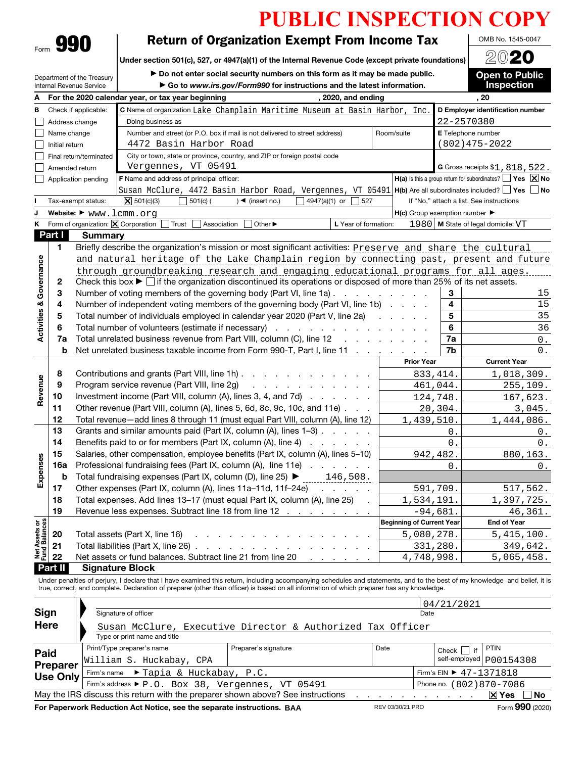| -orm | Y.<br>ſ |
|------|---------|
|      |         |

### OMB No. 1545-0047 **PUBLIC INSPECTION COPY**

## **Return of Organization Exempt From Income Tax**  $\frac{\text{OMB No. 1545-00}}{20}$

**Return of Organization Exempt From Income Tax Under section 501(c), 527, or 4947(a)(1) of the Internal Revenue Code (except private foundations)**

|                                |                | Department of the Treasury<br>Internal Revenue Service | Do not enter social security numbers on this form as it may be made public.<br><b>Open to Public</b><br>Inspection<br>Go to www.irs.gov/Form990 for instructions and the latest information. |                                  |                   |       |                                                                      |  |  |  |  |  |
|--------------------------------|----------------|--------------------------------------------------------|----------------------------------------------------------------------------------------------------------------------------------------------------------------------------------------------|----------------------------------|-------------------|-------|----------------------------------------------------------------------|--|--|--|--|--|
|                                |                |                                                        | A For the 2020 calendar year, or tax year beginning<br>, 2020, and ending                                                                                                                    |                                  |                   |       | , 20                                                                 |  |  |  |  |  |
| в                              |                | Check if applicable:                                   | C Name of organization Lake Champlain Maritime Museum at Basin Harbor, Inc.<br>D Employer identification number                                                                              |                                  |                   |       |                                                                      |  |  |  |  |  |
|                                | Address change |                                                        | 22-2570380<br>Doing business as                                                                                                                                                              |                                  |                   |       |                                                                      |  |  |  |  |  |
|                                | Name change    |                                                        |                                                                                                                                                                                              | E Telephone number               |                   |       |                                                                      |  |  |  |  |  |
|                                | Initial return |                                                        | $(802)475 - 2022$                                                                                                                                                                            |                                  |                   |       |                                                                      |  |  |  |  |  |
|                                |                | Final return/terminated                                | City or town, state or province, country, and ZIP or foreign postal code                                                                                                                     |                                  |                   |       |                                                                      |  |  |  |  |  |
|                                | Amended return |                                                        | Vergennes, VT 05491                                                                                                                                                                          |                                  |                   |       | G Gross receipts \$1, 818, 522.                                      |  |  |  |  |  |
|                                |                | Application pending                                    | F Name and address of principal officer:                                                                                                                                                     |                                  |                   |       | $H(a)$ is this a group return for subordinates? $\Box$ Yes $\Box$ No |  |  |  |  |  |
|                                |                |                                                        | Susan McClure, 4472 Basin Harbor Road, Vergennes,                                                                                                                                            |                                  |                   |       | VT $05491$ H(b) Are all subordinates included? $\Box$ Yes $\Box$ No  |  |  |  |  |  |
|                                |                | Tax-exempt status:                                     | $ \mathsf{X} $ 501(c)(3)<br>$501(c)$ (<br>4947(a)(1) or<br>527<br>$\sqrt{4}$ (insert no.)                                                                                                    |                                  |                   |       | If "No," attach a list. See instructions                             |  |  |  |  |  |
| J                              |                | Website: ▶ www.lcmm.org                                |                                                                                                                                                                                              |                                  |                   |       | $H(c)$ Group exemption number $\blacktriangleright$                  |  |  |  |  |  |
|                                |                | K Form of organization: $X$ Corporation                | Trust<br>Association<br>Other ▶<br>L Year of formation:                                                                                                                                      |                                  |                   |       | 1980   M State of legal domicile: VT                                 |  |  |  |  |  |
|                                | Part I         | <b>Summary</b>                                         |                                                                                                                                                                                              |                                  |                   |       |                                                                      |  |  |  |  |  |
|                                | 1              |                                                        | Briefly describe the organization's mission or most significant activities: Preserve and share the cultural                                                                                  |                                  |                   |       |                                                                      |  |  |  |  |  |
| & Governance                   |                |                                                        | and natural heritage of the Lake Champlain region by connecting past, present and future                                                                                                     |                                  |                   |       |                                                                      |  |  |  |  |  |
|                                |                |                                                        | through groundbreaking research and engaging educational programs for all ages.                                                                                                              |                                  |                   |       |                                                                      |  |  |  |  |  |
|                                | 2              |                                                        | Check this box $\blacktriangleright$ $\Box$ if the organization discontinued its operations or disposed of more than 25% of its net assets.                                                  |                                  |                   |       |                                                                      |  |  |  |  |  |
|                                | 3              |                                                        | Number of voting members of the governing body (Part VI, line 1a)                                                                                                                            |                                  |                   | З     | 15                                                                   |  |  |  |  |  |
|                                | 4              |                                                        | Number of independent voting members of the governing body (Part VI, line 1b)                                                                                                                |                                  |                   | 4     | 15                                                                   |  |  |  |  |  |
|                                | 5              |                                                        | Total number of individuals employed in calendar year 2020 (Part V, line 2a)                                                                                                                 | and the state of the state of    |                   | 5     | 35                                                                   |  |  |  |  |  |
| <b>Activities</b>              | 6              |                                                        | Total number of volunteers (estimate if necessary)                                                                                                                                           |                                  |                   | 6     | 36                                                                   |  |  |  |  |  |
|                                | 7a             |                                                        | Total unrelated business revenue from Part VIII, column (C), line 12                                                                                                                         |                                  |                   | 7a    | $0$ .                                                                |  |  |  |  |  |
|                                | b              |                                                        | Net unrelated business taxable income from Form 990-T, Part I, line 11                                                                                                                       |                                  |                   | 7b    | 0.                                                                   |  |  |  |  |  |
|                                |                |                                                        |                                                                                                                                                                                              |                                  | <b>Prior Year</b> |       | <b>Current Year</b>                                                  |  |  |  |  |  |
|                                | 8              |                                                        | Contributions and grants (Part VIII, line 1h)                                                                                                                                                |                                  | 833, 414.         |       | 1,018,309.                                                           |  |  |  |  |  |
| Revenue                        | 9              |                                                        | Program service revenue (Part VIII, line 2g)<br>المنافر والمنافر والمنافر والمنافر والمنافر                                                                                                  |                                  | 461,044.          |       | 255, 109.                                                            |  |  |  |  |  |
|                                | 10             |                                                        | Investment income (Part VIII, column (A), lines 3, 4, and 7d)                                                                                                                                |                                  | 124,748.          |       | 167,623.                                                             |  |  |  |  |  |
|                                | 11             |                                                        | Other revenue (Part VIII, column (A), lines 5, 6d, 8c, 9c, 10c, and 11e)                                                                                                                     |                                  | 20,304.           |       | 3,045.                                                               |  |  |  |  |  |
|                                | 12             |                                                        | Total revenue-add lines 8 through 11 (must equal Part VIII, column (A), line 12)                                                                                                             |                                  | 1,439,510.        |       | 1,444,086.                                                           |  |  |  |  |  |
|                                | 13<br>14       |                                                        | Grants and similar amounts paid (Part IX, column (A), lines 1-3)                                                                                                                             |                                  |                   | 0.    | 0.                                                                   |  |  |  |  |  |
|                                | 15             |                                                        | Benefits paid to or for members (Part IX, column (A), line 4)<br>Salaries, other compensation, employee benefits (Part IX, column (A), lines 5-10)                                           |                                  |                   | 0.    | $0$ .                                                                |  |  |  |  |  |
| Expenses                       | 16a            |                                                        | Professional fundraising fees (Part IX, column (A), line 11e)                                                                                                                                |                                  | 942,482.          |       | 880,163.                                                             |  |  |  |  |  |
|                                | b              |                                                        | Total fundraising expenses (Part IX, column (D), line 25) ▶ 146, 508.                                                                                                                        |                                  |                   | $0$ . | $0$ .                                                                |  |  |  |  |  |
|                                | 17             |                                                        | Other expenses (Part IX, column (A), lines 11a-11d, 11f-24e)                                                                                                                                 |                                  | 591,709.          |       | 517,562.                                                             |  |  |  |  |  |
|                                | 18             |                                                        | Total expenses. Add lines 13–17 (must equal Part IX, column (A), line 25)                                                                                                                    |                                  | 1,534,191.        |       | 1,397,725.                                                           |  |  |  |  |  |
|                                | 19             |                                                        | Revenue less expenses. Subtract line 18 from line 12                                                                                                                                         |                                  | $-94,681.$        |       | 46,361.                                                              |  |  |  |  |  |
|                                |                |                                                        |                                                                                                                                                                                              | <b>Beginning of Current Year</b> |                   |       | <b>End of Year</b>                                                   |  |  |  |  |  |
| Net Assets or<br>Fund Balances | 20             |                                                        | Total assets (Part X, line 16)<br>a construction of the construction of the construction                                                                                                     |                                  | 5,080,278.        |       | 5,415,100.                                                           |  |  |  |  |  |
|                                | 21             |                                                        |                                                                                                                                                                                              |                                  | 331,280.          |       | 349,642.                                                             |  |  |  |  |  |
|                                | 22             |                                                        | Net assets or fund balances. Subtract line 21 from line 20<br>the company of the company of                                                                                                  |                                  | 4,748,998.        |       | 5,065,458.                                                           |  |  |  |  |  |
|                                | Part II        |                                                        | <b>Signature Block</b>                                                                                                                                                                       |                                  |                   |       |                                                                      |  |  |  |  |  |
|                                |                |                                                        |                                                                                                                                                                                              |                                  |                   |       |                                                                      |  |  |  |  |  |

Under penalties of perjury, I declare that I have examined this return, including accompanying schedules and statements, and to the best of my knowledge and belief, it is true, correct, and complete. Declaration of preparer (other than officer) is based on all information of which preparer has any knowledge.

|             |                                                                                                                                                                                   |                                        |                |  | 04/21/2021                |                          |  |  |  |
|-------------|-----------------------------------------------------------------------------------------------------------------------------------------------------------------------------------|----------------------------------------|----------------|--|---------------------------|--------------------------|--|--|--|
| <b>Sign</b> | Signature of officer                                                                                                                                                              | Date                                   |                |  |                           |                          |  |  |  |
| <b>Here</b> | Susan McClure, Executive Director & Authorized Tax Officer                                                                                                                        |                                        |                |  |                           |                          |  |  |  |
|             | Type or print name and title                                                                                                                                                      |                                        |                |  |                           |                          |  |  |  |
| Paid        | Print/Type preparer's name                                                                                                                                                        | Preparer's signature<br>Date           |                |  | Check $\vert \vert$ if    | PTIN                     |  |  |  |
| Preparer    | William S. Huckabay, CPA                                                                                                                                                          |                                        |                |  | self-employed $p00154308$ |                          |  |  |  |
| Use Only    | Firm's name ▶ Tapia & Huckabay, P.C.                                                                                                                                              | Firm's EIN $\triangleright$ 47-1371818 |                |  |                           |                          |  |  |  |
|             | Firm's address ▶ P.O. Box 38, Vergennes, VT 05491                                                                                                                                 | Phone no. (802) 870-7086               |                |  |                           |                          |  |  |  |
|             | May the IRS discuss this return with the preparer shown above? See instructions enter the last state of the late of the preparer shown above? See instructions<br>∣ No<br>∣×l Yes |                                        |                |  |                           |                          |  |  |  |
|             |                                                                                                                                                                                   |                                        | -------------- |  |                           | $\sim$ 000 $\sim$ $\sim$ |  |  |  |

**For Paperwork Reduction Act Notice, see the separate instructions. BAA** REV 03/30/21 PRO REV 03/30/21 PRO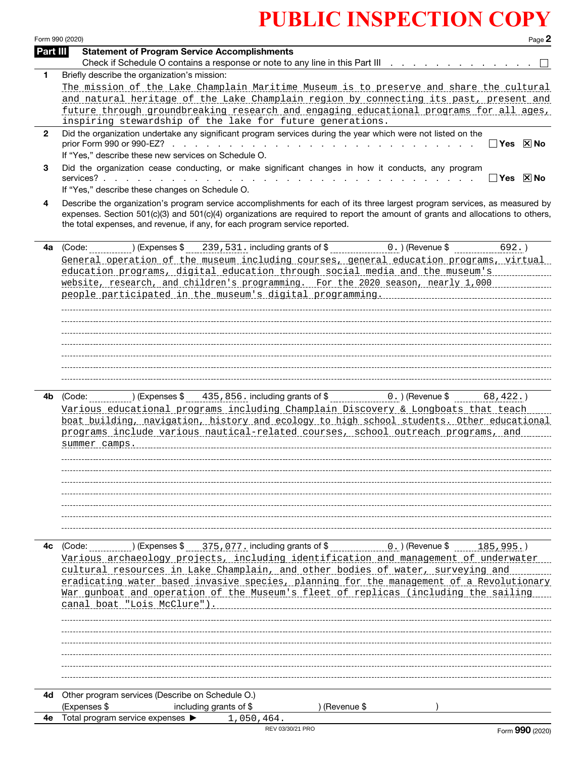|                | Form 990 (2020)<br>Page 2                                                                                                                                                                                                                                                                                                                                                                                                                                                                                                              |
|----------------|----------------------------------------------------------------------------------------------------------------------------------------------------------------------------------------------------------------------------------------------------------------------------------------------------------------------------------------------------------------------------------------------------------------------------------------------------------------------------------------------------------------------------------------|
| Part III       | <b>Statement of Program Service Accomplishments</b>                                                                                                                                                                                                                                                                                                                                                                                                                                                                                    |
| 1              | Briefly describe the organization's mission:                                                                                                                                                                                                                                                                                                                                                                                                                                                                                           |
|                | The mission of the Lake Champlain Maritime Museum is to preserve and share the cultural<br>and natural heritage of the Lake Champlain region by connecting its past, present and<br>future through groundbreaking research and engaging educational programs for all ages,<br>inspiring stewardship of the lake for future generations.                                                                                                                                                                                                |
| $\overline{2}$ | Did the organization undertake any significant program services during the year which were not listed on the<br>If "Yes," describe these new services on Schedule O.                                                                                                                                                                                                                                                                                                                                                                   |
| 3              | Did the organization cease conducting, or make significant changes in how it conducts, any program<br>$\Box$ Yes $\Box$ No                                                                                                                                                                                                                                                                                                                                                                                                             |
| 4              | If "Yes," describe these changes on Schedule O.<br>Describe the organization's program service accomplishments for each of its three largest program services, as measured by<br>expenses. Section 501(c)(3) and 501(c)(4) organizations are required to report the amount of grants and allocations to others,<br>the total expenses, and revenue, if any, for each program service reported.                                                                                                                                         |
| 4a             | (Code:<br>General operation of the museum including courses, general education programs, virtual<br>education programs, digital education through social media and the museum s<br>website, research, and children's programmingFor.the 2020 season, nearly 1,000                                                                                                                                                                                                                                                                      |
| 4b             | (Code:<br>Various educational programs including Champlain Discovery & Longboats that teach<br>boat building, navigation, history and ecology to high school students. Other educational<br>programs_include_various_nautical-related_courses__school_outreach_programs__and                                                                                                                                                                                                                                                           |
| 4c l           | (Expenses \$ <sub>1111</sub> 375,077, including grants of \$ <sub>11111111111111</sub> 0, (Revenue \$ <sub>1111111</sub> 185,995, )<br>(Code:<br>Various archaeology projects, including identification and management of underwater<br>cultural resources in Lake Champlain, and other bodies of water, surveying and<br>eradicating water based invasive species, planning for the management of a Revolutionary<br>War gunboat and operation of the Museum's fleet of replicas (including the sailing<br>canal boat "Lois McClure") |
| 4d -           | Other program services (Describe on Schedule O.)                                                                                                                                                                                                                                                                                                                                                                                                                                                                                       |
|                |                                                                                                                                                                                                                                                                                                                                                                                                                                                                                                                                        |
|                | (Expenses \$<br>including grants of \$<br>) (Revenue \$                                                                                                                                                                                                                                                                                                                                                                                                                                                                                |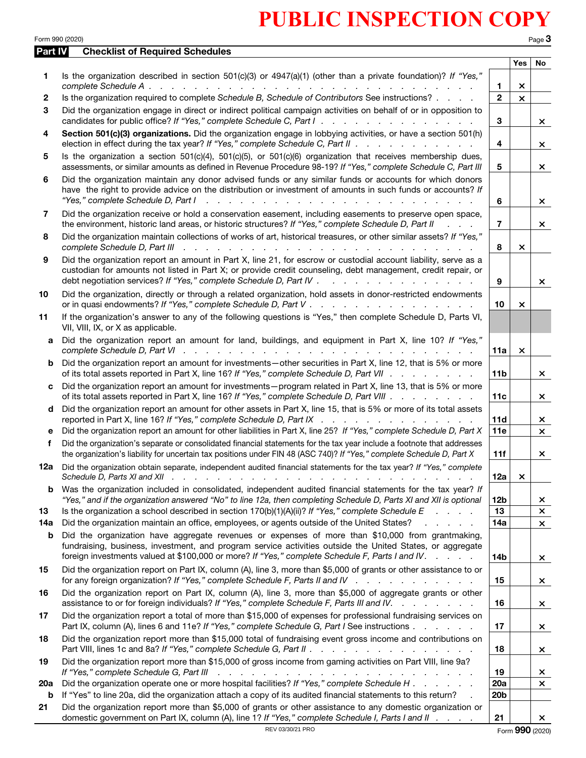|              | Form 990 (2020)                                                                                                                                                                                                                                                                                                                                                                                      |                 |                           | Page $3$             |
|--------------|------------------------------------------------------------------------------------------------------------------------------------------------------------------------------------------------------------------------------------------------------------------------------------------------------------------------------------------------------------------------------------------------------|-----------------|---------------------------|----------------------|
| Part IV      | <b>Checklist of Required Schedules</b>                                                                                                                                                                                                                                                                                                                                                               |                 |                           |                      |
|              |                                                                                                                                                                                                                                                                                                                                                                                                      |                 | Yes $ $                   | <b>No</b>            |
| 1            | Is the organization described in section 501(c)(3) or 4947(a)(1) (other than a private foundation)? If "Yes,"                                                                                                                                                                                                                                                                                        | 1               | $\times$                  |                      |
| $\mathbf{2}$ | Is the organization required to complete Schedule B, Schedule of Contributors See instructions?                                                                                                                                                                                                                                                                                                      | $\mathbf{2}$    | $\boldsymbol{\mathsf{x}}$ |                      |
| 3            | Did the organization engage in direct or indirect political campaign activities on behalf of or in opposition to<br>candidates for public office? If "Yes," complete Schedule C, Part I.                                                                                                                                                                                                             | 3               |                           | $\times$             |
| 4            | Section 501(c)(3) organizations. Did the organization engage in lobbying activities, or have a section 501(h)<br>election in effect during the tax year? If "Yes," complete Schedule C, Part II                                                                                                                                                                                                      | 4               |                           | $\times$             |
| 5            | Is the organization a section $501(c)(4)$ , $501(c)(5)$ , or $501(c)(6)$ organization that receives membership dues,<br>assessments, or similar amounts as defined in Revenue Procedure 98-19? If "Yes," complete Schedule C, Part III                                                                                                                                                               | 5               |                           | $\times$             |
| 6            | Did the organization maintain any donor advised funds or any similar funds or accounts for which donors<br>have the right to provide advice on the distribution or investment of amounts in such funds or accounts? If<br>"Yes," complete Schedule D, Part I<br>$\mathbf{r}$ , $\mathbf{r}$ , $\mathbf{r}$ , $\mathbf{r}$ , $\mathbf{r}$ , $\mathbf{r}$ , $\mathbf{r}$ , $\mathbf{r}$ , $\mathbf{r}$ | 6               |                           | ×                    |
| 7            | Did the organization receive or hold a conservation easement, including easements to preserve open space,<br>the environment, historic land areas, or historic structures? If "Yes," complete Schedule D, Part II                                                                                                                                                                                    | $\overline{7}$  |                           | $\times$             |
| 8            | Did the organization maintain collections of works of art, historical treasures, or other similar assets? If "Yes,"                                                                                                                                                                                                                                                                                  | 8               | $\boldsymbol{\mathsf{x}}$ |                      |
| 9            | Did the organization report an amount in Part X, line 21, for escrow or custodial account liability, serve as a<br>custodian for amounts not listed in Part X; or provide credit counseling, debt management, credit repair, or<br>debt negotiation services? If "Yes," complete Schedule D, Part IV                                                                                                 | 9               |                           | $\times$             |
| 10           | Did the organization, directly or through a related organization, hold assets in donor-restricted endowments                                                                                                                                                                                                                                                                                         | 10              | $\times$                  |                      |
| 11           | If the organization's answer to any of the following questions is "Yes," then complete Schedule D, Parts VI,<br>VII, VIII, IX, or X as applicable.                                                                                                                                                                                                                                                   |                 |                           |                      |
| a            | Did the organization report an amount for land, buildings, and equipment in Part X, line 10? If "Yes,"                                                                                                                                                                                                                                                                                               | 11a             | $\times$                  |                      |
| b            | Did the organization report an amount for investments-other securities in Part X, line 12, that is 5% or more<br>of its total assets reported in Part X, line 16? If "Yes," complete Schedule D, Part VII                                                                                                                                                                                            | 11 <sub>b</sub> |                           | ×                    |
| c            | Did the organization report an amount for investments - program related in Part X, line 13, that is 5% or more<br>of its total assets reported in Part X, line 16? If "Yes," complete Schedule D, Part VIII                                                                                                                                                                                          | 11c             |                           | ×                    |
| d            | Did the organization report an amount for other assets in Part X, line 15, that is 5% or more of its total assets<br>reported in Part X, line 16? If "Yes," complete Schedule D, Part IX                                                                                                                                                                                                             | 11d             |                           | $\times$             |
| е            | Did the organization report an amount for other liabilities in Part X, line 25? If "Yes," complete Schedule D, Part X                                                                                                                                                                                                                                                                                | 11e             |                           | $\times$             |
| f            | Did the organization's separate or consolidated financial statements for the tax year include a footnote that addresses<br>the organization's liability for uncertain tax positions under FIN 48 (ASC 740)? If "Yes," complete Schedule D, Part X                                                                                                                                                    | 11f             |                           | $\times$             |
| 12а          | Did the organization obtain separate, independent audited financial statements for the tax year? If "Yes," complete                                                                                                                                                                                                                                                                                  | 12a             | ×                         |                      |
| b            | Was the organization included in consolidated, independent audited financial statements for the tax year? If<br>"Yes," and if the organization answered "No" to line 12a, then completing Schedule D, Parts XI and XII is optional                                                                                                                                                                   | 12b             |                           | ×.                   |
| 13<br>14a    | Is the organization a school described in section $170(b)(1)(A)(ii)?$ If "Yes," complete Schedule E<br>Did the organization maintain an office, employees, or agents outside of the United States?                                                                                                                                                                                                   | 13<br>14a       |                           | $\times$<br>$\times$ |
| b            | Did the organization have aggregate revenues or expenses of more than \$10,000 from grantmaking,                                                                                                                                                                                                                                                                                                     |                 |                           |                      |
|              | fundraising, business, investment, and program service activities outside the United States, or aggregate<br>foreign investments valued at \$100,000 or more? If "Yes," complete Schedule F, Parts I and IV.                                                                                                                                                                                         | 14b             |                           | ×                    |
| 15           | Did the organization report on Part IX, column (A), line 3, more than \$5,000 of grants or other assistance to or<br>for any foreign organization? If "Yes," complete Schedule F, Parts II and IV                                                                                                                                                                                                    | 15              |                           | ×                    |
| 16           | Did the organization report on Part IX, column (A), line 3, more than \$5,000 of aggregate grants or other<br>assistance to or for foreign individuals? If "Yes," complete Schedule F, Parts III and IV.                                                                                                                                                                                             | 16              |                           | ×                    |
| 17           | Did the organization report a total of more than \$15,000 of expenses for professional fundraising services on<br>Part IX, column (A), lines 6 and 11e? If "Yes," complete Schedule G, Part I See instructions                                                                                                                                                                                       | 17              |                           | ×                    |
| 18           | Did the organization report more than \$15,000 total of fundraising event gross income and contributions on<br>Part VIII, lines 1c and 8a? If "Yes," complete Schedule G, Part II                                                                                                                                                                                                                    | 18              |                           | ×                    |
| 19           | Did the organization report more than \$15,000 of gross income from gaming activities on Part VIII, line 9a?<br>If "Yes," complete Schedule G, Part III<br>والمتعاون والمتعاون والمتعاون والمتعاونة والمتعاونة والمتعاونة والمتعاونة والمتعاونة                                                                                                                                                      | 19              |                           | ×.                   |
| 20a          | Did the organization operate one or more hospital facilities? If "Yes," complete Schedule H                                                                                                                                                                                                                                                                                                          | 20a             |                           | ×                    |
| b            | If "Yes" to line 20a, did the organization attach a copy of its audited financial statements to this return?                                                                                                                                                                                                                                                                                         | 20 <sub>b</sub> |                           |                      |
| 21           | Did the organization report more than \$5,000 of grants or other assistance to any domestic organization or<br>domestic government on Part IX, column (A), line 1? If "Yes," complete Schedule I, Parts I and II                                                                                                                                                                                     | 21              |                           | ×                    |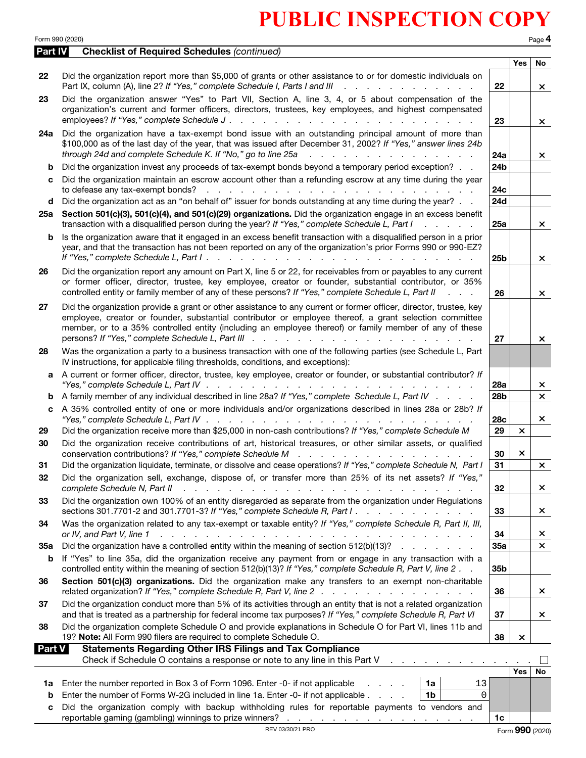|         | Form 990 (2020)                                                                                                                                                                                                                                                                                                                                                                                                                                                                                                                                           |                 |                           | Page 4    |
|---------|-----------------------------------------------------------------------------------------------------------------------------------------------------------------------------------------------------------------------------------------------------------------------------------------------------------------------------------------------------------------------------------------------------------------------------------------------------------------------------------------------------------------------------------------------------------|-----------------|---------------------------|-----------|
| Part IV | <b>Checklist of Required Schedules (continued)</b>                                                                                                                                                                                                                                                                                                                                                                                                                                                                                                        |                 |                           |           |
|         |                                                                                                                                                                                                                                                                                                                                                                                                                                                                                                                                                           |                 | Yes                       | No        |
| 22      | Did the organization report more than \$5,000 of grants or other assistance to or for domestic individuals on<br>Part IX, column (A), line 2? If "Yes," complete Schedule I, Parts I and III                                                                                                                                                                                                                                                                                                                                                              | 22              |                           | ×         |
| 23      | Did the organization answer "Yes" to Part VII, Section A, line 3, 4, or 5 about compensation of the<br>organization's current and former officers, directors, trustees, key employees, and highest compensated<br>employees? If "Yes," complete Schedule J.<br>$\mathbf{L} = \mathbf{L} \times \mathbf{L} = \mathbf{L}$<br>and the contract of the contract of the contract of the contract of the contract of the contract of the contract of the contract of the contract of the contract of the contract of the contract of the contract of the contra | 23              |                           | ×.        |
| 24a     | Did the organization have a tax-exempt bond issue with an outstanding principal amount of more than<br>\$100,000 as of the last day of the year, that was issued after December 31, 2002? If "Yes," answer lines 24b<br>through 24d and complete Schedule K. If "No," go to line 25a<br>and the contract of the contract of the con-                                                                                                                                                                                                                      | 24a             |                           | ×.        |
| b       | Did the organization invest any proceeds of tax-exempt bonds beyond a temporary period exception?                                                                                                                                                                                                                                                                                                                                                                                                                                                         | 24 <sub>b</sub> |                           |           |
| c       | Did the organization maintain an escrow account other than a refunding escrow at any time during the year<br>to defease any tax-exempt bonds?<br>والمتواط والمتواط والمتواط والمتواط والمتواط والمتواط والمتواط والمتواطئ                                                                                                                                                                                                                                                                                                                                 | 24c             |                           |           |
| d       | Did the organization act as an "on behalf of" issuer for bonds outstanding at any time during the year?                                                                                                                                                                                                                                                                                                                                                                                                                                                   | <b>24d</b>      |                           |           |
| 25a     | Section 501(c)(3), 501(c)(4), and 501(c)(29) organizations. Did the organization engage in an excess benefit<br>transaction with a disqualified person during the year? If "Yes," complete Schedule L, Part I<br>and a contract of                                                                                                                                                                                                                                                                                                                        | 25a             |                           | ×.        |
| b       | Is the organization aware that it engaged in an excess benefit transaction with a disqualified person in a prior<br>year, and that the transaction has not been reported on any of the organization's prior Forms 990 or 990-EZ?<br>If "Yes," complete Schedule L, Part I.<br><b>Contract Contract</b>                                                                                                                                                                                                                                                    | 25 <sub>b</sub> |                           | ×         |
| 26      | Did the organization report any amount on Part X, line 5 or 22, for receivables from or payables to any current<br>or former officer, director, trustee, key employee, creator or founder, substantial contributor, or 35%<br>controlled entity or family member of any of these persons? If "Yes," complete Schedule L, Part II<br><b>Contract Contract</b>                                                                                                                                                                                              | 26              |                           | ×.        |
| 27      | Did the organization provide a grant or other assistance to any current or former officer, director, trustee, key<br>employee, creator or founder, substantial contributor or employee thereof, a grant selection committee<br>member, or to a 35% controlled entity (including an employee thereof) or family member of any of these                                                                                                                                                                                                                     | 27              |                           | ×.        |
| 28      | Was the organization a party to a business transaction with one of the following parties (see Schedule L, Part<br>IV instructions, for applicable filing thresholds, conditions, and exceptions):                                                                                                                                                                                                                                                                                                                                                         |                 |                           |           |
| а       | A current or former officer, director, trustee, key employee, creator or founder, or substantial contributor? If                                                                                                                                                                                                                                                                                                                                                                                                                                          | 28a             |                           | ×         |
| b       | A family member of any individual described in line 28a? If "Yes," complete Schedule L, Part IV                                                                                                                                                                                                                                                                                                                                                                                                                                                           | 28 <sub>b</sub> |                           | $\times$  |
| С       | A 35% controlled entity of one or more individuals and/or organizations described in lines 28a or 28b? If<br>"Yes," complete Schedule L, Part IV $\ldots$ $\ldots$ $\ldots$ $\ldots$ $\ldots$ $\ldots$ $\ldots$ $\ldots$                                                                                                                                                                                                                                                                                                                                  | 28 <sub>c</sub> |                           | ×         |
| 29      | Did the organization receive more than \$25,000 in non-cash contributions? If "Yes," complete Schedule M                                                                                                                                                                                                                                                                                                                                                                                                                                                  | 29              | $\times$                  |           |
| 30      | Did the organization receive contributions of art, historical treasures, or other similar assets, or qualified                                                                                                                                                                                                                                                                                                                                                                                                                                            | 30              | ×                         |           |
| 31      | Did the organization liquidate, terminate, or dissolve and cease operations? If "Yes," complete Schedule N, Part I                                                                                                                                                                                                                                                                                                                                                                                                                                        | 31              |                           | ×         |
| 32      | Did the organization sell, exchange, dispose of, or transfer more than 25% of its net assets? If "Yes,"<br>complete Schedule N, Part II<br>and the contract of the contract of the contract of the contract of the contract of                                                                                                                                                                                                                                                                                                                            | 32              |                           | ×.        |
| 33      | Did the organization own 100% of an entity disregarded as separate from the organization under Regulations<br>sections 301.7701-2 and 301.7701-3? If "Yes," complete Schedule R, Part I.                                                                                                                                                                                                                                                                                                                                                                  | 33              |                           | ×         |
| 34      | Was the organization related to any tax-exempt or taxable entity? If "Yes," complete Schedule R, Part II, III,<br>or IV, and Part V, line 1<br>والمتعاون والمتعاون والمتعاون والمتعاونة والمتعاونة والمتعاونة والمتعاونة والمتعاونة                                                                                                                                                                                                                                                                                                                       | 34              |                           | ×         |
| 35а     | Did the organization have a controlled entity within the meaning of section $512(b)(13)?$                                                                                                                                                                                                                                                                                                                                                                                                                                                                 | 35a             |                           | $\times$  |
| b       | If "Yes" to line 35a, did the organization receive any payment from or engage in any transaction with a<br>controlled entity within the meaning of section 512(b)(13)? If "Yes," complete Schedule R, Part V, line 2.                                                                                                                                                                                                                                                                                                                                     | 35b             |                           |           |
| 36      | Section 501(c)(3) organizations. Did the organization make any transfers to an exempt non-charitable<br>related organization? If "Yes," complete Schedule R, Part V, line 2                                                                                                                                                                                                                                                                                                                                                                               | 36              |                           | ×         |
| 37      | Did the organization conduct more than 5% of its activities through an entity that is not a related organization<br>and that is treated as a partnership for federal income tax purposes? If "Yes," complete Schedule R, Part VI                                                                                                                                                                                                                                                                                                                          | 37              |                           | ×         |
| 38      | Did the organization complete Schedule O and provide explanations in Schedule O for Part VI, lines 11b and<br>19? Note: All Form 990 filers are required to complete Schedule O.                                                                                                                                                                                                                                                                                                                                                                          | 38              | $\boldsymbol{\mathsf{x}}$ |           |
| Part V  | <b>Statements Regarding Other IRS Filings and Tax Compliance</b><br>Check if Schedule O contains a response or note to any line in this Part V<br>and a strain and a strain and a strain                                                                                                                                                                                                                                                                                                                                                                  |                 |                           |           |
|         |                                                                                                                                                                                                                                                                                                                                                                                                                                                                                                                                                           |                 | <b>Yes</b>                | <b>No</b> |
| 1a      | Enter the number reported in Box 3 of Form 1096. Enter -0- if not applicable<br>13<br>1a<br>and a state                                                                                                                                                                                                                                                                                                                                                                                                                                                   |                 |                           |           |
| b       | Enter the number of Forms W-2G included in line 1a. Enter -0- if not applicable<br>1 <sub>b</sub><br>$\Omega$                                                                                                                                                                                                                                                                                                                                                                                                                                             |                 |                           |           |
| c       | Did the organization comply with backup withholding rules for reportable payments to vendors and                                                                                                                                                                                                                                                                                                                                                                                                                                                          | 1c              |                           |           |
|         |                                                                                                                                                                                                                                                                                                                                                                                                                                                                                                                                                           |                 |                           |           |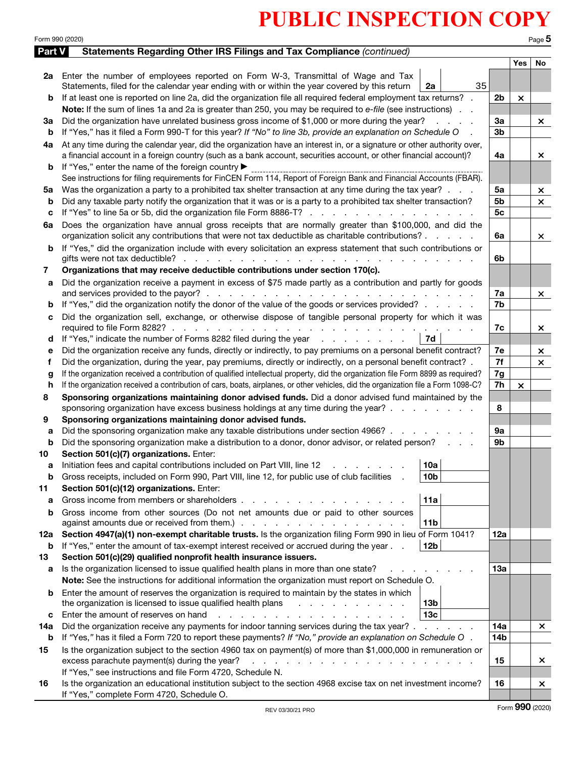| Form 990 (2020) |                                                                                                                                                                                                                                                                                              |                |            | Page 5   |  |  |  |  |  |  |
|-----------------|----------------------------------------------------------------------------------------------------------------------------------------------------------------------------------------------------------------------------------------------------------------------------------------------|----------------|------------|----------|--|--|--|--|--|--|
| Part V          | Statements Regarding Other IRS Filings and Tax Compliance (continued)                                                                                                                                                                                                                        |                |            |          |  |  |  |  |  |  |
|                 |                                                                                                                                                                                                                                                                                              |                | <b>Yes</b> | No.      |  |  |  |  |  |  |
|                 | 2a Enter the number of employees reported on Form W-3, Transmittal of Wage and Tax                                                                                                                                                                                                           |                |            |          |  |  |  |  |  |  |
|                 | 35<br>Statements, filed for the calendar year ending with or within the year covered by this return<br>2a                                                                                                                                                                                    |                |            |          |  |  |  |  |  |  |
| b               | If at least one is reported on line 2a, did the organization file all required federal employment tax returns? .                                                                                                                                                                             | 2 <sub>b</sub> | ×          |          |  |  |  |  |  |  |
|                 | Note: If the sum of lines 1a and 2a is greater than 250, you may be required to e-file (see instructions).                                                                                                                                                                                   |                |            |          |  |  |  |  |  |  |
| За              | Did the organization have unrelated business gross income of \$1,000 or more during the year?                                                                                                                                                                                                | За             |            | ×        |  |  |  |  |  |  |
| b               | If "Yes," has it filed a Form 990-T for this year? If "No" to line 3b, provide an explanation on Schedule O                                                                                                                                                                                  |                |            |          |  |  |  |  |  |  |
| 4а              | At any time during the calendar year, did the organization have an interest in, or a signature or other authority over,                                                                                                                                                                      |                |            |          |  |  |  |  |  |  |
|                 | a financial account in a foreign country (such as a bank account, securities account, or other financial account)?                                                                                                                                                                           | 4a             |            | ×        |  |  |  |  |  |  |
| b               | If "Yes," enter the name of the foreign country ▶                                                                                                                                                                                                                                            |                |            |          |  |  |  |  |  |  |
|                 | See instructions for filing requirements for FinCEN Form 114, Report of Foreign Bank and Financial Accounts (FBAR).                                                                                                                                                                          |                |            |          |  |  |  |  |  |  |
| 5a              | Was the organization a party to a prohibited tax shelter transaction at any time during the tax year?                                                                                                                                                                                        | 5a             |            | $\times$ |  |  |  |  |  |  |
| b               | Did any taxable party notify the organization that it was or is a party to a prohibited tax shelter transaction?                                                                                                                                                                             | 5b             |            | $\times$ |  |  |  |  |  |  |
| c               | If "Yes" to line 5a or 5b, did the organization file Form 8886-T?                                                                                                                                                                                                                            | 5с             |            |          |  |  |  |  |  |  |
| 6a              | Does the organization have annual gross receipts that are normally greater than \$100,000, and did the                                                                                                                                                                                       |                |            |          |  |  |  |  |  |  |
|                 | organization solicit any contributions that were not tax deductible as charitable contributions?                                                                                                                                                                                             | 6a             |            | $\times$ |  |  |  |  |  |  |
| b               | If "Yes," did the organization include with every solicitation an express statement that such contributions or                                                                                                                                                                               |                |            |          |  |  |  |  |  |  |
|                 | gifts were not tax deductible?<br>and the contract of the contract of the contract of the                                                                                                                                                                                                    | 6b             |            |          |  |  |  |  |  |  |
| 7               | Organizations that may receive deductible contributions under section 170(c).                                                                                                                                                                                                                |                |            |          |  |  |  |  |  |  |
| а               | Did the organization receive a payment in excess of \$75 made partly as a contribution and partly for goods                                                                                                                                                                                  |                |            |          |  |  |  |  |  |  |
|                 | and services provided to the payor?.<br>the second contract of the second contract of the second contract of the second contract of the second contract of the second contract of the second contract of the second contract of the second contract of the second cont                       | 7a             |            | $\times$ |  |  |  |  |  |  |
| b               | If "Yes," did the organization notify the donor of the value of the goods or services provided?                                                                                                                                                                                              | 7b             |            |          |  |  |  |  |  |  |
| с               | Did the organization sell, exchange, or otherwise dispose of tangible personal property for which it was                                                                                                                                                                                     |                |            |          |  |  |  |  |  |  |
|                 |                                                                                                                                                                                                                                                                                              | 7c             |            | ×        |  |  |  |  |  |  |
| d               | If "Yes," indicate the number of Forms 8282 filed during the year<br>7d                                                                                                                                                                                                                      |                |            |          |  |  |  |  |  |  |
| е               | Did the organization receive any funds, directly or indirectly, to pay premiums on a personal benefit contract?                                                                                                                                                                              | 7e             |            | ×        |  |  |  |  |  |  |
| f               | Did the organization, during the year, pay premiums, directly or indirectly, on a personal benefit contract? .                                                                                                                                                                               | 7f             |            | $\times$ |  |  |  |  |  |  |
| g               | If the organization received a contribution of qualified intellectual property, did the organization file Form 8899 as required?                                                                                                                                                             | 7g<br>7h       | ×          |          |  |  |  |  |  |  |
| h               | If the organization received a contribution of cars, boats, airplanes, or other vehicles, did the organization file a Form 1098-C?                                                                                                                                                           |                |            |          |  |  |  |  |  |  |
| 8               | Sponsoring organizations maintaining donor advised funds. Did a donor advised fund maintained by the                                                                                                                                                                                         |                |            |          |  |  |  |  |  |  |
| 9               | sponsoring organization have excess business holdings at any time during the year?<br>Sponsoring organizations maintaining donor advised funds.                                                                                                                                              | 8              |            |          |  |  |  |  |  |  |
| а               | Did the sponsoring organization make any taxable distributions under section 4966?                                                                                                                                                                                                           | 9а             |            |          |  |  |  |  |  |  |
| b               | Did the sponsoring organization make a distribution to a donor, donor advisor, or related person?                                                                                                                                                                                            | 9b             |            |          |  |  |  |  |  |  |
| 10              | Section 501(c)(7) organizations. Enter:                                                                                                                                                                                                                                                      |                |            |          |  |  |  |  |  |  |
|                 | 10a <br>Initiation fees and capital contributions included on Part VIII, line 12 \[matter states and capital contributions included on Part VIII, line 12 \[matter states in the states of the states of the states of the states of t                                                       |                |            |          |  |  |  |  |  |  |
| b               | 10 <sub>b</sub><br>Gross receipts, included on Form 990, Part VIII, line 12, for public use of club facilities                                                                                                                                                                               |                |            |          |  |  |  |  |  |  |
| 11              | Section 501(c)(12) organizations. Enter:                                                                                                                                                                                                                                                     |                |            |          |  |  |  |  |  |  |
| a               | 11a<br>Gross income from members or shareholders.                                                                                                                                                                                                                                            |                |            |          |  |  |  |  |  |  |
| b               | Gross income from other sources (Do not net amounts due or paid to other sources                                                                                                                                                                                                             |                |            |          |  |  |  |  |  |  |
|                 | 11 <sub>b</sub>                                                                                                                                                                                                                                                                              |                |            |          |  |  |  |  |  |  |
| 12a             | Section 4947(a)(1) non-exempt charitable trusts. Is the organization filing Form 990 in lieu of Form 1041?                                                                                                                                                                                   | 12a            |            |          |  |  |  |  |  |  |
| b               | 12 <sub>b</sub><br>If "Yes," enter the amount of tax-exempt interest received or accrued during the year                                                                                                                                                                                     |                |            |          |  |  |  |  |  |  |
| 13              | Section 501(c)(29) qualified nonprofit health insurance issuers.                                                                                                                                                                                                                             |                |            |          |  |  |  |  |  |  |
| а               | Is the organization licensed to issue qualified health plans in more than one state?                                                                                                                                                                                                         | 13a            |            |          |  |  |  |  |  |  |
|                 | Note: See the instructions for additional information the organization must report on Schedule O.                                                                                                                                                                                            |                |            |          |  |  |  |  |  |  |
| b               | Enter the amount of reserves the organization is required to maintain by the states in which                                                                                                                                                                                                 |                |            |          |  |  |  |  |  |  |
|                 | the organization is licensed to issue qualified health plans<br>13 <sub>b</sub>                                                                                                                                                                                                              |                |            |          |  |  |  |  |  |  |
| с               | 13 <sub>c</sub><br>Enter the amount of reserves on hand<br>$\mathbf{r}$ . The set of the set of the set of the set of the set of the set of the set of the set of the set of the set of the set of the set of the set of the set of the set of the set of the set of the set of the set of t |                |            |          |  |  |  |  |  |  |
| 14a             | Did the organization receive any payments for indoor tanning services during the tax year? .<br>the company of the company                                                                                                                                                                   | 14a            |            | ×.       |  |  |  |  |  |  |
| b               | If "Yes," has it filed a Form 720 to report these payments? If "No," provide an explanation on Schedule O.                                                                                                                                                                                   | 14b            |            |          |  |  |  |  |  |  |
| 15              | Is the organization subject to the section 4960 tax on payment(s) of more than \$1,000,000 in remuneration or                                                                                                                                                                                |                |            |          |  |  |  |  |  |  |
|                 | excess parachute payment(s) during the year?<br>$\mathbf{r}$ , $\mathbf{r}$ , $\mathbf{r}$ , $\mathbf{r}$ , $\mathbf{r}$ , $\mathbf{r}$                                                                                                                                                      | 15             |            | ×        |  |  |  |  |  |  |
|                 | If "Yes," see instructions and file Form 4720, Schedule N.                                                                                                                                                                                                                                   |                |            |          |  |  |  |  |  |  |
| 16              | Is the organization an educational institution subject to the section 4968 excise tax on net investment income?                                                                                                                                                                              | 16             |            | ×.       |  |  |  |  |  |  |
|                 | If "Yes," complete Form 4720, Schedule O.                                                                                                                                                                                                                                                    |                |            |          |  |  |  |  |  |  |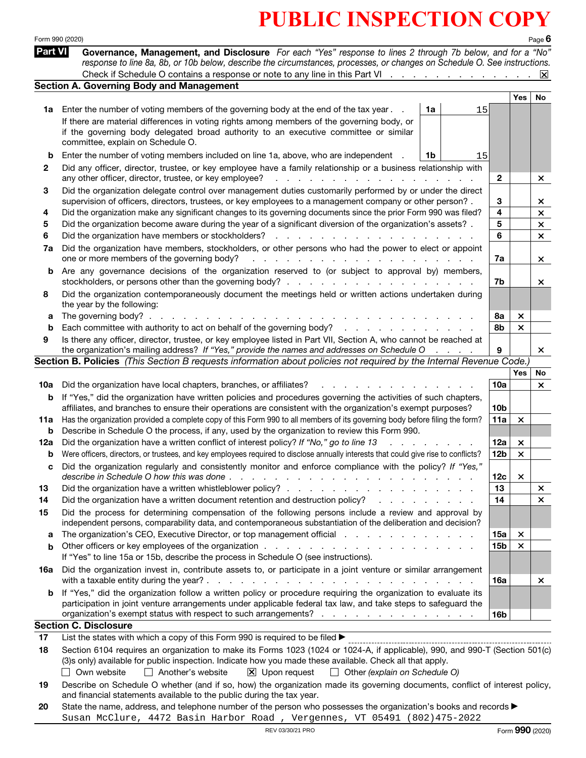|                | Form 990 (2020)                                                                                                                                                                                                                                  |    |                      |                 |                           | Page $6$              |
|----------------|--------------------------------------------------------------------------------------------------------------------------------------------------------------------------------------------------------------------------------------------------|----|----------------------|-----------------|---------------------------|-----------------------|
| <b>Part VI</b> | Governance, Management, and Disclosure For each "Yes" response to lines 2 through 7b below, and for a "No"<br>response to line 8a, 8b, or 10b below, describe the circumstances, processes, or changes on Schedule O. See instructions.          |    |                      |                 |                           |                       |
|                | Check if Schedule O contains a response or note to any line in this Part VI                                                                                                                                                                      |    |                      |                 |                           | $\mathbf{\times}$     |
|                | <b>Section A. Governing Body and Management</b>                                                                                                                                                                                                  |    |                      |                 |                           |                       |
|                |                                                                                                                                                                                                                                                  |    |                      |                 | Yes                       | No.                   |
| 1a             | Enter the number of voting members of the governing body at the end of the tax year.                                                                                                                                                             | 1a | 15                   |                 |                           |                       |
|                | If there are material differences in voting rights among members of the governing body, or                                                                                                                                                       |    |                      |                 |                           |                       |
|                | if the governing body delegated broad authority to an executive committee or similar<br>committee, explain on Schedule O.                                                                                                                        |    |                      |                 |                           |                       |
|                |                                                                                                                                                                                                                                                  |    |                      |                 |                           |                       |
| b              | Enter the number of voting members included on line 1a, above, who are independent                                                                                                                                                               | 1b | 15                   |                 |                           |                       |
| 2              | Did any officer, director, trustee, or key employee have a family relationship or a business relationship with<br>any other officer, director, trustee, or key employee?<br>and a state of the state of                                          |    |                      | $\mathbf{2}$    |                           | ×                     |
| 3              | Did the organization delegate control over management duties customarily performed by or under the direct<br>supervision of officers, directors, trustees, or key employees to a management company or other person?.                            |    |                      | 3               |                           | ×                     |
| 4              | Did the organization make any significant changes to its governing documents since the prior Form 990 was filed?                                                                                                                                 |    |                      | 4               |                           | $\times$              |
| 5              | Did the organization become aware during the year of a significant diversion of the organization's assets? .                                                                                                                                     |    |                      | 5               |                           | $\boldsymbol{\times}$ |
| 6              | Did the organization have members or stockholders?<br>$\mathcal{L} = \{1, \ldots, n\}$                                                                                                                                                           |    |                      | 6               |                           | $\times$              |
| 7a             | Did the organization have members, stockholders, or other persons who had the power to elect or appoint<br>one or more members of the governing body?<br>.                                                                                       |    |                      | 7a              |                           | ×.                    |
| b              | Are any governance decisions of the organization reserved to (or subject to approval by) members,                                                                                                                                                |    |                      |                 |                           |                       |
|                | stockholders, or persons other than the governing body?                                                                                                                                                                                          |    |                      | 7b              |                           | ×                     |
| 8              | Did the organization contemporaneously document the meetings held or written actions undertaken during<br>the year by the following:                                                                                                             |    |                      |                 |                           |                       |
| а              | The governing body? $\ldots$                                                                                                                                                                                                                     |    |                      | 8a              | ×                         |                       |
| b              | Each committee with authority to act on behalf of the governing body?<br>the contract of the contract of the                                                                                                                                     |    |                      | 8b              | ×                         |                       |
| 9              | Is there any officer, director, trustee, or key employee listed in Part VII, Section A, who cannot be reached at                                                                                                                                 |    |                      |                 |                           |                       |
|                | the organization's mailing address? If "Yes," provide the names and addresses on Schedule O                                                                                                                                                      |    | <b>Service State</b> | 9               |                           | ×                     |
|                | Section B. Policies (This Section B requests information about policies not required by the Internal Revenue Code.)                                                                                                                              |    |                      |                 |                           |                       |
|                |                                                                                                                                                                                                                                                  |    |                      |                 | Yes                       | No                    |
| 10a            | Did the organization have local chapters, branches, or affiliates?                                                                                                                                                                               |    |                      | 10a             |                           | $\times$              |
| b              | If "Yes," did the organization have written policies and procedures governing the activities of such chapters,                                                                                                                                   |    |                      |                 |                           |                       |
|                | affiliates, and branches to ensure their operations are consistent with the organization's exempt purposes?                                                                                                                                      |    |                      | 10 <sub>b</sub> |                           |                       |
| 11a            | Has the organization provided a complete copy of this Form 990 to all members of its governing body before filing the form?                                                                                                                      |    |                      | 11a             | ×                         |                       |
| b              | Describe in Schedule O the process, if any, used by the organization to review this Form 990.                                                                                                                                                    |    |                      |                 |                           |                       |
| 12a            | Did the organization have a written conflict of interest policy? If "No," go to line 13                                                                                                                                                          |    |                      | 12a             | ×                         |                       |
| b              | Were officers, directors, or trustees, and key employees required to disclose annually interests that could give rise to conflicts?                                                                                                              |    |                      | 12 <sub>b</sub> | $\boldsymbol{\mathsf{x}}$ |                       |
| с              | Did the organization regularly and consistently monitor and enforce compliance with the policy? If "Yes,                                                                                                                                         |    |                      |                 |                           |                       |
|                | describe in Schedule O how this was done $\cdots$ , $\cdots$ , $\cdots$ , $\cdots$ , $\cdots$ , $\cdots$ , $\cdots$ , $\cdots$ , $\cdots$                                                                                                        |    |                      | 12c<br>13       | ×                         |                       |
| 13             | Did the organization have a written document retention and destruction policy?<br>the contract of the contract of the                                                                                                                            |    |                      | 14              |                           | ×<br>$\mathsf{x}$     |
| 14             |                                                                                                                                                                                                                                                  |    |                      |                 |                           |                       |
| 15             | Did the process for determining compensation of the following persons include a review and approval by<br>independent persons, comparability data, and contemporaneous substantiation of the deliberation and decision?                          |    |                      |                 |                           |                       |
| а              | The organization's CEO, Executive Director, or top management official                                                                                                                                                                           |    |                      | <b>15a</b>      | ×                         |                       |
| b              |                                                                                                                                                                                                                                                  |    |                      | <b>15b</b>      | $\boldsymbol{\mathsf{x}}$ |                       |
|                | If "Yes" to line 15a or 15b, describe the process in Schedule O (see instructions).                                                                                                                                                              |    |                      |                 |                           |                       |
| 16a            | Did the organization invest in, contribute assets to, or participate in a joint venture or similar arrangement<br>with a taxable entity during the year?.<br>and the contract of the contract of the contract of the contract of the contract of |    |                      | <b>16a</b>      |                           | ×                     |
| b              | If "Yes," did the organization follow a written policy or procedure requiring the organization to evaluate its                                                                                                                                   |    |                      |                 |                           |                       |
|                | participation in joint venture arrangements under applicable federal tax law, and take steps to safeguard the<br>organization's exempt status with respect to such arrangements?                                                                 |    |                      | 16 <sub>b</sub> |                           |                       |
|                | <b>Section C. Disclosure</b>                                                                                                                                                                                                                     |    |                      |                 |                           |                       |
| 17             | List the states with which a copy of this Form 990 is required to be filed >                                                                                                                                                                     |    |                      |                 |                           |                       |
| 18             | Section 6104 requires an organization to make its Forms 1023 (1024 or 1024-A, if applicable), 990, and 990-T (Section 501(c)                                                                                                                     |    |                      |                 |                           |                       |
|                | (3)s only) available for public inspection. Indicate how you made these available. Check all that apply.<br>$\Box$ Another's website<br>$X$ Upon request<br>Own website<br>$\perp$<br>Other (explain on Schedule O)                              |    |                      |                 |                           |                       |
| 19             | Describe on Schedule O whether (and if so, how) the organization made its governing documents, conflict of interest policy,                                                                                                                      |    |                      |                 |                           |                       |
|                | and financial statements available to the public during the tax year.                                                                                                                                                                            |    |                      |                 |                           |                       |
| 20             | State the name, address, and telephone number of the person who possesses the organization's books and records $\blacktriangleright$                                                                                                             |    |                      |                 |                           |                       |
|                | Susan McClure, 4472 Basin Harbor Road, Vergennes, VT 05491 (802)475-2022                                                                                                                                                                         |    |                      |                 |                           |                       |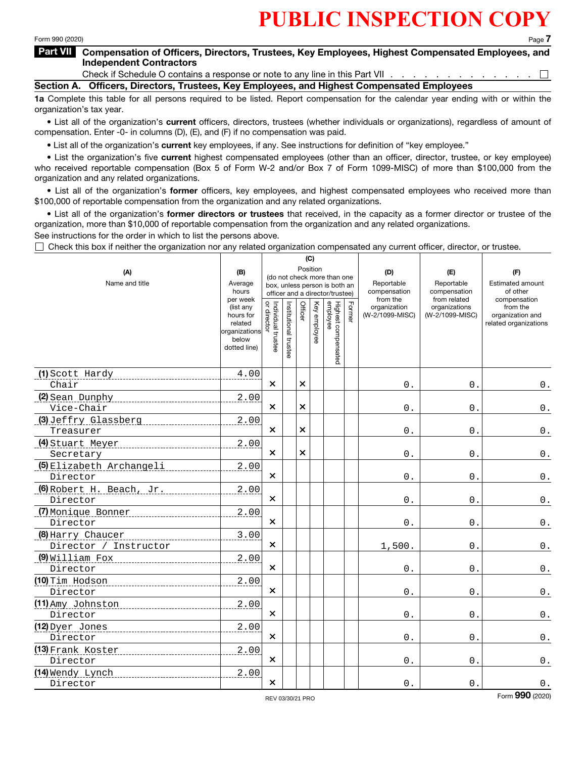#### **Part VII Compensation of Officers, Directors, Trustees, Key Employees, Highest Compensated Employees, and Independent Contractors**

Check if Schedule O contains a response or note to any line in this Part VII . . .  $\Box$ 

**Section A. Officers, Directors, Trustees, Key Employees, and Highest Compensated Employees**

**1a** Complete this table for all persons required to be listed. Report compensation for the calendar year ending with or within the organization's tax year.

• List all of the organization's **current** officers, directors, trustees (whether individuals or organizations), regardless of amount of compensation. Enter -0- in columns (D), (E), and (F) if no compensation was paid.

• List all of the organization's **current** key employees, if any. See instructions for definition of "key employee."

• List the organization's five **current** highest compensated employees (other than an officer, director, trustee, or key employee) who received reportable compensation (Box 5 of Form W-2 and/or Box 7 of Form 1099-MISC) of more than \$100,000 from the organization and any related organizations.

• List all of the organization's **former** officers, key employees, and highest compensated employees who received more than \$100,000 of reportable compensation from the organization and any related organizations.

• List all of the organization's **former directors or trustees** that received, in the capacity as a former director or trustee of the organization, more than \$10,000 of reportable compensation from the organization and any related organizations.

See instructions for the order in which to list the persons above.

 $\Box$  Check this box if neither the organization nor any related organization compensated any current officer, director, or trustee.

|                                            |                                                                             |                                   |                       |                           | (C)          |                                                                                                 |        |                                               |                                                   |                                                            |
|--------------------------------------------|-----------------------------------------------------------------------------|-----------------------------------|-----------------------|---------------------------|--------------|-------------------------------------------------------------------------------------------------|--------|-----------------------------------------------|---------------------------------------------------|------------------------------------------------------------|
| (A)<br>Name and title                      | (B)<br>Average<br>hours<br>per week                                         |                                   |                       |                           | Position     | (do not check more than one<br>box, unless person is both an<br>officer and a director/trustee) |        | (D)<br>Reportable<br>compensation<br>from the | (E)<br>Reportable<br>compensation<br>from related | (F)<br><b>Estimated amount</b><br>of other<br>compensation |
|                                            | (list any<br>hours for<br>related<br>organizations<br>below<br>dotted line) | Individual trustee<br>or director | Institutional trustee | Officer                   | Key employee | Highest compensated<br>employee                                                                 | Former | organization<br>(W-2/1099-MISC)               | organizations<br>(W-2/1099-MISC)                  | from the<br>organization and<br>related organizations      |
| (1) Scott Hardy<br>Chair                   | 4.00                                                                        | $\times$                          |                       | $\boldsymbol{\mathsf{x}}$ |              |                                                                                                 |        | $0$ .                                         | $\mathsf 0$ .                                     | $0$ .                                                      |
| (2) Sean Dunphy                            | 2.00                                                                        |                                   |                       |                           |              |                                                                                                 |        |                                               |                                                   |                                                            |
| Vice-Chair                                 |                                                                             | $\times$                          |                       | $\pmb{\times}$            |              |                                                                                                 |        | $\mathbf 0$ .                                 | $\mathsf 0$ .                                     | $0$ .                                                      |
| (3) Jeffry Glassberg<br>Treasurer          | 2.00                                                                        | $\boldsymbol{\mathsf{x}}$         |                       | $\times$                  |              |                                                                                                 |        | $0$ .                                         | 0.                                                | $0$ .                                                      |
| (4) Stuart Meyer                           | 2,00                                                                        |                                   |                       |                           |              |                                                                                                 |        |                                               |                                                   |                                                            |
| Secretary                                  |                                                                             | $\boldsymbol{\mathsf{x}}$         |                       | $\times$                  |              |                                                                                                 |        | $0$ .                                         | 0.                                                | $0$ .                                                      |
| (5) Elizabeth Archangeli                   | 2.00                                                                        |                                   |                       |                           |              |                                                                                                 |        |                                               |                                                   |                                                            |
| Director                                   |                                                                             | $\times$                          |                       |                           |              |                                                                                                 |        | $0$ .                                         | 0.                                                | $0$ .                                                      |
| (6) Robert H. Beach, Jr.                   | 2.00                                                                        |                                   |                       |                           |              |                                                                                                 |        |                                               |                                                   |                                                            |
| Director                                   |                                                                             | $\times$                          |                       |                           |              |                                                                                                 |        | 0.                                            | 0.                                                | $\mathbf 0$ .                                              |
| (7) Monique Bonner                         | 2.00                                                                        |                                   |                       |                           |              |                                                                                                 |        |                                               |                                                   |                                                            |
| Director                                   |                                                                             | $\times$                          |                       |                           |              |                                                                                                 |        | $0$ .                                         | 0.                                                | $0$ .                                                      |
| (8) Harry Chaucer<br>Director / Instructor | 3.00                                                                        | $\times$                          |                       |                           |              |                                                                                                 |        | 1,500.                                        | 0.                                                | $\mathsf 0$ .                                              |
| $(9)$ William Fox                          | 2.00                                                                        |                                   |                       |                           |              |                                                                                                 |        |                                               |                                                   |                                                            |
| Director                                   |                                                                             | $\times$                          |                       |                           |              |                                                                                                 |        | 0.                                            | 0.                                                | $0$ .                                                      |
| (10) Tim Hodson<br>Director                | 2.00                                                                        | $\times$                          |                       |                           |              |                                                                                                 |        | $0$ .                                         | 0.                                                | $\mathbf 0$ .                                              |
| (11) Amy Johnston                          | 2.00                                                                        |                                   |                       |                           |              |                                                                                                 |        |                                               |                                                   |                                                            |
| Director                                   |                                                                             | $\boldsymbol{\mathsf{x}}$         |                       |                           |              |                                                                                                 |        | $\boldsymbol{0}$ .                            | 0.                                                | $\mathbf 0$ .                                              |
| (12) Dyer Jones                            | 2.00                                                                        |                                   |                       |                           |              |                                                                                                 |        |                                               |                                                   |                                                            |
| Director                                   |                                                                             | ×                                 |                       |                           |              |                                                                                                 |        | $0$ .                                         | 0.                                                | $0$ .                                                      |
| (13) Frank Koster                          | 2.00                                                                        |                                   |                       |                           |              |                                                                                                 |        |                                               |                                                   |                                                            |
| Director                                   |                                                                             | X                                 |                       |                           |              |                                                                                                 |        | 0.                                            | 0.                                                | $\mathbf 0$ .                                              |
| (14) Wendy Lynch                           | 2.00                                                                        |                                   |                       |                           |              |                                                                                                 |        |                                               |                                                   |                                                            |
| Director                                   |                                                                             | $\times$                          |                       |                           |              |                                                                                                 |        | $0$ .                                         | 0.                                                | $0$ .                                                      |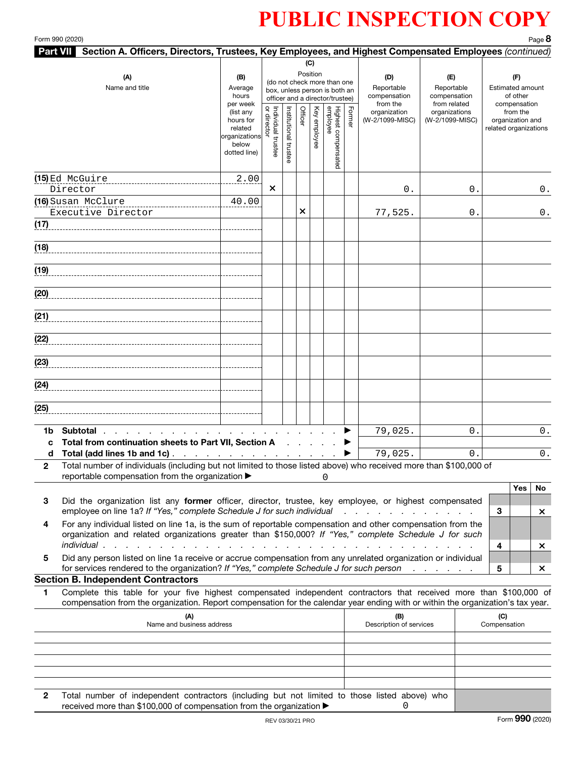| <b>Part VII</b> | Section A. Officers, Directors, Trustees, Key Employees, and Highest Compensated Employees (continued)                                                                                                                                                 |                       |                                                              |                       |         |                 |                                 |        |                                |                               |    |                       |                                |                    |
|-----------------|--------------------------------------------------------------------------------------------------------------------------------------------------------------------------------------------------------------------------------------------------------|-----------------------|--------------------------------------------------------------|-----------------------|---------|-----------------|---------------------------------|--------|--------------------------------|-------------------------------|----|-----------------------|--------------------------------|--------------------|
|                 |                                                                                                                                                                                                                                                        |                       |                                                              |                       |         | (C)<br>Position |                                 |        |                                |                               |    |                       |                                |                    |
|                 | (A)<br>Name and title                                                                                                                                                                                                                                  | (B)<br>Average        | (do not check more than one<br>box, unless person is both an |                       |         |                 |                                 |        | (D)<br>Reportable              | (E)<br>Reportable             |    |                       | (F)<br><b>Estimated amount</b> |                    |
|                 |                                                                                                                                                                                                                                                        | hours                 |                                                              |                       |         |                 | officer and a director/trustee) |        | compensation                   | compensation                  |    |                       | of other                       |                    |
|                 |                                                                                                                                                                                                                                                        | per week<br>(list any |                                                              |                       | Officer |                 |                                 | Former | from the<br>organization       | from related<br>organizations |    |                       | compensation<br>from the       |                    |
|                 |                                                                                                                                                                                                                                                        | hours for<br>related  | or director<br>Individual trustee                            | Institutional trustee |         | Key employee    | Highest compensated<br>employee |        | (W-2/1099-MISC)                | (W-2/1099-MISC)               |    | related organizations | organization and               |                    |
|                 |                                                                                                                                                                                                                                                        | organizations         |                                                              |                       |         |                 |                                 |        |                                |                               |    |                       |                                |                    |
|                 |                                                                                                                                                                                                                                                        | below<br>dotted line) |                                                              |                       |         |                 |                                 |        |                                |                               |    |                       |                                |                    |
|                 |                                                                                                                                                                                                                                                        |                       |                                                              |                       |         |                 |                                 |        |                                |                               |    |                       |                                |                    |
|                 | (15) Ed McGuire                                                                                                                                                                                                                                        | 2.00                  |                                                              |                       |         |                 |                                 |        |                                |                               |    |                       |                                |                    |
|                 | Director                                                                                                                                                                                                                                               |                       | $\times$                                                     |                       |         |                 |                                 |        | 0.                             |                               | 0. |                       |                                | 0.                 |
|                 | (16) Susan McClure                                                                                                                                                                                                                                     | 40.00                 |                                                              |                       |         |                 |                                 |        |                                |                               |    |                       |                                |                    |
|                 | Executive Director                                                                                                                                                                                                                                     |                       |                                                              |                       | ×       |                 |                                 |        | 77,525.                        |                               | 0. |                       |                                | 0.                 |
| (17)            |                                                                                                                                                                                                                                                        |                       |                                                              |                       |         |                 |                                 |        |                                |                               |    |                       |                                |                    |
| (18)            |                                                                                                                                                                                                                                                        |                       |                                                              |                       |         |                 |                                 |        |                                |                               |    |                       |                                |                    |
|                 |                                                                                                                                                                                                                                                        |                       |                                                              |                       |         |                 |                                 |        |                                |                               |    |                       |                                |                    |
| (19)            |                                                                                                                                                                                                                                                        |                       |                                                              |                       |         |                 |                                 |        |                                |                               |    |                       |                                |                    |
|                 |                                                                                                                                                                                                                                                        |                       |                                                              |                       |         |                 |                                 |        |                                |                               |    |                       |                                |                    |
| (20)            |                                                                                                                                                                                                                                                        |                       |                                                              |                       |         |                 |                                 |        |                                |                               |    |                       |                                |                    |
|                 |                                                                                                                                                                                                                                                        |                       |                                                              |                       |         |                 |                                 |        |                                |                               |    |                       |                                |                    |
| (21)            |                                                                                                                                                                                                                                                        |                       |                                                              |                       |         |                 |                                 |        |                                |                               |    |                       |                                |                    |
| (22)            |                                                                                                                                                                                                                                                        |                       |                                                              |                       |         |                 |                                 |        |                                |                               |    |                       |                                |                    |
|                 |                                                                                                                                                                                                                                                        |                       |                                                              |                       |         |                 |                                 |        |                                |                               |    |                       |                                |                    |
| (23)            |                                                                                                                                                                                                                                                        |                       |                                                              |                       |         |                 |                                 |        |                                |                               |    |                       |                                |                    |
|                 |                                                                                                                                                                                                                                                        |                       |                                                              |                       |         |                 |                                 |        |                                |                               |    |                       |                                |                    |
| (24)            |                                                                                                                                                                                                                                                        |                       |                                                              |                       |         |                 |                                 |        |                                |                               |    |                       |                                |                    |
|                 |                                                                                                                                                                                                                                                        |                       |                                                              |                       |         |                 |                                 |        |                                |                               |    |                       |                                |                    |
| (25)            |                                                                                                                                                                                                                                                        |                       |                                                              |                       |         |                 |                                 |        |                                |                               |    |                       |                                |                    |
| 1b.             | Subtotal                                                                                                                                                                                                                                               |                       |                                                              |                       |         |                 |                                 |        | 79,025.                        |                               | 0. |                       |                                | $\boldsymbol{0}$ . |
| C               | Total from continuation sheets to Part VII, Section A                                                                                                                                                                                                  |                       |                                                              |                       |         |                 |                                 |        |                                |                               |    |                       |                                |                    |
| d               | Total (add lines 1b and 1c)                                                                                                                                                                                                                            |                       |                                                              |                       |         |                 |                                 |        | 79,025.                        |                               | 0. |                       |                                | $0$ .              |
| $\mathbf{2}$    | Total number of individuals (including but not limited to those listed above) who received more than \$100,000 of                                                                                                                                      |                       |                                                              |                       |         |                 |                                 |        |                                |                               |    |                       |                                |                    |
|                 | $reportable compensation from the organization \blacktriangleright 0$                                                                                                                                                                                  |                       |                                                              |                       |         |                 |                                 |        |                                |                               |    |                       |                                |                    |
|                 |                                                                                                                                                                                                                                                        |                       |                                                              |                       |         |                 |                                 |        |                                |                               |    |                       | <b>Yes</b>                     | <b>No</b>          |
| 3               | Did the organization list any former officer, director, trustee, key employee, or highest compensated                                                                                                                                                  |                       |                                                              |                       |         |                 |                                 |        |                                |                               |    |                       |                                |                    |
|                 | employee on line 1a? If "Yes," complete Schedule J for such individual                                                                                                                                                                                 |                       |                                                              |                       |         |                 |                                 |        |                                |                               |    | 3                     |                                | ×                  |
| 4               | For any individual listed on line 1a, is the sum of reportable compensation and other compensation from the<br>organization and related organizations greater than \$150,000? If "Yes," complete Schedule J for such                                   |                       |                                                              |                       |         |                 |                                 |        |                                |                               |    |                       |                                |                    |
|                 | individual.                                                                                                                                                                                                                                            |                       |                                                              |                       |         |                 |                                 |        |                                |                               |    | 4                     |                                | ×                  |
| 5               | Did any person listed on line 1a receive or accrue compensation from any unrelated organization or individual                                                                                                                                          |                       |                                                              |                       |         |                 |                                 |        |                                |                               |    |                       |                                |                    |
|                 | for services rendered to the organization? If "Yes," complete Schedule J for such person                                                                                                                                                               |                       |                                                              |                       |         |                 |                                 |        |                                |                               |    | 5                     |                                | ×                  |
|                 | <b>Section B. Independent Contractors</b>                                                                                                                                                                                                              |                       |                                                              |                       |         |                 |                                 |        |                                |                               |    |                       |                                |                    |
| 1               | Complete this table for your five highest compensated independent contractors that received more than \$100,000 of<br>compensation from the organization. Report compensation for the calendar year ending with or within the organization's tax year. |                       |                                                              |                       |         |                 |                                 |        |                                |                               |    |                       |                                |                    |
|                 | (A)<br>Name and business address                                                                                                                                                                                                                       |                       |                                                              |                       |         |                 |                                 |        | (B)<br>Description of services |                               |    | (C)<br>Compensation   |                                |                    |
|                 |                                                                                                                                                                                                                                                        |                       |                                                              |                       |         |                 |                                 |        |                                |                               |    |                       |                                |                    |
|                 |                                                                                                                                                                                                                                                        |                       |                                                              |                       |         |                 |                                 |        |                                |                               |    |                       |                                |                    |
|                 |                                                                                                                                                                                                                                                        |                       |                                                              |                       |         |                 |                                 |        |                                |                               |    |                       |                                |                    |
|                 |                                                                                                                                                                                                                                                        |                       |                                                              |                       |         |                 |                                 |        |                                |                               |    |                       |                                |                    |

| Total number of independent contractors (including but not limited to those listed above) who |  |
|-----------------------------------------------------------------------------------------------|--|
| received more than \$100,000 of compensation from the organization $\blacktriangleright$      |  |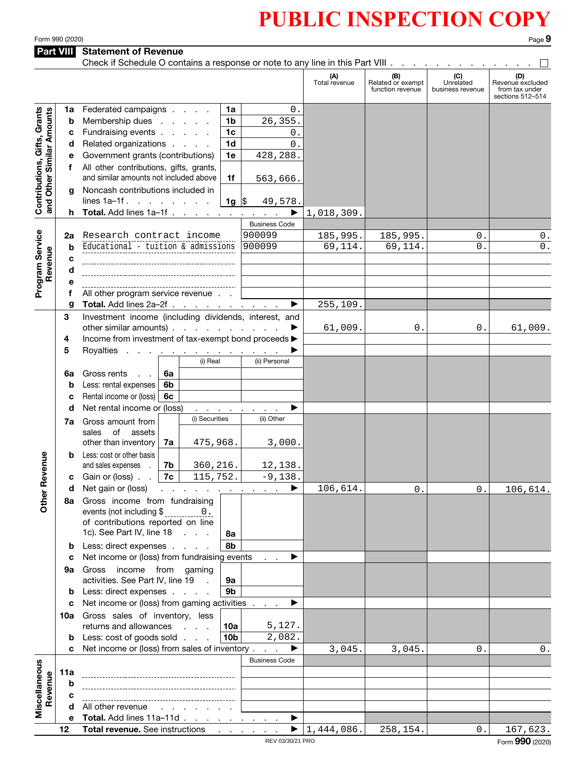Form 990 (2020) Page **9 Part VIII Statement of Revenue** 

|                                                           |        | Check if Schedule O contains a response or note to any line in this Part VIII   |    |                                            |                          |                       |                      |                                              |                                      |                                                               |
|-----------------------------------------------------------|--------|---------------------------------------------------------------------------------|----|--------------------------------------------|--------------------------|-----------------------|----------------------|----------------------------------------------|--------------------------------------|---------------------------------------------------------------|
|                                                           |        |                                                                                 |    |                                            |                          |                       | (A)<br>Total revenue | (B)<br>Related or exempt<br>function revenue | (C)<br>Unrelated<br>business revenue | (D)<br>Revenue excluded<br>from tax under<br>sections 512-514 |
|                                                           | 1a     | Federated campaigns                                                             |    |                                            | 1a                       | 0.                    |                      |                                              |                                      |                                                               |
| Contributions, Gifts, Grants<br>and Other Similar Amounts | b      | Membership dues                                                                 |    |                                            | 1 <sub>b</sub>           | 26,355.               |                      |                                              |                                      |                                                               |
|                                                           | с      | Fundraising events                                                              |    |                                            | 1 <sub>c</sub>           | 0.                    |                      |                                              |                                      |                                                               |
|                                                           | d      | Related organizations                                                           |    |                                            | 1 <sub>d</sub>           | $\mathbf{0}$ .        |                      |                                              |                                      |                                                               |
|                                                           | е      | Government grants (contributions)                                               |    |                                            | 1e                       | 428,288.              |                      |                                              |                                      |                                                               |
|                                                           | f      | All other contributions, gifts, grants,                                         |    |                                            |                          |                       |                      |                                              |                                      |                                                               |
|                                                           |        | and similar amounts not included above                                          |    |                                            | 1f                       | 563,666.              |                      |                                              |                                      |                                                               |
|                                                           | g      | Noncash contributions included in                                               |    |                                            |                          |                       |                      |                                              |                                      |                                                               |
|                                                           |        | lines $1a-1f$ .<br>1g $ $ \$                                                    |    |                                            |                          | 49,578                |                      |                                              |                                      |                                                               |
|                                                           | h.     | Total. Add lines 1a-1f                                                          |    |                                            |                          | ▶                     | 1,018,309.           |                                              |                                      |                                                               |
|                                                           |        |                                                                                 |    |                                            |                          | <b>Business Code</b>  |                      |                                              |                                      |                                                               |
|                                                           | 2a     | Research contract income                                                        |    |                                            |                          | 900099                | 185,995.             | 185,995.                                     | 0.                                   | 0.                                                            |
|                                                           | b      | Educational - tuition $\&$ admissions                                           |    |                                            |                          | 900099                | 69, 114.             | 69,114.                                      | 0.                                   | $\overline{0}$ .                                              |
|                                                           | с      |                                                                                 |    |                                            |                          |                       |                      |                                              |                                      |                                                               |
| Revenue                                                   | d      |                                                                                 |    |                                            |                          |                       |                      |                                              |                                      |                                                               |
| Program Service                                           | е      |                                                                                 |    |                                            |                          |                       |                      |                                              |                                      |                                                               |
|                                                           |        | All other program service revenue                                               |    |                                            |                          |                       |                      |                                              |                                      |                                                               |
|                                                           | g      | Total. Add lines 2a-2f                                                          |    |                                            |                          | ▶                     | 255,109.             |                                              |                                      |                                                               |
|                                                           | 3      | Investment income (including dividends, interest, and<br>other similar amounts) |    |                                            |                          |                       | 61,009.              | 0.                                           | 0.                                   | 61,009.                                                       |
|                                                           | 4      | Income from investment of tax-exempt bond proceeds >                            |    |                                            |                          |                       |                      |                                              |                                      |                                                               |
|                                                           | 5      | Royalties                                                                       |    | and a series of the contract of the series |                          |                       |                      |                                              |                                      |                                                               |
|                                                           |        | (i) Real                                                                        |    |                                            |                          | (ii) Personal         |                      |                                              |                                      |                                                               |
|                                                           | 6a     | Gross rents<br>$\mathbf{r}$ and $\mathbf{r}$                                    | 6a |                                            |                          |                       |                      |                                              |                                      |                                                               |
|                                                           | b      | Less: rental expenses                                                           | 6b |                                            |                          |                       |                      |                                              |                                      |                                                               |
|                                                           | с      | Rental income or (loss)                                                         | 6c |                                            |                          |                       |                      |                                              |                                      |                                                               |
|                                                           | d      | Net rental income or (loss)                                                     |    |                                            | the contract of the con- | ▶                     |                      |                                              |                                      |                                                               |
|                                                           | 7a     | Gross amount from                                                               |    | (i) Securities                             |                          | (ii) Other            |                      |                                              |                                      |                                                               |
|                                                           |        | of<br>sales<br>assets                                                           |    |                                            |                          |                       |                      |                                              |                                      |                                                               |
|                                                           |        | other than inventory                                                            | 7a | 475,968.                                   |                          | 3,000.                |                      |                                              |                                      |                                                               |
|                                                           | b      | Less: cost or other basis                                                       |    |                                            |                          |                       |                      |                                              |                                      |                                                               |
| Revenue                                                   |        | and sales expenses                                                              | 7b | 360,216.                                   |                          | 12,138.               |                      |                                              |                                      |                                                               |
|                                                           | c      | Gain or (loss).                                                                 | 7c | 115,752.                                   |                          | $-9,138.$             |                      |                                              |                                      |                                                               |
| <b>Other</b>                                              | d      | Net gain or (loss) $\cdots$ $\cdots$ $\cdots$ $\cdots$                          |    |                                            |                          |                       | 106,614.             | 0.                                           | $0$ .                                | 106,614.                                                      |
|                                                           | 8a l   | Gross income from fundraising<br>events (not including $\frac{1}{2}$ 0.         |    |                                            |                          |                       |                      |                                              |                                      |                                                               |
|                                                           |        | of contributions reported on line                                               |    |                                            |                          |                       |                      |                                              |                                      |                                                               |
|                                                           |        | 1c). See Part IV, line 18                                                       |    |                                            | 8a                       |                       |                      |                                              |                                      |                                                               |
|                                                           |        | Less: direct expenses                                                           |    |                                            | 8b                       |                       |                      |                                              |                                      |                                                               |
|                                                           | с      | Net income or (loss) from fundraising events                                    |    |                                            |                          | ▶                     |                      |                                              |                                      |                                                               |
|                                                           | 9а     | income from gaming<br>Gross                                                     |    |                                            |                          |                       |                      |                                              |                                      |                                                               |
|                                                           |        | activities. See Part IV, line 19                                                |    | $\sim 10$                                  | 9а                       |                       |                      |                                              |                                      |                                                               |
|                                                           | b      | Less: direct expenses                                                           |    |                                            | 9 <sub>b</sub>           |                       |                      |                                              |                                      |                                                               |
|                                                           | С      | Net income or (loss) from gaming activities                                     |    |                                            |                          | ▶                     |                      |                                              |                                      |                                                               |
|                                                           |        | 10a Gross sales of inventory, less                                              |    |                                            |                          |                       |                      |                                              |                                      |                                                               |
|                                                           |        | returns and allowances                                                          |    |                                            | 10a                      | 5,127.                |                      |                                              |                                      |                                                               |
|                                                           | b      | Less: cost of goods sold                                                        |    |                                            | 10 <sub>b</sub>          | 2,082.                |                      |                                              |                                      |                                                               |
|                                                           | c      | Net income or (loss) from sales of inventory                                    |    |                                            |                          | ▶                     | 3,045.               | 3,045.                                       | 0.                                   | 0.                                                            |
|                                                           |        |                                                                                 |    |                                            |                          | <b>Business Code</b>  |                      |                                              |                                      |                                                               |
| Miscellaneous<br>Revenue                                  | 11a    |                                                                                 |    |                                            |                          |                       |                      |                                              |                                      |                                                               |
|                                                           | b      |                                                                                 |    |                                            |                          |                       |                      |                                              |                                      |                                                               |
|                                                           | с<br>d | All other revenue                                                               |    |                                            |                          |                       |                      |                                              |                                      |                                                               |
|                                                           | е      | Total. Add lines 11a-11d                                                        |    | the company of the company of              |                          | ▶                     |                      |                                              |                                      |                                                               |
|                                                           | 12     | Total revenue. See instructions                                                 |    |                                            |                          | $\blacktriangleright$ | 1,444,086.           | 258,154.                                     | 0.                                   | 167,623.                                                      |

REV 03/30/21 PRO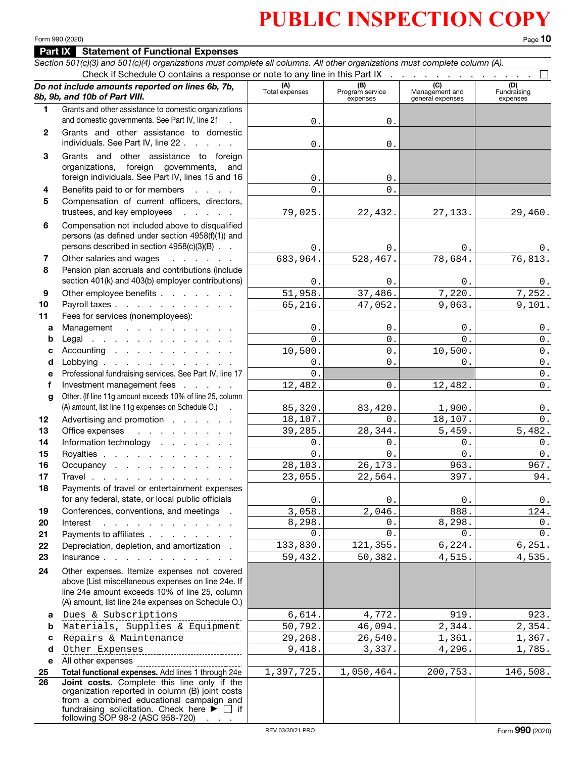Form 990 (2020) Page **10** 

|    | <b>Part IX Statement of Functional Expenses</b><br>Section 501(c)(3) and 501(c)(4) organizations must complete all columns. All other organizations must complete column (A).                                                                        |                |                             |                                    |                                |
|----|------------------------------------------------------------------------------------------------------------------------------------------------------------------------------------------------------------------------------------------------------|----------------|-----------------------------|------------------------------------|--------------------------------|
|    | Check if Schedule O contains a response or note to any line in this Part IX                                                                                                                                                                          |                |                             | the contract of the contract of    |                                |
|    | Do not include amounts reported on lines 6b, 7b,                                                                                                                                                                                                     | (A)            | (B)                         | (C)                                |                                |
|    | 8b, 9b, and 10b of Part VIII.                                                                                                                                                                                                                        | Total expenses | Program service<br>expenses | Management and<br>general expenses | (D)<br>Fundraising<br>expenses |
| 1  | Grants and other assistance to domestic organizations<br>and domestic governments. See Part IV, line 21                                                                                                                                              | 0.             | 0.                          |                                    |                                |
| 2  | Grants and other assistance to domestic<br>individuals. See Part IV, line 22                                                                                                                                                                         | 0.             | 0.                          |                                    |                                |
| 3  | Grants and other assistance to foreign                                                                                                                                                                                                               |                |                             |                                    |                                |
|    | organizations, foreign governments, and                                                                                                                                                                                                              |                |                             |                                    |                                |
|    | foreign individuals. See Part IV, lines 15 and 16                                                                                                                                                                                                    | 0.             | 0.                          |                                    |                                |
| 4  | Benefits paid to or for members<br><b>Service State</b>                                                                                                                                                                                              | 0.             | 0.                          |                                    |                                |
| 5  | Compensation of current officers, directors,<br>trustees, and key employees<br>and a state of the                                                                                                                                                    | 79,025.        | 22,432.                     | 27, 133.                           | 29,460.                        |
| 6  | Compensation not included above to disqualified<br>persons (as defined under section 4958(f)(1)) and<br>persons described in section 4958(c)(3)(B)                                                                                                   | 0.             | 0.                          | 0.                                 | 0.                             |
| 7  | Other salaries and wages<br>and a state of the state of                                                                                                                                                                                              | 683,964.       | 528,467.                    | 78,684.                            | 76,813.                        |
| 8  | Pension plan accruals and contributions (include                                                                                                                                                                                                     |                |                             |                                    |                                |
|    | section 401(k) and 403(b) employer contributions)                                                                                                                                                                                                    | 0.             | 0.                          | 0.                                 | $0$ .                          |
| 9  | Other employee benefits                                                                                                                                                                                                                              | 51,958.        | 37,486.                     | 7,220.                             | 7,252.                         |
| 10 | Payroll taxes                                                                                                                                                                                                                                        | 65,216.        | 47,052.                     | 9,063.                             | 9,101.                         |
| 11 | Fees for services (nonemployees):                                                                                                                                                                                                                    |                |                             |                                    |                                |
| a  | Management                                                                                                                                                                                                                                           | 0.             | 0.                          | 0.                                 | 0.                             |
| b  | $Legal$                                                                                                                                                                                                                                              | 0.             | 0.                          | 0.                                 | $0$ .                          |
| с  | Accounting                                                                                                                                                                                                                                           | 10,500.        | 0.                          | 10,500.                            | 0.                             |
| d  | Lobbying $\cdots$ , $\cdots$ , $\cdots$                                                                                                                                                                                                              | 0.             | 0.                          | 0.                                 | $0$ .                          |
| е  | Professional fundraising services. See Part IV, line 17                                                                                                                                                                                              | 0.             |                             |                                    | $0$ .                          |
| f  | Investment management fees                                                                                                                                                                                                                           | 12,482.        | 0.                          | 12,482.                            | $\mathsf 0$ .                  |
| g  | Other. (If line 11g amount exceeds 10% of line 25, column<br>(A) amount, list line 11g expenses on Schedule O.)                                                                                                                                      | 85,320.        | 83,420.                     | 1,900.                             | 0.                             |
| 12 | Advertising and promotion                                                                                                                                                                                                                            | 18,107.        | 0.                          | 18,107.                            | $0$ .                          |
| 13 | Office expenses<br>and the contract of the                                                                                                                                                                                                           | 39,285.        | 28,344.                     | 5,459.                             | 5,482.                         |
| 14 | Information technology                                                                                                                                                                                                                               | 0.             | 0.                          | 0.                                 | 0.                             |
| 15 | Royalties                                                                                                                                                                                                                                            | 0.             | 0.                          | 0.                                 | $0$ .                          |
| 16 | Occupancy                                                                                                                                                                                                                                            | 28,103.        | 26,173.                     | 963.                               | 967.                           |
| 17 | Travel                                                                                                                                                                                                                                               | 23,055.        | 22,564.                     | 397.                               | 94.                            |
| 18 | Payments of travel or entertainment expenses<br>for any federal, state, or local public officials                                                                                                                                                    | 0.             | 0.                          | 0.                                 | $0$ .                          |
| 19 | Conferences, conventions, and meetings                                                                                                                                                                                                               | 3,058.         | 2,046.                      | 888.                               | 124.                           |
| 20 | Interest<br>and the company of the company of                                                                                                                                                                                                        | 8,298.         | 0.                          | 8,298.                             | 0.                             |
| 21 | Payments to affiliates                                                                                                                                                                                                                               | 0.             | 0.                          | 0.                                 | $0$ .                          |
| 22 | Depreciation, depletion, and amortization.                                                                                                                                                                                                           | 133,830.       | 121,355.                    | 6,224.                             | 6, 251.                        |
| 23 | Insurance                                                                                                                                                                                                                                            | 59,432.        | 50,382.                     | 4,515.                             | 4,535.                         |
| 24 | Other expenses. Itemize expenses not covered<br>above (List miscellaneous expenses on line 24e. If<br>line 24e amount exceeds 10% of line 25, column                                                                                                 |                |                             |                                    |                                |
|    | (A) amount, list line 24e expenses on Schedule O.)                                                                                                                                                                                                   |                |                             |                                    |                                |
| а  | Dues & Subscriptions                                                                                                                                                                                                                                 | 6,614.         | 4,772.                      | 919.                               | 923.                           |
| b  | Materials, Supplies & Equipment                                                                                                                                                                                                                      | 50,792.        | 46,094.                     | 2,344.                             | 2,354.                         |
| c  | Repairs & Maintenance                                                                                                                                                                                                                                | 29,268.        | 26,540.                     | 1,361.                             | 1,367.                         |
| d  | Other Expenses                                                                                                                                                                                                                                       | 9,418.         | 3,337.                      | 4,296.                             | 1,785.                         |
| е  | All other expenses                                                                                                                                                                                                                                   |                |                             |                                    |                                |
| 25 | Total functional expenses. Add lines 1 through 24e                                                                                                                                                                                                   | 1,397,725.     | 1,050,464.                  | 200,753.                           | 146,508.                       |
| 26 | Joint costs. Complete this line only if the<br>organization reported in column (B) joint costs<br>from a combined educational campaign and<br>fundraising solicitation. Check here $\blacktriangleright \Box$ if<br>following SOP 98-2 (ASC 958-720) |                |                             |                                    |                                |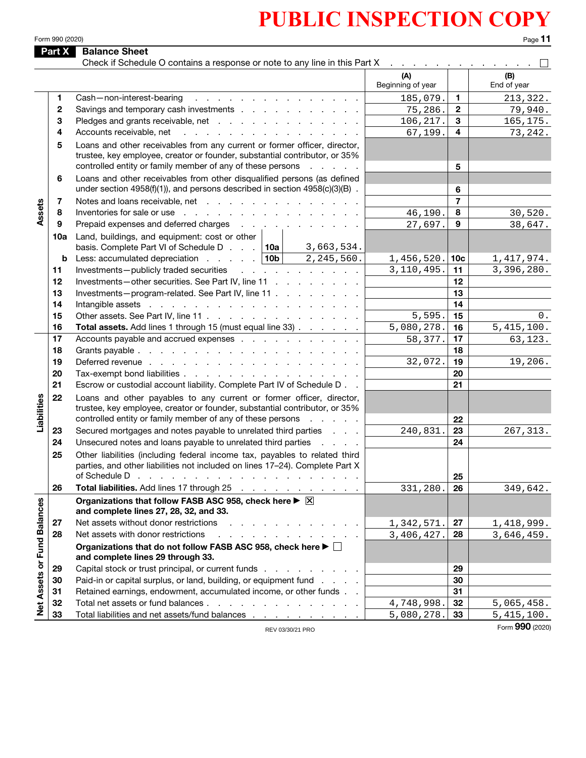Form 990 (2020) Page **11** 

|                             | Part X       | <b>Balance Sheet</b>                                                                                                                                                                                                           |                                                 |                          |                    |
|-----------------------------|--------------|--------------------------------------------------------------------------------------------------------------------------------------------------------------------------------------------------------------------------------|-------------------------------------------------|--------------------------|--------------------|
|                             |              | Check if Schedule O contains a response or note to any line in this Part X                                                                                                                                                     | the contract of the contract of the contract of |                          |                    |
|                             |              |                                                                                                                                                                                                                                | (A)<br>Beginning of year                        |                          | (B)<br>End of year |
|                             | 1            | Cash-non-interest-bearing<br>and the contract of the contract of the contract of                                                                                                                                               | 185,079.                                        | $\mathbf{1}$             | 213,322.           |
|                             | $\mathbf{2}$ | Savings and temporary cash investments                                                                                                                                                                                         | 75,286.                                         | $\mathbf{2}$             | 79,940.            |
|                             | 3            | Pledges and grants receivable, net                                                                                                                                                                                             | 106,217.                                        | 3                        | 165, 175.          |
|                             | 4            | Accounts receivable, net<br>and the contract of the contract of the contract of                                                                                                                                                | 67,199.                                         | 4                        | 73,242.            |
|                             | 5            | Loans and other receivables from any current or former officer, director,<br>trustee, key employee, creator or founder, substantial contributor, or 35%<br>controlled entity or family member of any of these persons          |                                                 | 5                        |                    |
|                             | 6            | Loans and other receivables from other disqualified persons (as defined<br>under section 4958(f)(1)), and persons described in section 4958(c)(3)(B).                                                                          |                                                 | 6                        |                    |
|                             | 7            | Notes and loans receivable, net                                                                                                                                                                                                |                                                 | $\overline{\phantom{a}}$ |                    |
| Assets                      | 8            | Inventories for sale or use entering the set of the set of the set of the set of the set of the set of the set of the set of the set of the set of the set of the set of the set of the set of the set of the set of the set o | 46,190.                                         | 8                        | 30,520.            |
|                             | 9            | Prepaid expenses and deferred charges                                                                                                                                                                                          | 27,697.                                         | 9                        | 38,647.            |
|                             | 10a          | Land, buildings, and equipment: cost or other<br>basis. Complete Part VI of Schedule D $\ldots$ 10a<br>3,663,534.                                                                                                              |                                                 |                          |                    |
|                             | b            | Less: accumulated depreciation $\ldots$ $\ldots$ 10b<br>2,245,560.                                                                                                                                                             | 1,456,520.                                      | 10 <sub>c</sub>          | 1,417,974.         |
|                             | 11           | Investments-publicly traded securities<br>the contract of the contract of the                                                                                                                                                  | 3,110,495.                                      | 11                       | 3,396,280.         |
|                             | 12           | Investments-other securities. See Part IV, line 11                                                                                                                                                                             |                                                 | 12                       |                    |
|                             | 13           | Investments-program-related. See Part IV, line 11                                                                                                                                                                              |                                                 | 13                       |                    |
|                             | 14           |                                                                                                                                                                                                                                |                                                 | 14                       |                    |
|                             | 15           | Other assets. See Part IV, line 11                                                                                                                                                                                             | 5,595.                                          | 15                       | $0$ .              |
|                             | 16           | Total assets. Add lines 1 through 15 (must equal line 33)                                                                                                                                                                      | 5,080,278.                                      | 16                       | 5,415,100.         |
|                             | 17           | Accounts payable and accrued expenses                                                                                                                                                                                          | 58,377.                                         | 17                       | 63,123.            |
|                             | 18           |                                                                                                                                                                                                                                |                                                 | 18                       |                    |
|                             | 19           | Deferred revenue response a contract to contract the contract of the contract of the contract of the contract of the contract of the contract of the contract of the contract of the contract of the contract of the contract  | 32,072.                                         | 19                       | 19,206.            |
|                             | 20           |                                                                                                                                                                                                                                |                                                 | 20                       |                    |
|                             | 21           | Escrow or custodial account liability. Complete Part IV of Schedule D                                                                                                                                                          |                                                 | 21                       |                    |
| Liabilities                 | 22           | Loans and other payables to any current or former officer, director,<br>trustee, key employee, creator or founder, substantial contributor, or 35%<br>controlled entity or family member of any of these persons               |                                                 | 22                       |                    |
|                             | 23           | Secured mortgages and notes payable to unrelated third parties                                                                                                                                                                 | 240,831.                                        | 23                       | 267, 313.          |
|                             | 24           | Unsecured notes and loans payable to unrelated third parties<br><b>Carl America</b>                                                                                                                                            |                                                 | 24                       |                    |
|                             | 25           | Other liabilities (including federal income tax, payables to related third<br>parties, and other liabilities not included on lines 17-24). Complete Part X                                                                     |                                                 |                          |                    |
|                             |              | of Schedule D                                                                                                                                                                                                                  |                                                 | 25                       |                    |
|                             | 26           | Total liabilities. Add lines 17 through 25                                                                                                                                                                                     | 331,280.                                        | 26                       | 349,642.           |
|                             |              | Organizations that follow FASB ASC 958, check here ▶ ⊠<br>and complete lines 27, 28, 32, and 33.                                                                                                                               |                                                 |                          |                    |
|                             | 27           | Net assets without donor restrictions<br>the contract of the contract of the contract of                                                                                                                                       | 1,342,571.                                      | 27                       | 1, 418, 999.       |
|                             | 28           | Net assets with donor restrictions<br>and the contract of the contract of the                                                                                                                                                  | 3,406,427.                                      | 28                       | 3,646,459.         |
| Net Assets or Fund Balances |              | Organizations that do not follow FASB ASC 958, check here ▶ □<br>and complete lines 29 through 33.                                                                                                                             |                                                 |                          |                    |
|                             | 29           | Capital stock or trust principal, or current funds                                                                                                                                                                             |                                                 | 29                       |                    |
|                             | 30           | Paid-in or capital surplus, or land, building, or equipment fund                                                                                                                                                               |                                                 | 30                       |                    |
|                             | 31           | Retained earnings, endowment, accumulated income, or other funds                                                                                                                                                               |                                                 | 31                       |                    |
|                             | 32           | Total net assets or fund balances                                                                                                                                                                                              | 4,748,998.                                      | 32                       | 5,065,458.         |
|                             | 33           | Total liabilities and net assets/fund balances                                                                                                                                                                                 | 5,080,278.                                      | 33                       | 5,415,100.         |

REV 03/30/21 PRO

Form **990** (2020)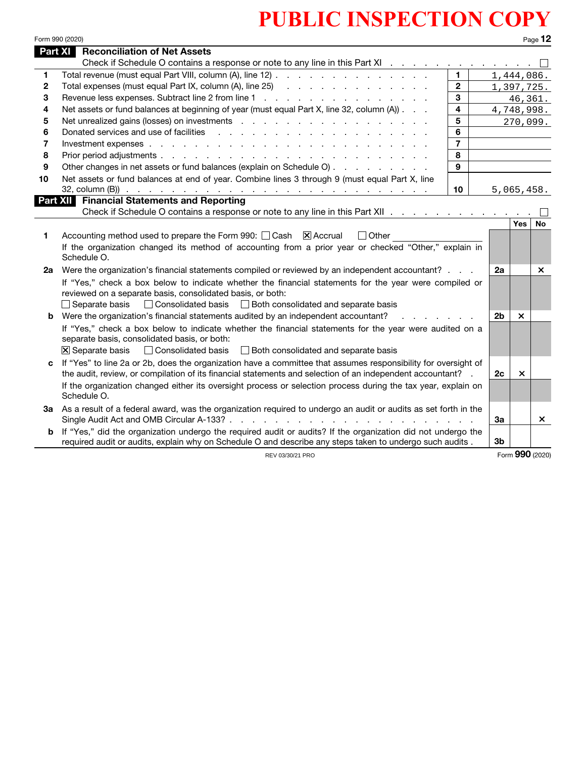|                | Form 990 (2020)                                                                                                                                                |                |    |            | Page 12         |
|----------------|----------------------------------------------------------------------------------------------------------------------------------------------------------------|----------------|----|------------|-----------------|
|                | <b>Part XI</b> Reconciliation of Net Assets                                                                                                                    |                |    |            |                 |
|                | Check if Schedule O contains a response or note to any line in this Part XI $\ldots$ $\Box$                                                                    |                |    |            |                 |
| 1              | Total revenue (must equal Part VIII, column (A), line 12)                                                                                                      | 1              |    |            | 1,444,086.      |
| $\mathbf 2$    | Total expenses (must equal Part IX, column (A), line 25)                                                                                                       | $\mathbf{2}$   |    |            | 1,397,725.      |
| 3              |                                                                                                                                                                | 3              |    | 46,361.    |                 |
| 4              | Net assets or fund balances at beginning of year (must equal Part X, line 32, column (A))                                                                      | 4              |    |            | 4,748,998.      |
| 5              |                                                                                                                                                                | 5              |    |            | 270,099.        |
| 6              | Donated services and use of facilities<br>and the contract of the contract of the contract of the contract of                                                  | 6              |    |            |                 |
| $\overline{7}$ |                                                                                                                                                                | $\overline{7}$ |    |            |                 |
| 8              |                                                                                                                                                                | 8              |    |            |                 |
| 9              | Other changes in net assets or fund balances (explain on Schedule O)                                                                                           | 9              |    |            |                 |
| 10             | Net assets or fund balances at end of year. Combine lines 3 through 9 (must equal Part X, line                                                                 |                |    |            |                 |
|                |                                                                                                                                                                | 10             |    | 5,065,458. |                 |
|                | <b>Part XII</b> Financial Statements and Reporting                                                                                                             |                |    |            |                 |
|                | Check if Schedule O contains a response or note to any line in this Part XII                                                                                   |                |    |            |                 |
|                |                                                                                                                                                                |                |    | Yes        | <b>No</b>       |
| 1              | Accounting method used to prepare the Form 990: $\Box$ Cash $\Box$ Accrual<br>$\Box$ Other                                                                     |                |    |            |                 |
|                | If the organization changed its method of accounting from a prior year or checked "Other," explain in                                                          |                |    |            |                 |
|                | Schedule O.                                                                                                                                                    |                |    |            |                 |
| 2а             | Were the organization's financial statements compiled or reviewed by an independent accountant?                                                                |                | 2a |            | $\times$        |
|                | If "Yes," check a box below to indicate whether the financial statements for the year were compiled or                                                         |                |    |            |                 |
|                | reviewed on a separate basis, consolidated basis, or both:                                                                                                     |                |    |            |                 |
|                | $\Box$ Separate basis<br>□ Consolidated basis □ Both consolidated and separate basis                                                                           |                |    |            |                 |
|                | <b>b</b> Were the organization's financial statements audited by an independent accountant?                                                                    |                | 2b | $\times$   |                 |
|                | If "Yes," check a box below to indicate whether the financial statements for the year were audited on a                                                        |                |    |            |                 |
|                | separate basis, consolidated basis, or both:                                                                                                                   |                |    |            |                 |
|                | □ Consolidated basis<br>$\overline{X}$ Separate basis<br>Both consolidated and separate basis                                                                  |                |    |            |                 |
| c              | If "Yes" to line 2a or 2b, does the organization have a committee that assumes responsibility for oversight of                                                 |                |    |            |                 |
|                | the audit, review, or compilation of its financial statements and selection of an independent accountant? .                                                    |                | 2c | $\times$   |                 |
|                | If the organization changed either its oversight process or selection process during the tax year, explain on<br>Schedule O.                                   |                |    |            |                 |
|                | 3a As a result of a federal award, was the organization required to undergo an audit or audits as set forth in the<br>Single Audit Act and OMB Circular A-133? |                | За |            | $\times$        |
|                | If "Yes," did the organization undergo the required audit or audits? If the organization did not undergo the                                                   |                |    |            |                 |
| b              | required audit or audits, explain why on Schedule O and describe any steps taken to undergo such audits.                                                       |                | 3b |            |                 |
|                | REV 03/30/21 PRO                                                                                                                                               |                |    |            | Form 990 (2020) |
|                |                                                                                                                                                                |                |    |            |                 |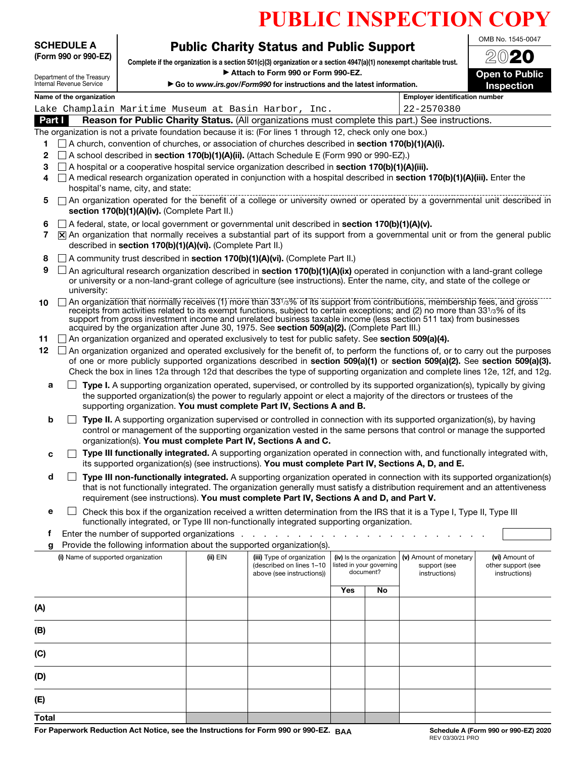#### **SCHEDULE A (Form 990 or 990-EZ)**

**Public Charity Status and Public Support Complete if the organization is a section 501(c)(3) organization or a section 4947(a)(1) nonexempt charitable trust.**

| Department of the Treasury |
|----------------------------|
| Internal Revenue Service   |

▶ Attach to Form 990 or Form 990-EZ. ▶ Go to *www.irs.gov/Form990* for instructions and the latest information.



OMB No. 1545-0047

#### **Name of the organization Employer identification number**

|        | Lake Champlain Maritime Museum at Basin Harbor, Inc.                                                    | $122 - 2570380$ |
|--------|---------------------------------------------------------------------------------------------------------|-----------------|
| Part I | <b>Reason for Public Charity Status.</b> (All organizations must complete this part.) See instructions. |                 |

The organization is not a private foundation because it is: (For lines 1 through 12, check only one box.)

- **1** A church, convention of churches, or association of churches described in **section 170(b)(1)(A)(i).**
- **2** A school described in **section 170(b)(1)(A)(ii).** (Attach Schedule E (Form 990 or 990-EZ).)
- **3** A hospital or a cooperative hospital service organization described in **section 170(b)(1)(A)(iii).**
- **4** A medical research organization operated in conjunction with a hospital described in **section 170(b)(1)(A)(iii).** Enter the hospital's name, city, and state:
- 5  $\Box$  An organization operated for the benefit of a college or university owned or operated by a governmental unit described in **section 170(b)(1)(A)(iv).** (Complete Part II.)
- **6** A federal, state, or local government or governmental unit described in **section 170(b)(1)(A)(v).**
- **7**  $\overline{X}$  An organization that normally receives a substantial part of its support from a governmental unit or from the general public described in **section 170(b)(1)(A)(vi).** (Complete Part II.)
- **8** □ A community trust described in **section 170(b)(1)(A)(vi).** (Complete Part II.)
- **9**  $\Box$  An agricultural research organization described in **section 170(b)(1)(A)(ix)** operated in conjunction with a land-grant college or university or a non-land-grant college of agriculture (see instructions). Enter the name, city, and state of the college or university:
- 10 An organization that normally receives (1) more than 33<sup>1</sup>/3% of its support from contributions, membership fees, and gross receipts from activities related to its exempt functions, subject to certain exceptions; and (2) no more than 331/3% of its support from gross investment income and unrelated business taxable income (less section 511 tax) from businesses acquired by the organization after June 30, 1975. See **section 509(a)(2).** (Complete Part III.)
- **11** An organization organized and operated exclusively to test for public safety. See **section 509(a)(4).**
- **12** An organization organized and operated exclusively for the benefit of, to perform the functions of, or to carry out the purposes of one or more publicly supported organizations described in **section 509(a)(1)** or **section 509(a)(2).** See **section 509(a)(3).**  Check the box in lines 12a through 12d that describes the type of supporting organization and complete lines 12e, 12f, and 12g.
	- **a Type I.** A supporting organization operated, supervised, or controlled by its supported organization(s), typically by giving the supported organization(s) the power to regularly appoint or elect a majority of the directors or trustees of the supporting organization. **You must complete Part IV, Sections A and B.**
	- **b Type II.** A supporting organization supervised or controlled in connection with its supported organization(s), by having control or management of the supporting organization vested in the same persons that control or manage the supported organization(s). **You must complete Part IV, Sections A and C.**
	- **c**  $\Box$  **Type III functionally integrated.** A supporting organization operated in connection with, and functionally integrated with, its supported organization(s) (see instructions). **You must complete Part IV, Sections A, D, and E.**
	- **d Type III non-functionally integrated.** A supporting organization operated in connection with its supported organization(s) that is not functionally integrated. The organization generally must satisfy a distribution requirement and an attentiveness requirement (see instructions). **You must complete Part IV, Sections A and D, and Part V.**
	- **e** □ Check this box if the organization received a written determination from the IRS that it is a Type I, Type II, Type III functionally integrated, or Type III non-functionally integrated supporting organization.
	- **f** Enter the number of supported organizations . . . . . .
	- **g** Provide the following information about the supported organization(s).

| J.                                 |            |                                                                                     |                                                                   |    |  |  |  |  |  |  |  |  |  |  |  |  |  |  |  |  |  |  |  |  |  |  |  |  |  |  |  |  |                                                         |                                                       |
|------------------------------------|------------|-------------------------------------------------------------------------------------|-------------------------------------------------------------------|----|--|--|--|--|--|--|--|--|--|--|--|--|--|--|--|--|--|--|--|--|--|--|--|--|--|--|--|--|---------------------------------------------------------|-------------------------------------------------------|
| (i) Name of supported organization | $(ii)$ EIN | (iii) Type of organization<br>(described on lines 1-10<br>above (see instructions)) | (iv) Is the organization<br>listed in your governing<br>document? |    |  |  |  |  |  |  |  |  |  |  |  |  |  |  |  |  |  |  |  |  |  |  |  |  |  |  |  |  | (v) Amount of monetary<br>support (see<br>instructions) | (vi) Amount of<br>other support (see<br>instructions) |
|                                    |            |                                                                                     | Yes                                                               | No |  |  |  |  |  |  |  |  |  |  |  |  |  |  |  |  |  |  |  |  |  |  |  |  |  |  |  |  |                                                         |                                                       |
| (A)                                |            |                                                                                     |                                                                   |    |  |  |  |  |  |  |  |  |  |  |  |  |  |  |  |  |  |  |  |  |  |  |  |  |  |  |  |  |                                                         |                                                       |
| (B)                                |            |                                                                                     |                                                                   |    |  |  |  |  |  |  |  |  |  |  |  |  |  |  |  |  |  |  |  |  |  |  |  |  |  |  |  |  |                                                         |                                                       |
| (C)                                |            |                                                                                     |                                                                   |    |  |  |  |  |  |  |  |  |  |  |  |  |  |  |  |  |  |  |  |  |  |  |  |  |  |  |  |  |                                                         |                                                       |
| (D)                                |            |                                                                                     |                                                                   |    |  |  |  |  |  |  |  |  |  |  |  |  |  |  |  |  |  |  |  |  |  |  |  |  |  |  |  |  |                                                         |                                                       |
| (E)                                |            |                                                                                     |                                                                   |    |  |  |  |  |  |  |  |  |  |  |  |  |  |  |  |  |  |  |  |  |  |  |  |  |  |  |  |  |                                                         |                                                       |
| <b>Total</b>                       |            |                                                                                     |                                                                   |    |  |  |  |  |  |  |  |  |  |  |  |  |  |  |  |  |  |  |  |  |  |  |  |  |  |  |  |  |                                                         |                                                       |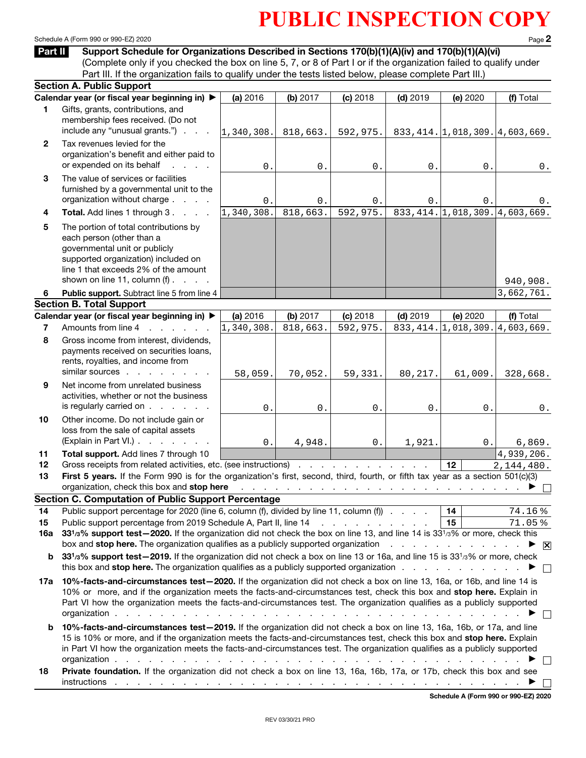### Schedule A (Form 990 or 990-EZ) 2020 **Page 2**

**Part II** Support Schedule for Organizations Described in Sections 170(b)(1)(A)(iv) and 170(b)(1)(A)(vi) (Complete only if you checked the box on line 5, 7, or 8 of Part I or if the organization failed to qualify under Part III. If the organization fails to qualify under the tests listed below, please complete Part III.)

|                | <b>Section A. Public Support</b>                                                                                                                                                                                                                                                                                                                                                                                                  |            |                    |                               |            |                          |                                       |
|----------------|-----------------------------------------------------------------------------------------------------------------------------------------------------------------------------------------------------------------------------------------------------------------------------------------------------------------------------------------------------------------------------------------------------------------------------------|------------|--------------------|-------------------------------|------------|--------------------------|---------------------------------------|
|                | Calendar year (or fiscal year beginning in) ▶                                                                                                                                                                                                                                                                                                                                                                                     | (a) 2016   | (b) $2017$         | (c) 2018                      | $(d)$ 2019 | (e) 2020                 | (f) Total                             |
| 1.             | Gifts, grants, contributions, and<br>membership fees received. (Do not<br>include any "unusual grants.")                                                                                                                                                                                                                                                                                                                          | 1,340,308. | 818,663.           | 592,975.                      |            |                          | $833, 414.$ 1, 018, 309. 4, 603, 669. |
| $\mathbf{2}$   | Tax revenues levied for the<br>organization's benefit and either paid to<br>or expended on its behalf                                                                                                                                                                                                                                                                                                                             | $0$ .      | $\boldsymbol{0}$ . | $0$ .                         | 0.         | 0.                       | $0$ .                                 |
| 3              | The value of services or facilities<br>furnished by a governmental unit to the<br>organization without charge                                                                                                                                                                                                                                                                                                                     | $0$ .      | $0$ .              | 0.                            | 0.         | 0.                       | 0.                                    |
| 4              | Total. Add lines 1 through 3.                                                                                                                                                                                                                                                                                                                                                                                                     | 1,340,308. | 818,663.           | 592,975.                      |            |                          | $833, 414.$ 1, 018, 309. 4, 603, 669. |
| 5              | The portion of total contributions by                                                                                                                                                                                                                                                                                                                                                                                             |            |                    |                               |            |                          |                                       |
|                | each person (other than a<br>governmental unit or publicly<br>supported organization) included on<br>line 1 that exceeds 2% of the amount                                                                                                                                                                                                                                                                                         |            |                    |                               |            |                          |                                       |
|                | shown on line 11, column $(f)$ .                                                                                                                                                                                                                                                                                                                                                                                                  |            |                    |                               |            |                          | 940,908.                              |
| 6              | Public support. Subtract line 5 from line 4                                                                                                                                                                                                                                                                                                                                                                                       |            |                    |                               |            |                          | 3,662,761.                            |
|                | <b>Section B. Total Support</b>                                                                                                                                                                                                                                                                                                                                                                                                   |            |                    |                               |            |                          |                                       |
|                | Calendar year (or fiscal year beginning in) ▶                                                                                                                                                                                                                                                                                                                                                                                     | (a) 2016   | (b) $2017$         | (c) 2018                      | $(d)$ 2019 | (e) 2020                 | (f) Total                             |
| $\overline{7}$ | Amounts from line 4<br><b>Contract Contract</b>                                                                                                                                                                                                                                                                                                                                                                                   | 1,340,308. | 818,663.           | 592,975.                      |            | $833, 414.$ 1, 018, 309. | $\sqrt{4}$ , 603, 669.                |
| 8              | Gross income from interest, dividends,<br>payments received on securities loans,<br>rents, royalties, and income from                                                                                                                                                                                                                                                                                                             |            |                    |                               |            |                          |                                       |
|                | similar sources                                                                                                                                                                                                                                                                                                                                                                                                                   | 58,059.    | 70,052.            | 59,331.                       | 80,217.    | 61,009.                  | 328,668.                              |
| 9              | Net income from unrelated business<br>activities, whether or not the business<br>is regularly carried on $\ldots$ $\ldots$ $\ldots$                                                                                                                                                                                                                                                                                               | $0$ .      | $0$ .              | $0$ .                         | $0$ .      | $0$ .                    | $0$ .                                 |
| 10             | Other income. Do not include gain or<br>loss from the sale of capital assets<br>(Explain in Part VI.)                                                                                                                                                                                                                                                                                                                             | $0$ .      | 4,948.             | $0$ .                         | 1,921.     | $0$ .                    | 6,869.                                |
| 11             | Total support. Add lines 7 through 10                                                                                                                                                                                                                                                                                                                                                                                             |            |                    |                               |            |                          | 4,939,206.                            |
| 12             | Gross receipts from related activities, etc. (see instructions)                                                                                                                                                                                                                                                                                                                                                                   |            |                    |                               |            | 12                       | 2,144,480.                            |
| 13             | First 5 years. If the Form 990 is for the organization's first, second, third, fourth, or fifth tax year as a section 501(c)(3)<br>organization, check this box and stop here                                                                                                                                                                                                                                                     |            |                    |                               |            |                          |                                       |
|                | Section C. Computation of Public Support Percentage                                                                                                                                                                                                                                                                                                                                                                               |            |                    |                               |            |                          |                                       |
| 14             | Public support percentage for 2020 (line 6, column (f), divided by line 11, column (f)                                                                                                                                                                                                                                                                                                                                            |            |                    |                               |            | $\overline{14}$          | 74.16%                                |
| 15             | Public support percentage from 2019 Schedule A, Part II, line 14                                                                                                                                                                                                                                                                                                                                                                  |            |                    | and a strain and a strain and |            | 15                       | 71.05%                                |
| 16a            | 331/3% support test-2020. If the organization did not check the box on line 13, and line 14 is 331/3% or more, check this<br>box and stop here. The organization qualifies as a publicly supported organization                                                                                                                                                                                                                   |            |                    |                               |            |                          |                                       |
| b              | 331/3% support test-2019. If the organization did not check a box on line 13 or 16a, and line 15 is 331/3% or more, check<br>this box and <b>stop here.</b> The organization qualifies as a publicly supported organization $\ldots$ , $\ldots$                                                                                                                                                                                   |            |                    |                               |            |                          | ▶ ⊠                                   |
| 17a            | 10%-facts-and-circumstances test-2020. If the organization did not check a box on line 13, 16a, or 16b, and line 14 is<br>10% or more, and if the organization meets the facts-and-circumstances test, check this box and stop here. Explain in<br>Part VI how the organization meets the facts-and-circumstances test. The organization qualifies as a publicly supported<br>organization.<br>$\sim$<br><b>Contract Contract</b> |            |                    |                               |            |                          |                                       |
| b              | 10%-facts-and-circumstances test-2019. If the organization did not check a box on line 13, 16a, 16b, or 17a, and line<br>15 is 10% or more, and if the organization meets the facts-and-circumstances test, check this box and stop here. Explain<br>in Part VI how the organization meets the facts-and-circumstances test. The organization qualifies as a publicly supported<br>organization.                                  |            |                    |                               |            |                          |                                       |
| 18             | Private foundation. If the organization did not check a box on line 13, 16a, 16b, 17a, or 17b, check this box and see                                                                                                                                                                                                                                                                                                             |            |                    |                               |            |                          |                                       |
|                |                                                                                                                                                                                                                                                                                                                                                                                                                                   |            |                    |                               |            |                          | Schedule A (Form 990 or 990-EZ) 2020  |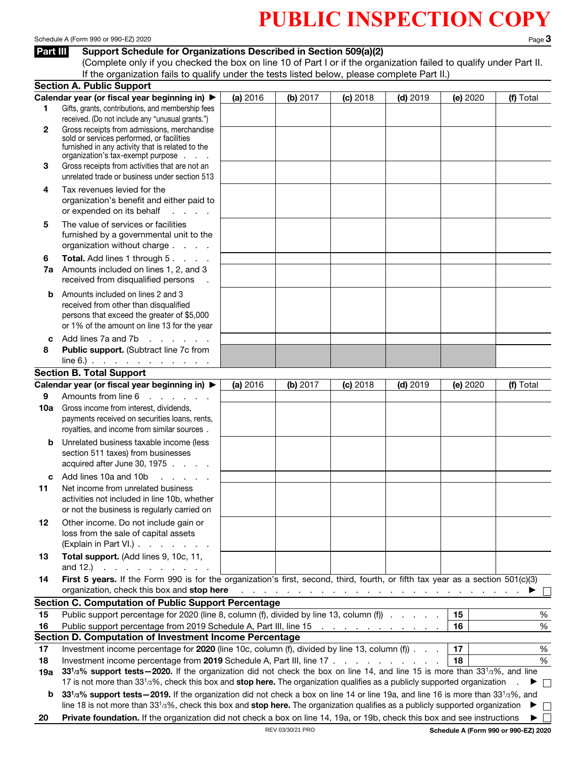Schedule A (Form 990 or 990-EZ) 2020 Page 3

**Part III Support Schedule for Organizations Described in Section 509(a)(2)**  (Complete only if you checked the box on line 10 of Part I or if the organization failed to qualify under Part II. If the organization fails to qualify under the tests listed below, please complete Part II.)

|              | <b>Section A. Public Support</b>                                                                                                                       |          |                  |          |                                                                                          |          |                                      |
|--------------|--------------------------------------------------------------------------------------------------------------------------------------------------------|----------|------------------|----------|------------------------------------------------------------------------------------------|----------|--------------------------------------|
|              | Calendar year (or fiscal year beginning in) ▶                                                                                                          | (a) 2016 | (b) $2017$       | (c) 2018 | $(d)$ 2019                                                                               | (e) 2020 | (f) Total                            |
| 1            | Gifts, grants, contributions, and membership fees                                                                                                      |          |                  |          |                                                                                          |          |                                      |
|              | received. (Do not include any "unusual grants.")                                                                                                       |          |                  |          |                                                                                          |          |                                      |
| $\mathbf{2}$ | Gross receipts from admissions, merchandise<br>sold or services performed, or facilities                                                               |          |                  |          |                                                                                          |          |                                      |
|              | furnished in any activity that is related to the                                                                                                       |          |                  |          |                                                                                          |          |                                      |
|              | organization's tax-exempt purpose                                                                                                                      |          |                  |          |                                                                                          |          |                                      |
| 3            | Gross receipts from activities that are not an                                                                                                         |          |                  |          |                                                                                          |          |                                      |
|              | unrelated trade or business under section 513                                                                                                          |          |                  |          |                                                                                          |          |                                      |
| 4            | Tax revenues levied for the                                                                                                                            |          |                  |          |                                                                                          |          |                                      |
|              | organization's benefit and either paid to                                                                                                              |          |                  |          |                                                                                          |          |                                      |
|              | or expended on its behalf<br>and a state                                                                                                               |          |                  |          |                                                                                          |          |                                      |
| 5            | The value of services or facilities                                                                                                                    |          |                  |          |                                                                                          |          |                                      |
|              | furnished by a governmental unit to the                                                                                                                |          |                  |          |                                                                                          |          |                                      |
|              | organization without charge                                                                                                                            |          |                  |          |                                                                                          |          |                                      |
| 6            | Total. Add lines 1 through 5.<br>Amounts included on lines 1, 2, and 3                                                                                 |          |                  |          |                                                                                          |          |                                      |
| 7a           | received from disqualified persons                                                                                                                     |          |                  |          |                                                                                          |          |                                      |
|              |                                                                                                                                                        |          |                  |          |                                                                                          |          |                                      |
| b            | Amounts included on lines 2 and 3                                                                                                                      |          |                  |          |                                                                                          |          |                                      |
|              | received from other than disqualified<br>persons that exceed the greater of \$5,000                                                                    |          |                  |          |                                                                                          |          |                                      |
|              | or 1% of the amount on line 13 for the year                                                                                                            |          |                  |          |                                                                                          |          |                                      |
| c            | Add lines 7a and 7b<br>and the control                                                                                                                 |          |                  |          |                                                                                          |          |                                      |
| 8            | Public support. (Subtract line 7c from                                                                                                                 |          |                  |          |                                                                                          |          |                                      |
|              | $line 6.)$ $\ldots$ $\ldots$ $\ldots$ $\ldots$                                                                                                         |          |                  |          |                                                                                          |          |                                      |
|              | <b>Section B. Total Support</b>                                                                                                                        |          |                  |          |                                                                                          |          |                                      |
|              | Calendar year (or fiscal year beginning in) ▶                                                                                                          | (a) 2016 | (b) $2017$       | (c) 2018 | $(d)$ 2019                                                                               | (e) 2020 | (f) Total                            |
| 9            | Amounts from line 6<br>and the control of                                                                                                              |          |                  |          |                                                                                          |          |                                      |
| 10a          | Gross income from interest, dividends,                                                                                                                 |          |                  |          |                                                                                          |          |                                      |
|              | payments received on securities loans, rents,                                                                                                          |          |                  |          |                                                                                          |          |                                      |
|              | royalties, and income from similar sources.                                                                                                            |          |                  |          |                                                                                          |          |                                      |
| b            | Unrelated business taxable income (less                                                                                                                |          |                  |          |                                                                                          |          |                                      |
|              | section 511 taxes) from businesses                                                                                                                     |          |                  |          |                                                                                          |          |                                      |
|              | acquired after June 30, 1975                                                                                                                           |          |                  |          |                                                                                          |          |                                      |
| C            | Add lines 10a and 10b<br>and a state of                                                                                                                |          |                  |          |                                                                                          |          |                                      |
| 11           | Net income from unrelated business                                                                                                                     |          |                  |          |                                                                                          |          |                                      |
|              | activities not included in line 10b, whether                                                                                                           |          |                  |          |                                                                                          |          |                                      |
|              | or not the business is regularly carried on                                                                                                            |          |                  |          |                                                                                          |          |                                      |
| 12           | Other income. Do not include gain or                                                                                                                   |          |                  |          |                                                                                          |          |                                      |
|              | loss from the sale of capital assets                                                                                                                   |          |                  |          |                                                                                          |          |                                      |
|              | (Explain in Part VI.)                                                                                                                                  |          |                  |          |                                                                                          |          |                                      |
| 13           | Total support. (Add lines 9, 10c, 11,<br>and 12.) $\therefore$ $\therefore$ $\therefore$ $\therefore$ $\therefore$ $\therefore$ $\therefore$           |          |                  |          |                                                                                          |          |                                      |
| 14           | First 5 years. If the Form 990 is for the organization's first, second, third, fourth, or fifth tax year as a section 501(c)(3)                        |          |                  |          |                                                                                          |          |                                      |
|              | organization, check this box and stop here                                                                                                             |          |                  |          | المتابعة والمتابعة والمتابعة والمتابعة والمتابعة والمتابعة والمتابعة والمتابعة والمتابعة |          |                                      |
|              | <b>Section C. Computation of Public Support Percentage</b>                                                                                             |          |                  |          |                                                                                          |          |                                      |
| 15           | Public support percentage for 2020 (line 8, column (f), divided by line 13, column (f)                                                                 |          |                  |          |                                                                                          | 15       | $\%$                                 |
| 16           | Public support percentage from 2019 Schedule A, Part III, line 15 \[matter state state state state state state                                         |          |                  |          |                                                                                          | 16       | %                                    |
|              | Section D. Computation of Investment Income Percentage                                                                                                 |          |                  |          |                                                                                          |          |                                      |
| 17           | Investment income percentage for 2020 (line 10c, column (f), divided by line 13, column (f)                                                            |          |                  |          |                                                                                          | 17       | $\%$                                 |
| 18           | Investment income percentage from 2019 Schedule A, Part III, line 17                                                                                   |          |                  |          |                                                                                          | 18       | %                                    |
| 19a          | 33 <sup>1</sup> /3% support tests - 2020. If the organization did not check the box on line 14, and line 15 is more than 33 <sup>1</sup> /3%, and line |          |                  |          |                                                                                          |          |                                      |
|              | 17 is not more than 33 <sup>1</sup> /3%, check this box and stop here. The organization qualifies as a publicly supported organization                 |          |                  |          |                                                                                          |          | $\Box$                               |
| b            | 331/3% support tests - 2019. If the organization did not check a box on line 14 or line 19a, and line 16 is more than 331/3%, and                      |          |                  |          |                                                                                          |          |                                      |
|              | line 18 is not more than 33 <sup>1</sup> /3%, check this box and stop here. The organization qualifies as a publicly supported organization            |          |                  |          |                                                                                          |          | $\Box$<br>▶                          |
| 20           | Private foundation. If the organization did not check a box on line 14, 19a, or 19b, check this box and see instructions                               |          |                  |          |                                                                                          |          | ▶<br>$\mathbf{1}$                    |
|              |                                                                                                                                                        |          | REV 03/30/21 PRO |          |                                                                                          |          | Schedule A (Form 990 or 990-EZ) 2020 |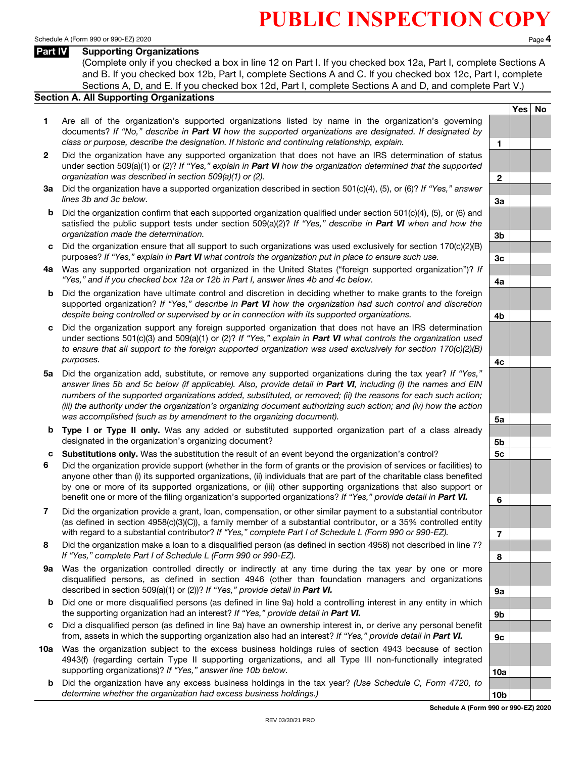#### **Part IV Supporting Organizations**

(Complete only if you checked a box in line 12 on Part I. If you checked box 12a, Part I, complete Sections A and B. If you checked box 12b, Part I, complete Sections A and C. If you checked box 12c, Part I, complete Sections A, D, and E. If you checked box 12d, Part I, complete Sections A and D, and complete Part V.)

#### **Section A. All Supporting Organizations**

- **1** Are all of the organization's supported organizations listed by name in the organization's governing documents? If "No," describe in *Part VI* how the supported organizations are designated. If designated by class or purpose, describe the designation. If historic and continuing relationship, explain. **1**
- **2** Did the organization have any supported organization that does not have an IRS determination of status under section 509(a)(1) or (2)? If "Yes," explain in *Part VI* how the organization determined that the supported organization was described in section 509(a)(1) or (2). **2**
- **3a** Did the organization have a supported organization described in section 501(c)(4), (5), or (6)? If "Yes," answer lines 3b and 3c below. **3a**
- **b** Did the organization confirm that each supported organization qualified under section 501(c)(4), (5), or (6) and satisfied the public support tests under section 509(a)(2)? If "Yes," describe in Part VI when and how the organization made the determination. **3b**
- **c** Did the organization ensure that all support to such organizations was used exclusively for section 170(c)(2)(B) purposes? If "Yes," explain in *Part VI* what controls the organization put in place to ensure such use. **3c**
- **4a** Was any supported organization not organized in the United States ("foreign supported organization")? If "Yes," and if you checked box 12a or 12b in Part I, answer lines 4b and 4c below. **4a**
- **b** Did the organization have ultimate control and discretion in deciding whether to make grants to the foreign supported organization? If "Yes," describe in *Part VI* how the organization had such control and discretion despite being controlled or supervised by or in connection with its supported organizations. **4b**
- **c** Did the organization support any foreign supported organization that does not have an IRS determination under sections 501(c)(3) and 509(a)(1) or (2)? If "Yes," explain in *Part VI* what controls the organization used to ensure that all support to the foreign supported organization was used exclusively for section 170(c)(2)(B) purposes. **4c**
- **5a** Did the organization add, substitute, or remove any supported organizations during the tax year? If "Yes," answer lines 5b and 5c below (if applicable). Also, provide detail in *Part VI*, including (i) the names and EIN numbers of the supported organizations added, substituted, or removed; (ii) the reasons for each such action; (iii) the authority under the organization's organizing document authorizing such action; and (iv) how the action was accomplished (such as by amendment to the organizing document). **5a**
- **b Type I or Type II only.** Was any added or substituted supported organization part of a class already designated in the organization's organizing document? **5b**
- **c Substitutions only.** Was the substitution the result of an event beyond the organization's control? **5c**
- **6** Did the organization provide support (whether in the form of grants or the provision of services or facilities) to anyone other than (i) its supported organizations, (ii) individuals that are part of the charitable class benefited by one or more of its supported organizations, or (iii) other supporting organizations that also support or benefit one or more of the filing organization's supported organizations? If "Yes," provide detail in *Part VI.* **6**
- **7** Did the organization provide a grant, loan, compensation, or other similar payment to a substantial contributor (as defined in section 4958(c)(3)(C)), a family member of a substantial contributor, or a 35% controlled entity with regard to a substantial contributor? If "Yes," complete Part I of Schedule L (Form 990 or 990-EZ).
- **8** Did the organization make a loan to a disqualified person (as defined in section 4958) not described in line 7? If "Yes," complete Part I of Schedule L (Form 990 or 990-EZ). **8**
- **9a** Was the organization controlled directly or indirectly at any time during the tax year by one or more disqualified persons, as defined in section 4946 (other than foundation managers and organizations described in section 509(a)(1) or (2))? If "Yes," provide detail in *Part VI.* **9a**
- **b** Did one or more disqualified persons (as defined in line 9a) hold a controlling interest in any entity in which the supporting organization had an interest? If "Yes," provide detail in **Part VI. 9b 9b**
- **c** Did a disqualified person (as defined in line 9a) have an ownership interest in, or derive any personal benefit from, assets in which the supporting organization also had an interest? If "Yes," provide detail in *Part VI.* **9c**
- **10a** Was the organization subject to the excess business holdings rules of section 4943 because of section 4943(f) (regarding certain Type II supporting organizations, and all Type III non-functionally integrated supporting organizations)? If "Yes," answer line 10b below. **10a** and the state of the state of the 10a
	- **b** Did the organization have any excess business holdings in the tax year? (Use Schedule C, Form 4720, to determine whether the organization had excess business holdings.) **10b**

**Yes No**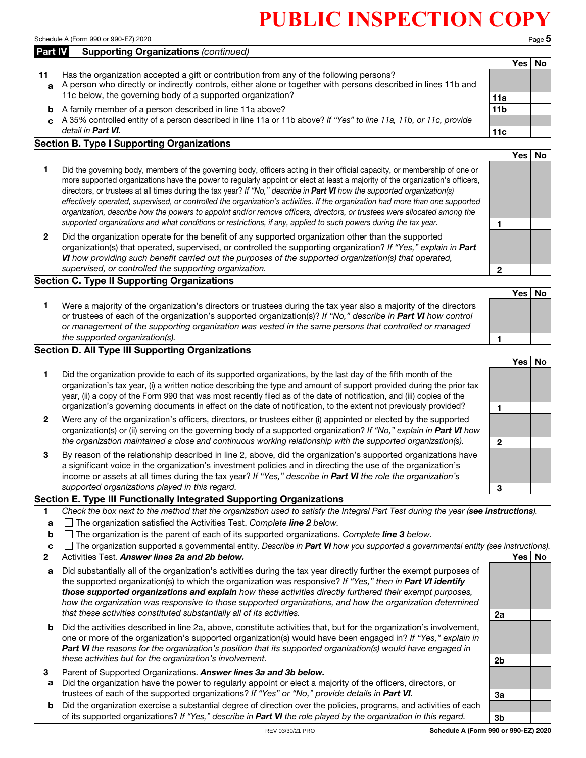Schedule A (Form 990 or 990-EZ) 2020 Page **5**

#### **Part IV** Supporting Organizations (continued)

- **11** Has the organization accepted a gift or contribution from any of the following persons? **a** A person who directly or indirectly controls, either alone or together with persons described in lines 11b and 11c below, the governing body of a supported organization? **11a**
	- **b** A family member of a person described in line 11a above? **11b 11b**
	- **c** A 35% controlled entity of a person described in line 11a or 11b above? If "Yes" to line 11a, 11b, or 11c, provide detail in *Part VI.* **11c**

#### **Section B. Type I Supporting Organizations**

- **1** Did the governing body, members of the governing body, officers acting in their official capacity, or membership of one or more supported organizations have the power to regularly appoint or elect at least a majority of the organization's officers, directors, or trustees at all times during the tax year? If "No," describe in *Part VI* how the supported organization(s) effectively operated, supervised, or controlled the organization's activities. If the organization had more than one supported organization, describe how the powers to appoint and/or remove officers, directors, or trustees were allocated among the supported organizations and what conditions or restrictions, if any, applied to such powers during the tax year. **1**
- **2** Did the organization operate for the benefit of any supported organization other than the supported organization(s) that operated, supervised, or controlled the supporting organization? If "Yes," explain in *Part VI* how providing such benefit carried out the purposes of the supported organization(s) that operated, supervised, or controlled the supporting organization. **2**

#### **Section C. Type II Supporting Organizations**

**1** Were a majority of the organization's directors or trustees during the tax year also a majority of the directors or trustees of each of the organization's supported organization(s)? If "No," describe in *Part VI* how control or management of the supporting organization was vested in the same persons that controlled or managed the supported organization(s). **1** 

#### **Section D. All Type III Supporting Organizations**

**Yes No 1** Did the organization provide to each of its supported organizations, by the last day of the fifth month of the organization's tax year, (i) a written notice describing the type and amount of support provided during the prior tax year, (ii) a copy of the Form 990 that was most recently filed as of the date of notification, and (iii) copies of the organization's governing documents in effect on the date of notification, to the extent not previously provided? **1 2** Were any of the organization's officers, directors, or trustees either (i) appointed or elected by the supported organization(s) or (ii) serving on the governing body of a supported organization? If "No," explain in *Part VI* how the organization maintained a close and continuous working relationship with the supported organization(s). **2 3** By reason of the relationship described in line 2, above, did the organization's supported organizations have a significant voice in the organization's investment policies and in directing the use of the organization's income or assets at all times during the tax year? If "Yes," describe in *Part VI* the role the organization's supported organizations played in this regard. **3 3** 

#### **Section E. Type III Functionally Integrated Supporting Organizations**

- **1** Check the box next to the method that the organization used to satisfy the Integral Part Test during the year (*see instructions*).
- **a** The organization satisfied the Activities Test. Complete **line 2** below.
- **b** The organization is the parent of each of its supported organizations. Complete **line 3** below.
- **c** The organization supported a governmental entity. Describe in *Part VI* how you supported a governmental entity (see instructions).
- **2** Activities Test. *Answer lines 2a and 2b below.* **Yes No**
- **a** Did substantially all of the organization's activities during the tax year directly further the exempt purposes of the supported organization(s) to which the organization was responsive? If "Yes," then in *Part VI identify those supported organizations and explain* how these activities directly furthered their exempt purposes, how the organization was responsive to those supported organizations, and how the organization determined that these activities constituted substantially all of its activities. **2a**
- **b** Did the activities described in line 2a, above, constitute activities that, but for the organization's involvement, one or more of the organization's supported organization(s) would have been engaged in? If "Yes," explain in **Part VI** the reasons for the organization's position that its supported organization(s) would have engaged in these activities but for the organization's involvement. **2b**
- **3** Parent of Supported Organizations. *Answer lines 3a and 3b below.*
- **a** Did the organization have the power to regularly appoint or elect a majority of the officers, directors, or trustees of each of the supported organizations? If "Yes" or "No," provide details in *Part VI.* **3a**
- **b** Did the organization exercise a substantial degree of direction over the policies, programs, and activities of each of its supported organizations? If "Yes," describe in *Part VI* the role played by the organization in this regard. **3b**

**Yes No**

**Yes No**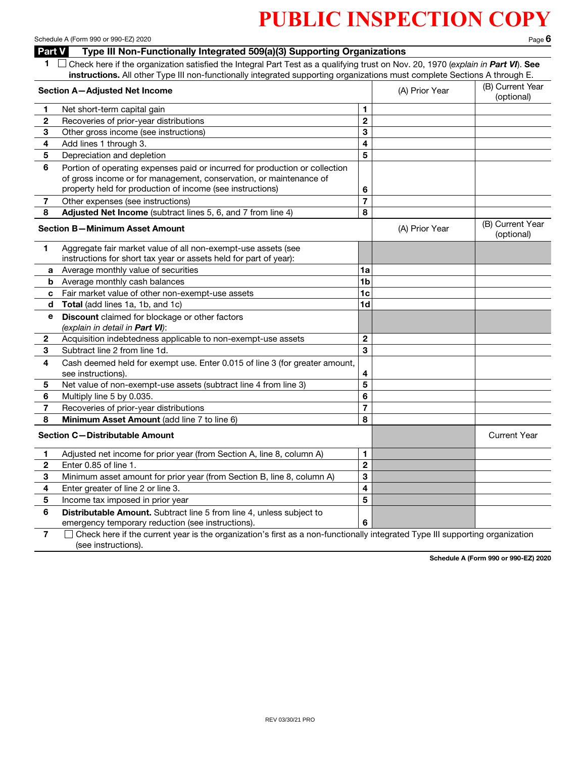Schedule A (Form 990 or 990-EZ) 2020 Page **6** 

#### **Part V Type III Non-Functionally Integrated 509(a)(3) Supporting Organizations**

**1** Check here if the organization satisfied the Integral Part Test as a qualifying trust on Nov. 20, 1970 (explain in *Part VI*). **See instructions.** All other Type III non-functionally integrated supporting organizations must complete Sections A through E.

| Section A-Adjusted Net Income |                                                                                                   |                | (A) Prior Year | (B) Current Year<br>(optional) |
|-------------------------------|---------------------------------------------------------------------------------------------------|----------------|----------------|--------------------------------|
| 1                             | Net short-term capital gain                                                                       | 1              |                |                                |
| 2                             | Recoveries of prior-year distributions                                                            | $\overline{2}$ |                |                                |
| 3                             | Other gross income (see instructions)                                                             | 3              |                |                                |
| 4                             | Add lines 1 through 3.                                                                            | 4              |                |                                |
| 5                             | Depreciation and depletion                                                                        | 5              |                |                                |
| 6                             | Portion of operating expenses paid or incurred for production or collection                       |                |                |                                |
|                               | of gross income or for management, conservation, or maintenance of                                |                |                |                                |
|                               | property held for production of income (see instructions)                                         | 6              |                |                                |
| 7                             | Other expenses (see instructions)                                                                 | $\overline{7}$ |                |                                |
| 8                             | Adjusted Net Income (subtract lines 5, 6, and 7 from line 4)                                      | 8              |                |                                |
|                               | <b>Section B-Minimum Asset Amount</b>                                                             |                | (A) Prior Year | (B) Current Year<br>(optional) |
| 1                             | Aggregate fair market value of all non-exempt-use assets (see                                     |                |                |                                |
|                               | instructions for short tax year or assets held for part of year):                                 |                |                |                                |
| a                             | Average monthly value of securities                                                               | 1a             |                |                                |
| b                             | Average monthly cash balances                                                                     | 1 <sub>b</sub> |                |                                |
| C                             | Fair market value of other non-exempt-use assets                                                  | 1 <sub>c</sub> |                |                                |
| d                             | Total (add lines 1a, 1b, and 1c)                                                                  | 1 <sub>d</sub> |                |                                |
| е                             | <b>Discount</b> claimed for blockage or other factors<br>(explain in detail in Part VI):          |                |                |                                |
| 2                             | Acquisition indebtedness applicable to non-exempt-use assets                                      | $\overline{2}$ |                |                                |
| 3                             | Subtract line 2 from line 1d.                                                                     | 3              |                |                                |
| 4                             | Cash deemed held for exempt use. Enter 0.015 of line 3 (for greater amount,<br>see instructions). | 4              |                |                                |
| 5                             | Net value of non-exempt-use assets (subtract line 4 from line 3)                                  | 5              |                |                                |
| 6                             | Multiply line 5 by 0.035.                                                                         | 6              |                |                                |
| 7                             | Recoveries of prior-year distributions                                                            | $\overline{7}$ |                |                                |
| 8                             | Minimum Asset Amount (add line 7 to line 6)                                                       | 8              |                |                                |
|                               | <b>Section C-Distributable Amount</b>                                                             |                |                | <b>Current Year</b>            |
| 1                             | Adjusted net income for prior year (from Section A, line 8, column A)                             | 1              |                |                                |
| 2                             | Enter 0.85 of line 1.                                                                             | $\overline{2}$ |                |                                |
| 3                             | Minimum asset amount for prior year (from Section B, line 8, column A)                            | 3              |                |                                |
| 4                             | Enter greater of line 2 or line 3.                                                                | 4              |                |                                |
| 5                             | Income tax imposed in prior year                                                                  | 5              |                |                                |
| 6                             | Distributable Amount. Subtract line 5 from line 4, unless subject to                              |                |                |                                |
|                               | emergency temporary reduction (see instructions).                                                 | 6              |                |                                |

**7** □ Check here if the current year is the organization's first as a non-functionally integrated Type III supporting organization (see instructions).

**Schedule A (Form 990 or 990-EZ) 2020**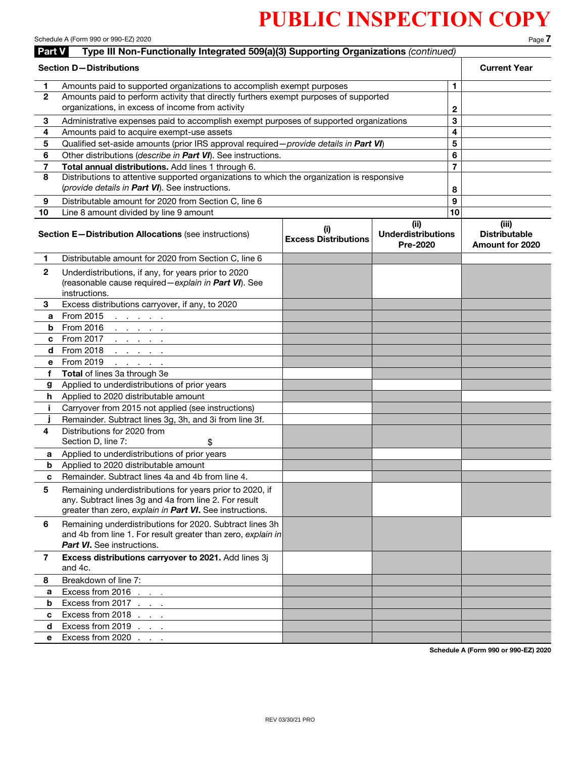Schedule A (Form 990 or 990-EZ) 2020<br>**Page 7** Page 7 Page 7 Page 7 Page 7 Page 7 Page 10 Non-Functionally Integrated 509(a)(3) Supporting Organizations *(continued)* 

| <b>Part V</b> | Type III Non-Functionally Integrated 509(a)(3) Supporting Organizations (continued)                                                                           |                                    |                                               |    |                                                  |
|---------------|---------------------------------------------------------------------------------------------------------------------------------------------------------------|------------------------------------|-----------------------------------------------|----|--------------------------------------------------|
|               | <b>Section D-Distributions</b>                                                                                                                                |                                    |                                               |    | <b>Current Year</b>                              |
| 1             | Amounts paid to supported organizations to accomplish exempt purposes                                                                                         |                                    | 1                                             |    |                                                  |
| $\mathbf{2}$  | Amounts paid to perform activity that directly furthers exempt purposes of supported<br>organizations, in excess of income from activity                      |                                    |                                               | 2  |                                                  |
| 3             | Administrative expenses paid to accomplish exempt purposes of supported organizations                                                                         |                                    |                                               | 3  |                                                  |
| 4             | Amounts paid to acquire exempt-use assets                                                                                                                     |                                    |                                               | 4  |                                                  |
| 5             | Qualified set-aside amounts (prior IRS approval required-provide details in Part VI)                                                                          |                                    |                                               | 5  |                                                  |
| 6             | Other distributions (describe in Part VI). See instructions.                                                                                                  |                                    |                                               | 6  |                                                  |
| 7             | Total annual distributions. Add lines 1 through 6.                                                                                                            |                                    |                                               | 7  |                                                  |
| 8             | Distributions to attentive supported organizations to which the organization is responsive                                                                    |                                    |                                               |    |                                                  |
|               | (provide details in Part VI). See instructions.                                                                                                               |                                    |                                               | 8  |                                                  |
| 9             | Distributable amount for 2020 from Section C, line 6                                                                                                          |                                    |                                               | 9  |                                                  |
| 10            | Line 8 amount divided by line 9 amount                                                                                                                        |                                    |                                               | 10 |                                                  |
|               | <b>Section E-Distribution Allocations (see instructions)</b>                                                                                                  | (i)<br><b>Excess Distributions</b> | (ii)<br><b>Underdistributions</b><br>Pre-2020 |    | (iii)<br><b>Distributable</b><br>Amount for 2020 |
| 1             | Distributable amount for 2020 from Section C, line 6                                                                                                          |                                    |                                               |    |                                                  |
| $\mathbf{2}$  | Underdistributions, if any, for years prior to 2020<br>(reasonable cause required - explain in Part VI). See<br>instructions.                                 |                                    |                                               |    |                                                  |
| 3             | Excess distributions carryover, if any, to 2020                                                                                                               |                                    |                                               |    |                                                  |
| a             | From 2015<br>the contract of the con-                                                                                                                         |                                    |                                               |    |                                                  |
| b             | From 2016<br>the contract of the con-                                                                                                                         |                                    |                                               |    |                                                  |
| c             | From 2017<br>and a strategic and                                                                                                                              |                                    |                                               |    |                                                  |
| d             | From 2018<br>the company of the com-                                                                                                                          |                                    |                                               |    |                                                  |
| е             | From 2019<br>and a state of the                                                                                                                               |                                    |                                               |    |                                                  |
| f             | Total of lines 3a through 3e                                                                                                                                  |                                    |                                               |    |                                                  |
| g             | Applied to underdistributions of prior years                                                                                                                  |                                    |                                               |    |                                                  |
| h             | Applied to 2020 distributable amount                                                                                                                          |                                    |                                               |    |                                                  |
| j.            | Carryover from 2015 not applied (see instructions)                                                                                                            |                                    |                                               |    |                                                  |
| Ĵ             | Remainder. Subtract lines 3g, 3h, and 3i from line 3f.                                                                                                        |                                    |                                               |    |                                                  |
| 4             | Distributions for 2020 from<br>Section D, line 7:<br>\$                                                                                                       |                                    |                                               |    |                                                  |
| a             | Applied to underdistributions of prior years                                                                                                                  |                                    |                                               |    |                                                  |
| b             | Applied to 2020 distributable amount                                                                                                                          |                                    |                                               |    |                                                  |
| C             | Remainder. Subtract lines 4a and 4b from line 4.                                                                                                              |                                    |                                               |    |                                                  |
| 5             | Remaining underdistributions for years prior to 2020, if                                                                                                      |                                    |                                               |    |                                                  |
|               | any. Subtract lines 3g and 4a from line 2. For result<br>greater than zero, explain in Part VI. See instructions.                                             |                                    |                                               |    |                                                  |
| 6             | Remaining underdistributions for 2020. Subtract lines 3h<br>and 4b from line 1. For result greater than zero, explain in<br><b>Part VI.</b> See instructions. |                                    |                                               |    |                                                  |
| 7             | Excess distributions carryover to 2021. Add lines 3j<br>and 4c.                                                                                               |                                    |                                               |    |                                                  |
| 8             | Breakdown of line 7:                                                                                                                                          |                                    |                                               |    |                                                  |
| a             | Excess from 2016 $\ldots$                                                                                                                                     |                                    |                                               |    |                                                  |
| b             | Excess from 2017                                                                                                                                              |                                    |                                               |    |                                                  |
| c             | Excess from 2018                                                                                                                                              |                                    |                                               |    |                                                  |
| d             | Excess from 2019 $\ldots$                                                                                                                                     |                                    |                                               |    |                                                  |
| е             | Excess from 2020                                                                                                                                              |                                    |                                               |    |                                                  |

**Schedule A (Form 990 or 990-EZ) 2020**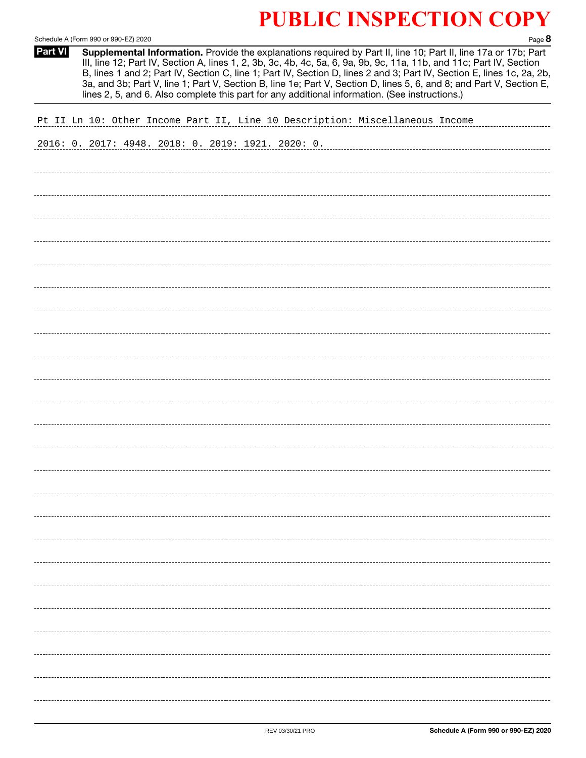| Schedule A (Form 990 or 990-EZ) 2020<br>Page $8$                                                                                                                                                                                                                                                                                                                                                                                                                                                                                                                                                       |  |  |  |  |  |  |  |
|--------------------------------------------------------------------------------------------------------------------------------------------------------------------------------------------------------------------------------------------------------------------------------------------------------------------------------------------------------------------------------------------------------------------------------------------------------------------------------------------------------------------------------------------------------------------------------------------------------|--|--|--|--|--|--|--|
| Part VI<br>Supplemental Information. Provide the explanations required by Part II, line 10; Part II, line 17a or 17b; Part<br>III, line 12; Part IV, Section A, lines 1, 2, 3b, 3c, 4b, 4c, 5a, 6, 9a, 9b, 9c, 11a, 11b, and 11c; Part IV, Section<br>B, lines 1 and 2; Part IV, Section C, line 1; Part IV, Section D, lines 2 and 3; Part IV, Section E, lines 1c, 2a, 2b,<br>3a, and 3b; Part V, line 1; Part V, Section B, line 1e; Part V, Section D, lines 5, 6, and 8; and Part V, Section E,<br>lines 2, 5, and 6. Also complete this part for any additional information. (See instructions.) |  |  |  |  |  |  |  |
| Pt II Ln 10: Other Income Part II, Line 10 Description: Miscellaneous Income                                                                                                                                                                                                                                                                                                                                                                                                                                                                                                                           |  |  |  |  |  |  |  |
| 2016: 0. 2017: 4948. 2018: 0. 2019: 1921. 2020: 0.                                                                                                                                                                                                                                                                                                                                                                                                                                                                                                                                                     |  |  |  |  |  |  |  |
|                                                                                                                                                                                                                                                                                                                                                                                                                                                                                                                                                                                                        |  |  |  |  |  |  |  |
|                                                                                                                                                                                                                                                                                                                                                                                                                                                                                                                                                                                                        |  |  |  |  |  |  |  |
|                                                                                                                                                                                                                                                                                                                                                                                                                                                                                                                                                                                                        |  |  |  |  |  |  |  |
|                                                                                                                                                                                                                                                                                                                                                                                                                                                                                                                                                                                                        |  |  |  |  |  |  |  |
|                                                                                                                                                                                                                                                                                                                                                                                                                                                                                                                                                                                                        |  |  |  |  |  |  |  |
|                                                                                                                                                                                                                                                                                                                                                                                                                                                                                                                                                                                                        |  |  |  |  |  |  |  |
|                                                                                                                                                                                                                                                                                                                                                                                                                                                                                                                                                                                                        |  |  |  |  |  |  |  |
|                                                                                                                                                                                                                                                                                                                                                                                                                                                                                                                                                                                                        |  |  |  |  |  |  |  |
|                                                                                                                                                                                                                                                                                                                                                                                                                                                                                                                                                                                                        |  |  |  |  |  |  |  |
|                                                                                                                                                                                                                                                                                                                                                                                                                                                                                                                                                                                                        |  |  |  |  |  |  |  |
|                                                                                                                                                                                                                                                                                                                                                                                                                                                                                                                                                                                                        |  |  |  |  |  |  |  |
|                                                                                                                                                                                                                                                                                                                                                                                                                                                                                                                                                                                                        |  |  |  |  |  |  |  |
|                                                                                                                                                                                                                                                                                                                                                                                                                                                                                                                                                                                                        |  |  |  |  |  |  |  |
|                                                                                                                                                                                                                                                                                                                                                                                                                                                                                                                                                                                                        |  |  |  |  |  |  |  |
|                                                                                                                                                                                                                                                                                                                                                                                                                                                                                                                                                                                                        |  |  |  |  |  |  |  |
|                                                                                                                                                                                                                                                                                                                                                                                                                                                                                                                                                                                                        |  |  |  |  |  |  |  |
|                                                                                                                                                                                                                                                                                                                                                                                                                                                                                                                                                                                                        |  |  |  |  |  |  |  |
|                                                                                                                                                                                                                                                                                                                                                                                                                                                                                                                                                                                                        |  |  |  |  |  |  |  |
|                                                                                                                                                                                                                                                                                                                                                                                                                                                                                                                                                                                                        |  |  |  |  |  |  |  |
|                                                                                                                                                                                                                                                                                                                                                                                                                                                                                                                                                                                                        |  |  |  |  |  |  |  |
|                                                                                                                                                                                                                                                                                                                                                                                                                                                                                                                                                                                                        |  |  |  |  |  |  |  |
|                                                                                                                                                                                                                                                                                                                                                                                                                                                                                                                                                                                                        |  |  |  |  |  |  |  |
|                                                                                                                                                                                                                                                                                                                                                                                                                                                                                                                                                                                                        |  |  |  |  |  |  |  |
|                                                                                                                                                                                                                                                                                                                                                                                                                                                                                                                                                                                                        |  |  |  |  |  |  |  |
|                                                                                                                                                                                                                                                                                                                                                                                                                                                                                                                                                                                                        |  |  |  |  |  |  |  |
|                                                                                                                                                                                                                                                                                                                                                                                                                                                                                                                                                                                                        |  |  |  |  |  |  |  |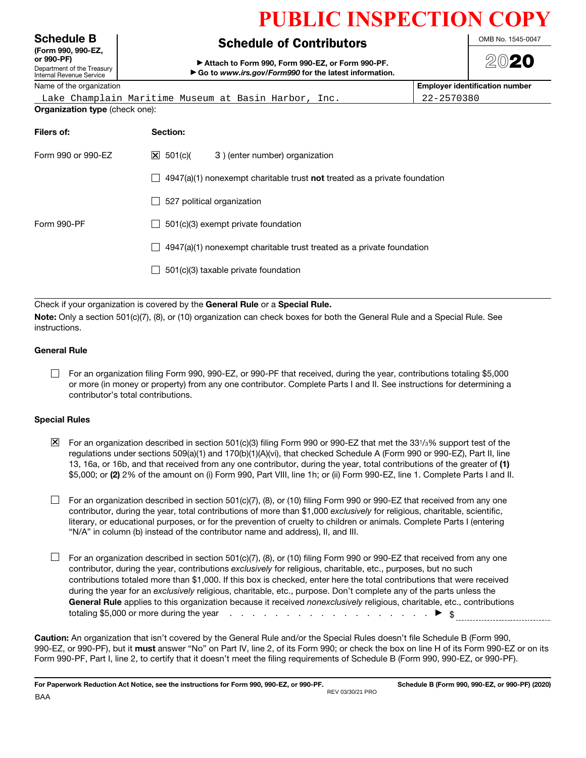**Schedule of Contributors** a **Attach to Form 990, Form 990-EZ, or Form 990-PF.**



| Department of the Treasury<br>Internal Revenue Service | Go to www.irs.gov/Form990 for the latest information.                     |  | ————                                  |  |  |  |
|--------------------------------------------------------|---------------------------------------------------------------------------|--|---------------------------------------|--|--|--|
| Name of the organization                               |                                                                           |  | <b>Employer identification number</b> |  |  |  |
| Lake Champlain Maritime Museum at Basin Harbor, Inc.   | 22-2570380                                                                |  |                                       |  |  |  |
| <b>Organization type (check one):</b>                  |                                                                           |  |                                       |  |  |  |
| Filers of:                                             | Section:                                                                  |  |                                       |  |  |  |
| Form 990 or 990-EZ                                     | $ X $ 501(c)(<br>3) (enter number) organization                           |  |                                       |  |  |  |
|                                                        | 4947(a)(1) nonexempt charitable trust not treated as a private foundation |  |                                       |  |  |  |
|                                                        | 527 political organization                                                |  |                                       |  |  |  |
| Form 990-PF                                            | 501(c)(3) exempt private foundation                                       |  |                                       |  |  |  |
|                                                        | 4947(a)(1) nonexempt charitable trust treated as a private foundation     |  |                                       |  |  |  |
|                                                        | 501(c)(3) taxable private foundation                                      |  |                                       |  |  |  |
|                                                        |                                                                           |  |                                       |  |  |  |

Check if your organization is covered by the **General Rule** or a **Special Rule. Note:** Only a section 501(c)(7), (8), or (10) organization can check boxes for both the General Rule and a Special Rule. See instructions.

#### **General Rule**

**Schedule B (Form 990, 990-EZ, or 990-PF)**

> $\Box$  For an organization filing Form 990, 990-EZ, or 990-PF that received, during the year, contributions totaling \$5,000 or more (in money or property) from any one contributor. Complete Parts I and II. See instructions for determining a contributor's total contributions.

#### **Special Rules**

 $\boxtimes$  For an organization described in section 501(c)(3) filing Form 990 or 990-EZ that met the 331/3% support test of the regulations under sections 509(a)(1) and 170(b)(1)(A)(vi), that checked Schedule A (Form 990 or 990-EZ), Part II, line 13, 16a, or 16b, and that received from any one contributor, during the year, total contributions of the greater of **(1)**  \$5,000; or **(2)** 2% of the amount on (i) Form 990, Part VIII, line 1h; or (ii) Form 990-EZ, line 1. Complete Parts I and II.

 $\Box$  For an organization described in section 501(c)(7), (8), or (10) filing Form 990 or 990-EZ that received from any one contributor, during the year, total contributions of more than \$1,000 exclusively for religious, charitable, scientific, literary, or educational purposes, or for the prevention of cruelty to children or animals. Complete Parts I (entering "N/A" in column (b) instead of the contributor name and address), II, and III.

 $\Box$  For an organization described in section 501(c)(7), (8), or (10) filing Form 990 or 990-EZ that received from any one contributor, during the year, contributions exclusively for religious, charitable, etc., purposes, but no such contributions totaled more than \$1,000. If this box is checked, enter here the total contributions that were received during the year for an exclusively religious, charitable, etc., purpose. Don't complete any of the parts unless the General Rule applies to this organization because it received nonexclusively religious, charitable, etc., contributions totaling \$5,000 or more during the year .................. <sup>a</sup> \$

**Caution:** An organization that isn't covered by the General Rule and/or the Special Rules doesn't file Schedule B (Form 990, 990-EZ, or 990-PF), but it **must** answer "No" on Part IV, line 2, of its Form 990; or check the box on line H of its Form 990-EZ or on its Form 990-PF, Part I, line 2, to certify that it doesn't meet the filing requirements of Schedule B (Form 990, 990-EZ, or 990-PF).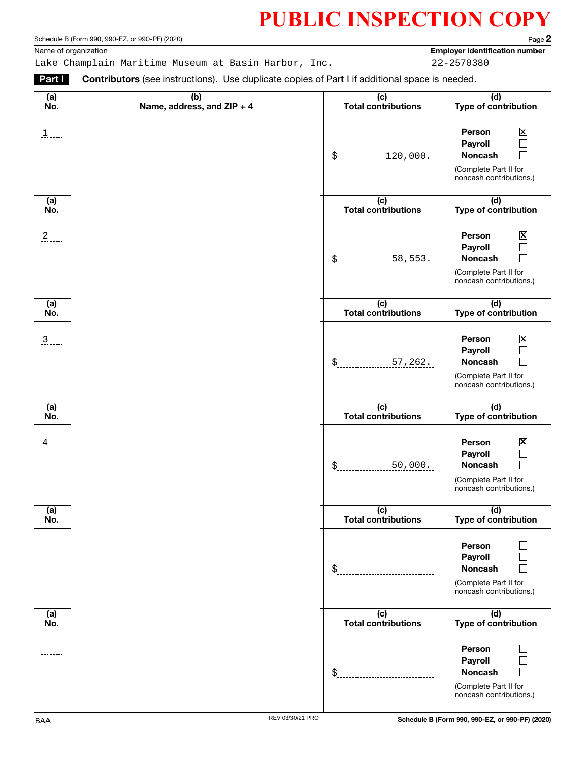Schedule B (Form 990, 990-EZ, or 990-PF) (2020) **Page 2** 

Name of organization **Employer identification number Employer identification number** 

Lake Champlain Maritime Museum at Basin Harbor, Inc. 22-2570380

| Part I        | Contributors (see instructions). Use duplicate copies of Part I if additional space is needed. |                                   |                                                                                                                  |
|---------------|------------------------------------------------------------------------------------------------|-----------------------------------|------------------------------------------------------------------------------------------------------------------|
| (a)<br>No.    | (b)<br>Name, address, and ZIP + 4                                                              | (c)<br><b>Total contributions</b> | (d)<br>Type of contribution                                                                                      |
| 1             |                                                                                                | \$<br>120,000.                    | $\mathbf{\Sigma}$<br>Person<br>Payroll<br><b>Noncash</b>                                                         |
|               |                                                                                                |                                   | (Complete Part II for<br>noncash contributions.)                                                                 |
| (a)<br>No.    |                                                                                                | (c)<br><b>Total contributions</b> | (d)<br>Type of contribution                                                                                      |
| 2             |                                                                                                | \$<br>58,553.                     | $\boxtimes$<br>Person<br>Payroll<br><b>Noncash</b>                                                               |
|               |                                                                                                |                                   | (Complete Part II for<br>noncash contributions.)                                                                 |
| (a)<br>No.    |                                                                                                | (c)<br><b>Total contributions</b> | (d)<br>Type of contribution                                                                                      |
| 3             |                                                                                                | \$<br>57,262.                     | $\mathbf{\Sigma}$<br>Person<br>Payroll<br><b>Noncash</b>                                                         |
|               |                                                                                                |                                   | (Complete Part II for<br>noncash contributions.)                                                                 |
| (a)<br>No.    |                                                                                                | (c)<br><b>Total contributions</b> | (d)<br>Type of contribution                                                                                      |
| $\frac{4}{1}$ |                                                                                                | \$<br>50,000.                     | $\boxtimes$<br>Person<br>Payroll<br>$\Box$<br><b>Noncash</b><br>(Complete Part II for<br>noncash contributions.) |
| (a)<br>No.    |                                                                                                | (c)<br><b>Total contributions</b> | (d)<br>Type of contribution                                                                                      |
| .             |                                                                                                | \$                                | Person<br>Payroll<br><b>Noncash</b>                                                                              |
|               |                                                                                                |                                   | (Complete Part II for<br>noncash contributions.)                                                                 |
| (a)<br>No.    |                                                                                                | (c)<br><b>Total contributions</b> | (d)<br>Type of contribution                                                                                      |
| -------       |                                                                                                | \$                                | Person<br>Payroll<br><b>Noncash</b>                                                                              |
|               |                                                                                                |                                   | (Complete Part II for<br>noncash contributions.)                                                                 |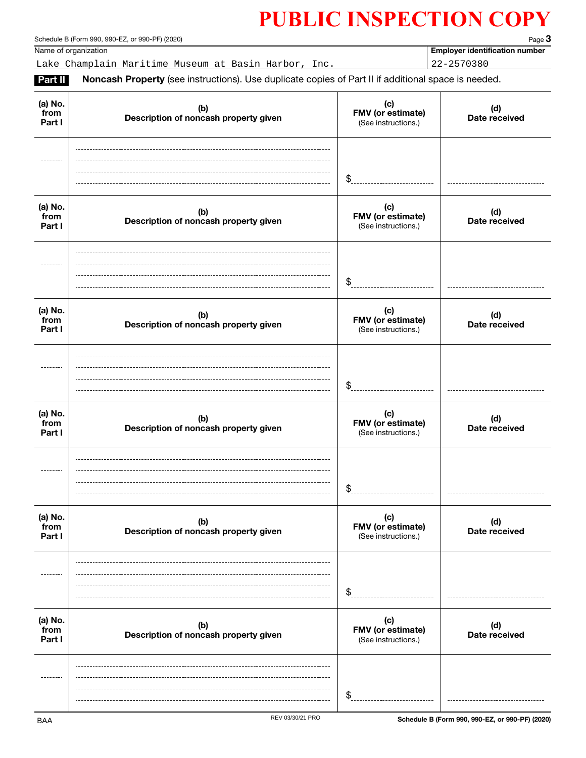Schedule B (Form 990, 990-EZ, or 990-PF) (2020) Page 3

Name of organization **Employer identification number Employer identification number** 

Lake Champlain Maritime Museum at Basin Harbor, Inc. 22-2570380

**Part II** Noncash Property (see instructions). Use duplicate copies of Part II if additional space is needed.

| (a) No.<br>from<br>Part I | (b)<br>Description of noncash property given | (c)<br>FMV (or estimate)<br>(See instructions.) | (d)<br>Date received |
|---------------------------|----------------------------------------------|-------------------------------------------------|----------------------|
|                           |                                              | \$                                              |                      |
| (a) No.<br>from<br>Part I | (b)<br>Description of noncash property given | (c)<br>FMV (or estimate)<br>(See instructions.) | (d)<br>Date received |
|                           |                                              | $\frac{1}{2}$                                   |                      |
| (a) No.<br>from<br>Part I | (b)<br>Description of noncash property given | (c)<br>FMV (or estimate)<br>(See instructions.) | (d)<br>Date received |
|                           |                                              | \$                                              |                      |
| (a) No.<br>from<br>Part I | (b)<br>Description of noncash property given | (c)<br>FMV (or estimate)<br>(See instructions.) | (d)<br>Date received |
|                           |                                              | \$                                              |                      |
| (a) No.<br>from<br>Part I | (b)<br>Description of noncash property given | (c)<br>FMV (or estimate)<br>(See instructions.) | (d)<br>Date received |
| .                         |                                              | $\mathcal{L}_{\mathcal{L}}$                     |                      |
| (a) No.<br>from<br>Part I | (b)<br>Description of noncash property given | (c)<br>FMV (or estimate)<br>(See instructions.) | (d)<br>Date received |
| -------                   |                                              | $\mathcal{L}_{\mathcal{L}}$                     |                      |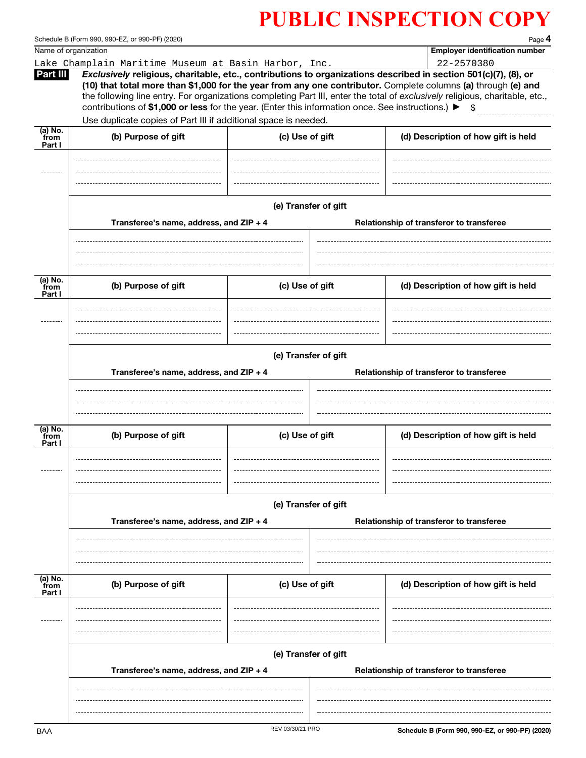|                           | Schedule B (Form 990, 990-EZ, or 990-PF) (2020)                                                   |                      | Page 4                                                                                                                                                                                                                                         |  |  |  |  |
|---------------------------|---------------------------------------------------------------------------------------------------|----------------------|------------------------------------------------------------------------------------------------------------------------------------------------------------------------------------------------------------------------------------------------|--|--|--|--|
|                           | Name of organization                                                                              |                      | <b>Employer identification number</b>                                                                                                                                                                                                          |  |  |  |  |
| Part III                  | Lake Champlain Maritime Museum at Basin Harbor, Inc.                                              |                      | 22-2570380<br>Exclusively religious, charitable, etc., contributions to organizations described in section 501(c)(7), (8), or<br>(10) that total more than \$1,000 for the year from any one contributor. Complete columns (a) through (e) and |  |  |  |  |
|                           | contributions of \$1,000 or less for the year. (Enter this information once. See instructions.) ▶ |                      | the following line entry. For organizations completing Part III, enter the total of exclusively religious, charitable, etc.,<br>\$                                                                                                             |  |  |  |  |
|                           | Use duplicate copies of Part III if additional space is needed.                                   |                      |                                                                                                                                                                                                                                                |  |  |  |  |
| (a) No.<br>from<br>Part I | (b) Purpose of gift                                                                               | (c) Use of gift      | (d) Description of how gift is held                                                                                                                                                                                                            |  |  |  |  |
|                           |                                                                                                   |                      |                                                                                                                                                                                                                                                |  |  |  |  |
|                           | Transferee's name, address, and ZIP + 4                                                           | (e) Transfer of gift | Relationship of transferor to transferee                                                                                                                                                                                                       |  |  |  |  |
|                           |                                                                                                   |                      |                                                                                                                                                                                                                                                |  |  |  |  |
|                           |                                                                                                   |                      |                                                                                                                                                                                                                                                |  |  |  |  |
| (a) No.<br>from<br>Part I | (b) Purpose of gift                                                                               | (c) Use of gift      | (d) Description of how gift is held                                                                                                                                                                                                            |  |  |  |  |
|                           |                                                                                                   |                      |                                                                                                                                                                                                                                                |  |  |  |  |
|                           |                                                                                                   |                      |                                                                                                                                                                                                                                                |  |  |  |  |
|                           |                                                                                                   |                      |                                                                                                                                                                                                                                                |  |  |  |  |
|                           | (e) Transfer of gift                                                                              |                      |                                                                                                                                                                                                                                                |  |  |  |  |
|                           | Transferee's name, address, and ZIP + 4                                                           |                      | Relationship of transferor to transferee                                                                                                                                                                                                       |  |  |  |  |
|                           |                                                                                                   |                      |                                                                                                                                                                                                                                                |  |  |  |  |
|                           |                                                                                                   |                      |                                                                                                                                                                                                                                                |  |  |  |  |
|                           |                                                                                                   |                      |                                                                                                                                                                                                                                                |  |  |  |  |
| (a) No.<br>from<br>Part I | (b) Purpose of gift                                                                               | (c) Use of gift      | (d) Description of how gift is held                                                                                                                                                                                                            |  |  |  |  |
|                           |                                                                                                   |                      |                                                                                                                                                                                                                                                |  |  |  |  |
|                           |                                                                                                   |                      |                                                                                                                                                                                                                                                |  |  |  |  |
|                           |                                                                                                   |                      |                                                                                                                                                                                                                                                |  |  |  |  |
|                           |                                                                                                   | (e) Transfer of gift |                                                                                                                                                                                                                                                |  |  |  |  |
|                           | Transferee's name, address, and ZIP + 4                                                           |                      | Relationship of transferor to transferee                                                                                                                                                                                                       |  |  |  |  |
|                           |                                                                                                   |                      |                                                                                                                                                                                                                                                |  |  |  |  |
|                           |                                                                                                   |                      |                                                                                                                                                                                                                                                |  |  |  |  |
|                           |                                                                                                   |                      |                                                                                                                                                                                                                                                |  |  |  |  |
| (a) No.<br>from<br>Part I | (b) Purpose of gift                                                                               | (c) Use of gift      | (d) Description of how gift is held                                                                                                                                                                                                            |  |  |  |  |
|                           |                                                                                                   |                      |                                                                                                                                                                                                                                                |  |  |  |  |
|                           |                                                                                                   |                      |                                                                                                                                                                                                                                                |  |  |  |  |
|                           |                                                                                                   |                      |                                                                                                                                                                                                                                                |  |  |  |  |
|                           |                                                                                                   | (e) Transfer of gift |                                                                                                                                                                                                                                                |  |  |  |  |
|                           | Transferee's name, address, and ZIP + 4                                                           |                      | Relationship of transferor to transferee                                                                                                                                                                                                       |  |  |  |  |
|                           |                                                                                                   |                      |                                                                                                                                                                                                                                                |  |  |  |  |
|                           |                                                                                                   |                      |                                                                                                                                                                                                                                                |  |  |  |  |

÷.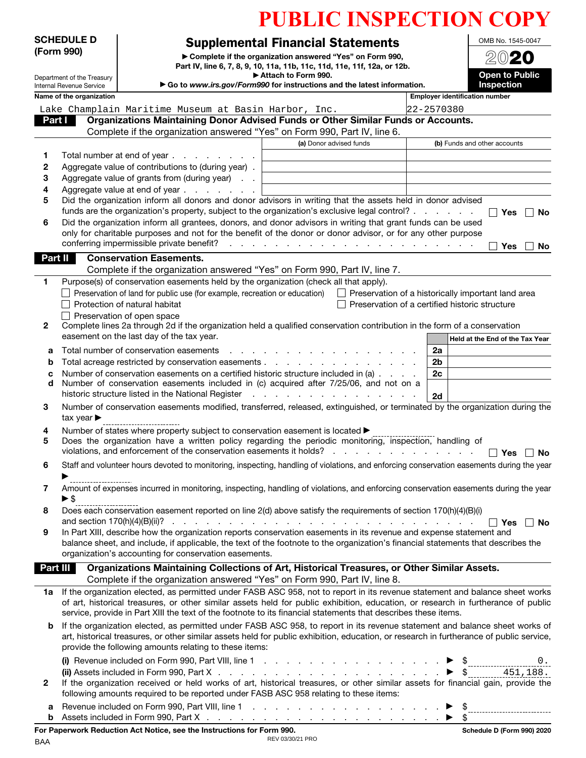|                                                               |                                                      |                                                                                       | <b>PUBLIC INSPECTION COPY</b>                                                                                                                                                                           |            |                |                                       |                                                          |  |
|---------------------------------------------------------------|------------------------------------------------------|---------------------------------------------------------------------------------------|---------------------------------------------------------------------------------------------------------------------------------------------------------------------------------------------------------|------------|----------------|---------------------------------------|----------------------------------------------------------|--|
| <b>SCHEDULE D</b><br>(Form 990)<br>Department of the Treasury |                                                      |                                                                                       | <b>Supplemental Financial Statements</b><br>Complete if the organization answered "Yes" on Form 990,<br>Part IV, line 6, 7, 8, 9, 10, 11a, 11b, 11c, 11d, 11e, 11f, 12a, or 12b.<br>Attach to Form 990. |            |                |                                       | OMB No. 1545-0047<br><b>Open to Public</b><br>Inspection |  |
|                                                               | Internal Revenue Service<br>Name of the organization |                                                                                       | Go to www.irs.gov/Form990 for instructions and the latest information.                                                                                                                                  |            |                | <b>Employer identification number</b> |                                                          |  |
|                                                               |                                                      | Lake Champlain Maritime Museum at Basin Harbor, Inc.                                  |                                                                                                                                                                                                         | 22-2570380 |                |                                       |                                                          |  |
|                                                               | Part I                                               |                                                                                       | Organizations Maintaining Donor Advised Funds or Other Similar Funds or Accounts.                                                                                                                       |            |                |                                       |                                                          |  |
|                                                               |                                                      | Complete if the organization answered "Yes" on Form 990, Part IV, line 6.             |                                                                                                                                                                                                         |            |                |                                       |                                                          |  |
|                                                               |                                                      |                                                                                       | (a) Donor advised funds                                                                                                                                                                                 |            |                | (b) Funds and other accounts          |                                                          |  |
| 1                                                             |                                                      | Total number at end of year                                                           |                                                                                                                                                                                                         |            |                |                                       |                                                          |  |
| 2                                                             |                                                      | Aggregate value of contributions to (during year).                                    |                                                                                                                                                                                                         |            |                |                                       |                                                          |  |
| 3                                                             |                                                      | Aggregate value of grants from (during year)                                          |                                                                                                                                                                                                         |            |                |                                       |                                                          |  |
| 4                                                             |                                                      | Aggregate value at end of year                                                        |                                                                                                                                                                                                         |            |                |                                       |                                                          |  |
| 5                                                             |                                                      |                                                                                       | Did the organization inform all donors and donor advisors in writing that the assets held in donor advised                                                                                              |            |                |                                       |                                                          |  |
|                                                               |                                                      |                                                                                       | funds are the organization's property, subject to the organization's exclusive legal control?                                                                                                           |            |                |                                       | $\sqsupset$ Yes<br><b>No</b>                             |  |
| 6                                                             |                                                      |                                                                                       | Did the organization inform all grantees, donors, and donor advisors in writing that grant funds can be used                                                                                            |            |                |                                       |                                                          |  |
|                                                               |                                                      |                                                                                       | only for charitable purposes and not for the benefit of the donor or donor advisor, or for any other purpose                                                                                            |            |                |                                       |                                                          |  |
|                                                               |                                                      | conferring impermissible private benefit?                                             | and a series of the contract of the contract of the contract of the contract of                                                                                                                         |            |                |                                       | Yes<br><b>No</b>                                         |  |
|                                                               | <b>Part II</b>                                       | <b>Conservation Easements.</b>                                                        |                                                                                                                                                                                                         |            |                |                                       |                                                          |  |
|                                                               |                                                      | Complete if the organization answered "Yes" on Form 990, Part IV, line 7.             |                                                                                                                                                                                                         |            |                |                                       |                                                          |  |
| 1.                                                            |                                                      | Purpose(s) of conservation easements held by the organization (check all that apply). |                                                                                                                                                                                                         |            |                |                                       |                                                          |  |
|                                                               |                                                      | Preservation of land for public use (for example, recreation or education)            | $\Box$ Preservation of a historically important land area                                                                                                                                               |            |                |                                       |                                                          |  |
|                                                               |                                                      | Protection of natural habitat                                                         | Preservation of a certified historic structure                                                                                                                                                          |            |                |                                       |                                                          |  |
|                                                               |                                                      | Preservation of open space                                                            |                                                                                                                                                                                                         |            |                |                                       |                                                          |  |
| $\mathbf{2}$                                                  |                                                      |                                                                                       | Complete lines 2a through 2d if the organization held a qualified conservation contribution in the form of a conservation                                                                               |            |                |                                       |                                                          |  |
|                                                               |                                                      | easement on the last day of the tax year.                                             |                                                                                                                                                                                                         |            |                |                                       | Held at the End of the Tax Year                          |  |
| a                                                             |                                                      | Total number of conservation easements                                                |                                                                                                                                                                                                         |            | 2a             |                                       |                                                          |  |
| b                                                             |                                                      |                                                                                       | Total acreage restricted by conservation easements                                                                                                                                                      |            | 2 <sub>b</sub> |                                       |                                                          |  |
| C                                                             |                                                      |                                                                                       | Number of conservation easements on a certified historic structure included in (a)                                                                                                                      |            | 2c             |                                       |                                                          |  |
| d                                                             |                                                      |                                                                                       | Number of conservation easements included in (c) acquired after 7/25/06, and not on a                                                                                                                   |            |                |                                       |                                                          |  |
|                                                               |                                                      | historic structure listed in the National Register                                    | and a strategic and                                                                                                                                                                                     |            | 2d             |                                       |                                                          |  |
| 3                                                             | tax year $\blacktriangleright$                       |                                                                                       | Number of conservation easements modified, transferred, released, extinguished, or terminated by the organization during the                                                                            |            |                |                                       |                                                          |  |
| 4                                                             |                                                      | Number of states where property subject to conservation easement is located ▶         |                                                                                                                                                                                                         |            |                |                                       |                                                          |  |
| 5                                                             |                                                      |                                                                                       | Does the organization have a written policy regarding the periodic monitoring, inspection, handling of                                                                                                  |            |                |                                       |                                                          |  |
|                                                               |                                                      |                                                                                       |                                                                                                                                                                                                         |            |                |                                       | ∣∣ Yes<br>∣ ∣No                                          |  |
| 6                                                             |                                                      |                                                                                       | Staff and volunteer hours devoted to monitoring, inspecting, handling of violations, and enforcing conservation easements during the year                                                               |            |                |                                       |                                                          |  |
|                                                               |                                                      |                                                                                       |                                                                                                                                                                                                         |            |                |                                       |                                                          |  |
| 7                                                             |                                                      |                                                                                       | Amount of expenses incurred in monitoring, inspecting, handling of violations, and enforcing conservation easements during the year                                                                     |            |                |                                       |                                                          |  |
|                                                               | $\blacktriangleright$ \$                             |                                                                                       |                                                                                                                                                                                                         |            |                |                                       |                                                          |  |
| 8                                                             |                                                      |                                                                                       | Does each conservation easement reported on line 2(d) above satisfy the requirements of section 170(h)(4)(B)(i)                                                                                         |            |                |                                       |                                                          |  |
|                                                               |                                                      |                                                                                       |                                                                                                                                                                                                         |            |                |                                       |                                                          |  |
| 9                                                             |                                                      |                                                                                       | In Part XIII, describe how the organization reports conservation easements in its revenue and expense statement and                                                                                     |            |                |                                       | ∣∣ Yes<br><b>No</b>                                      |  |
|                                                               |                                                      |                                                                                       | balance sheet, and include, if applicable, the text of the footnote to the organization's financial statements that describes the                                                                       |            |                |                                       |                                                          |  |
|                                                               |                                                      | organization's accounting for conservation easements.                                 |                                                                                                                                                                                                         |            |                |                                       |                                                          |  |

|                 | organization o accounting for concervation caccincition                                                                           |
|-----------------|-----------------------------------------------------------------------------------------------------------------------------------|
| <b>Part III</b> | Organizations Maintaining Collections of Art, Historical Treasures, or Other Similar Assets.                                      |
|                 | Complete if the organization answered "Yes" on Form 990, Part IV, line 8.                                                         |
|                 | 1a If the organization elected, as permitted under FASB ASC 958, not to report in its revenue statement and balance sheet works   |
|                 | of art, historical treasures, or other similar assets held for public exhibition, education, or research in furtherance of public |

service, provide in Part XIII the text of the footnote to its financial statements that describes these items. **b**  If the organization elected, as permitted under FASB ASC 958, to report in its revenue statement and balance sheet works of art, historical treasures, or other similar assets held for public exhibition, education, or research in furtherance of public service, provide the following amounts relating to these items:

| (i) Revenue included on Form 990, Part VIII, line 1 $\ldots$ $\ldots$ $\ldots$ $\ldots$ $\ldots$ $\ldots$ $\ldots$ $\blacktriangleright$ \$                                                                                                                                                                                                                                                                                  |
|------------------------------------------------------------------------------------------------------------------------------------------------------------------------------------------------------------------------------------------------------------------------------------------------------------------------------------------------------------------------------------------------------------------------------|
| (ii) Assets included in Form 990, Part X $\ldots$ , $\ldots$ , $\ldots$ , $\ldots$ , $\downarrow$ , $\downarrow$ , $\downarrow$ , $\downarrow$ , $\downarrow$ , $\downarrow$ , $\downarrow$ , $\downarrow$ , $\downarrow$ , $\downarrow$ , $\downarrow$ , $\downarrow$ , $\downarrow$ , $\downarrow$ , $\downarrow$ , $\downarrow$ , $\downarrow$ , $\downarrow$ , $\downarrow$ , $\downarrow$ , $\downarrow$ , $\downarrow$ |
| 2 If the organization received or held works of art, historical treasures, or other similar assets for financial gain, provide the<br>following amounts required to be reported under FASB ASC 958 relating to these items:                                                                                                                                                                                                  |
|                                                                                                                                                                                                                                                                                                                                                                                                                              |
| <b>b</b> Assets included in Form 990, Part X $\ldots$ $\ldots$ $\ldots$ $\ldots$ $\ldots$ $\ldots$ $\ldots$ $\ldots$ $\blacktriangleright$ \$                                                                                                                                                                                                                                                                                |

**For Paperwork Reduction Act Notice, see the Instructions for Form 990.** *Schedule D* **(Form 990) 2020 REV 03/30/21 PRO**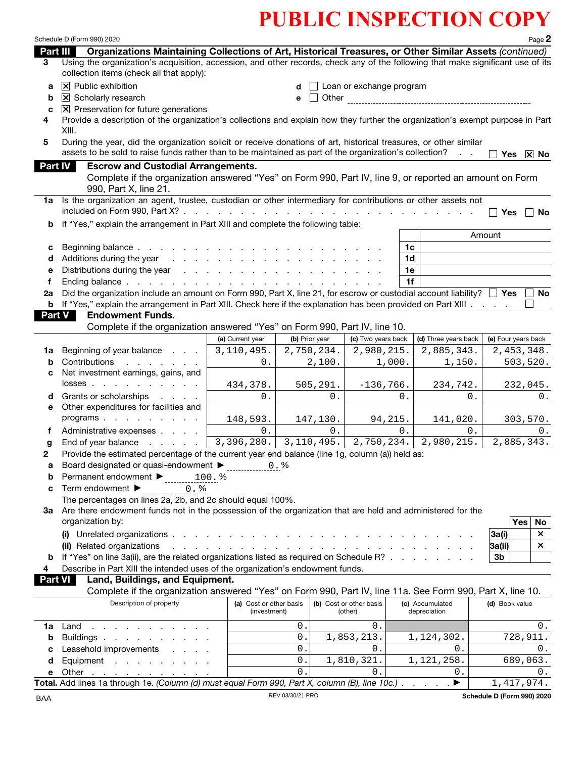|                | Schedule D (Form 990) 2020                                                                                                                                                                                                                              |                         |                |                                      |                |                      | Page 2              |  |
|----------------|---------------------------------------------------------------------------------------------------------------------------------------------------------------------------------------------------------------------------------------------------------|-------------------------|----------------|--------------------------------------|----------------|----------------------|---------------------|--|
| Part III       | Organizations Maintaining Collections of Art, Historical Treasures, or Other Similar Assets (continued)                                                                                                                                                 |                         |                |                                      |                |                      |                     |  |
| 3              | Using the organization's acquisition, accession, and other records, check any of the following that make significant use of its<br>collection items (check all that apply):                                                                             |                         |                |                                      |                |                      |                     |  |
| a              | $ \mathsf{X} $ Public exhibition                                                                                                                                                                                                                        |                         |                | $d \square$ Loan or exchange program |                |                      |                     |  |
| b              | $\boxed{\mathsf{X}}$ Scholarly research                                                                                                                                                                                                                 |                         | e              |                                      |                |                      |                     |  |
| C              | $\boxed{\mathsf{X}}$ Preservation for future generations                                                                                                                                                                                                |                         |                |                                      |                |                      |                     |  |
| 4              | Provide a description of the organization's collections and explain how they further the organization's exempt purpose in Part<br>XIII.                                                                                                                 |                         |                |                                      |                |                      |                     |  |
| 5              | During the year, did the organization solicit or receive donations of art, historical treasures, or other similar<br>assets to be sold to raise funds rather than to be maintained as part of the organization's collection?<br>Yes $\boxed{\times}$ No |                         |                |                                      |                |                      |                     |  |
| <b>Part IV</b> | <b>Escrow and Custodial Arrangements.</b>                                                                                                                                                                                                               |                         |                |                                      |                |                      |                     |  |
|                | Complete if the organization answered "Yes" on Form 990, Part IV, line 9, or reported an amount on Form<br>990, Part X, line 21.                                                                                                                        |                         |                |                                      |                |                      |                     |  |
| 1a             | Is the organization an agent, trustee, custodian or other intermediary for contributions or other assets not                                                                                                                                            |                         |                |                                      |                | $\sim$               | <b>Yes</b><br>∣ No  |  |
| b              | If "Yes," explain the arrangement in Part XIII and complete the following table:                                                                                                                                                                        |                         |                |                                      |                |                      |                     |  |
|                |                                                                                                                                                                                                                                                         |                         |                |                                      |                |                      | Amount              |  |
| с              |                                                                                                                                                                                                                                                         |                         |                |                                      | 1 <sub>c</sub> |                      |                     |  |
| d              | Additions during the year response to the contract of the year response to the contract of the set of the set of the set of the set of the set of the set of the set of the set of the set of the set of the set of the set of                          |                         |                |                                      | 1 <sub>d</sub> |                      |                     |  |
| е              | Distributions during the year response to the contract of the set of the set of the set of the set of the set of the set of the set of the set of the set of the set of the set of the set of the set of the set of the set of                          |                         |                |                                      | 1e             |                      |                     |  |
| f              |                                                                                                                                                                                                                                                         |                         |                |                                      | 1f             |                      |                     |  |
| 2a             | Did the organization include an amount on Form 990, Part X, line 21, for escrow or custodial account liability? $\Box$ Yes                                                                                                                              |                         |                |                                      |                |                      | ∣ No                |  |
|                | <b>b</b> If "Yes," explain the arrangement in Part XIII. Check here if the explanation has been provided on Part XIII                                                                                                                                   |                         |                |                                      |                |                      |                     |  |
|                | <b>Part V</b><br><b>Endowment Funds.</b>                                                                                                                                                                                                                |                         |                |                                      |                |                      |                     |  |
|                | Complete if the organization answered "Yes" on Form 990, Part IV, line 10.                                                                                                                                                                              |                         |                |                                      |                |                      |                     |  |
|                |                                                                                                                                                                                                                                                         | (a) Current year        | (b) Prior year | (c) Two years back                   |                | (d) Three years back | (e) Four years back |  |
| 1a             | Beginning of year balance                                                                                                                                                                                                                               | 3, 110, 495.            | 2,750,234.     | 2,980,215.                           |                | 2,885,343.           | 2,453,348.          |  |
| b              | Contributions<br>and the contract of the con-                                                                                                                                                                                                           | 0.                      | 2,100.         |                                      | 1,000.         | 1,150.               | 503, 520.           |  |
| с              | Net investment earnings, gains, and                                                                                                                                                                                                                     |                         |                |                                      |                |                      |                     |  |
|                | $losses$                                                                                                                                                                                                                                                | 434,378.                | 505, 291.      | $-136,766.$                          |                | 234,742.             | 232,045.            |  |
| d              | Grants or scholarships                                                                                                                                                                                                                                  | 0.                      |                | $0$ .                                | 0.             | $0$ .                | $0$ .               |  |
| е              | Other expenditures for facilities and                                                                                                                                                                                                                   |                         |                |                                      |                |                      |                     |  |
|                | programs                                                                                                                                                                                                                                                | 148,593.                | 147,130.       |                                      | 94,215.        | 141,020.             | 303,570.            |  |
| f              | Administrative expenses                                                                                                                                                                                                                                 | $0$ .                   |                | $0$ .                                | 0.             | 0.                   | $0$ .               |  |
| g              | End of year balance                                                                                                                                                                                                                                     | 3,396,280.              | 3,110,495.     | 2,750,234.                           |                | 2,980,215.           | 2,885,343.          |  |
| 2              | Provide the estimated percentage of the current year end balance (line 1g, column (a)) held as:                                                                                                                                                         |                         |                |                                      |                |                      |                     |  |
|                | Board designated or quasi-endowment > 0. %                                                                                                                                                                                                              |                         |                |                                      |                |                      |                     |  |
| b              | Permanent endowment ▶                                                                                                                                                                                                                                   | 100.%                   |                |                                      |                |                      |                     |  |
| c              | Term endowment ▶<br>0.96                                                                                                                                                                                                                                |                         |                |                                      |                |                      |                     |  |
|                | The percentages on lines 2a, 2b, and 2c should equal 100%.                                                                                                                                                                                              |                         |                |                                      |                |                      |                     |  |
| За             | Are there endowment funds not in the possession of the organization that are held and administered for the                                                                                                                                              |                         |                |                                      |                |                      |                     |  |
|                | organization by:                                                                                                                                                                                                                                        |                         |                |                                      |                |                      | <b>Yes</b><br>No    |  |
|                |                                                                                                                                                                                                                                                         |                         |                |                                      |                |                      | $\times$<br> 3a(i)  |  |
|                | (ii) Related organizations                                                                                                                                                                                                                              |                         |                |                                      |                |                      | $\times$<br>3a(ii)  |  |
| b              | If "Yes" on line 3a(ii), are the related organizations listed as required on Schedule R?                                                                                                                                                                |                         |                |                                      |                |                      | 3b                  |  |
| 4              | Describe in Part XIII the intended uses of the organization's endowment funds.                                                                                                                                                                          |                         |                |                                      |                |                      |                     |  |
| <b>Part VI</b> | Land, Buildings, and Equipment.                                                                                                                                                                                                                         |                         |                |                                      |                |                      |                     |  |
|                | Complete if the organization answered "Yes" on Form 990, Part IV, line 11a. See Form 990, Part X, line 10.                                                                                                                                              |                         |                |                                      |                |                      |                     |  |
|                | Description of property                                                                                                                                                                                                                                 | (a) Cost or other basis |                | (b) Cost or other basis              |                | (c) Accumulated      | (d) Book value      |  |
|                |                                                                                                                                                                                                                                                         | (investment)            |                | (other)                              |                | depreciation         |                     |  |
| 1a             | Land<br>and a strong control of the state of the state of the state of the state of the state of the state of the state of the state of the state of the state of the state of the state of the state of the state of the state of the                  |                         | 0.             | 0.                                   |                |                      | 0.                  |  |
| b              | Buildings                                                                                                                                                                                                                                               |                         | 0.             | 1,853,213.                           |                | 1,124,302.           | 728,911.            |  |
| с              | Leasehold improvements                                                                                                                                                                                                                                  |                         | $0$ .          | 0.                                   |                | 0.                   | 0.                  |  |
| d              | Equipment<br>and the company of the company of                                                                                                                                                                                                          |                         | $0$ .          | 1,810,321.                           |                | 1,121,258.           | 689,063.            |  |
| е              | Other<br>the contract of the contract of the con-                                                                                                                                                                                                       |                         | $\Omega$ .     | 0.                                   |                | 0.                   | 0.                  |  |
|                | Total. Add lines 1a through 1e. (Column (d) must equal Form 990, Part X, column (B), line 10c.) ▶                                                                                                                                                       |                         |                |                                      |                |                      | 1, 417, 974.        |  |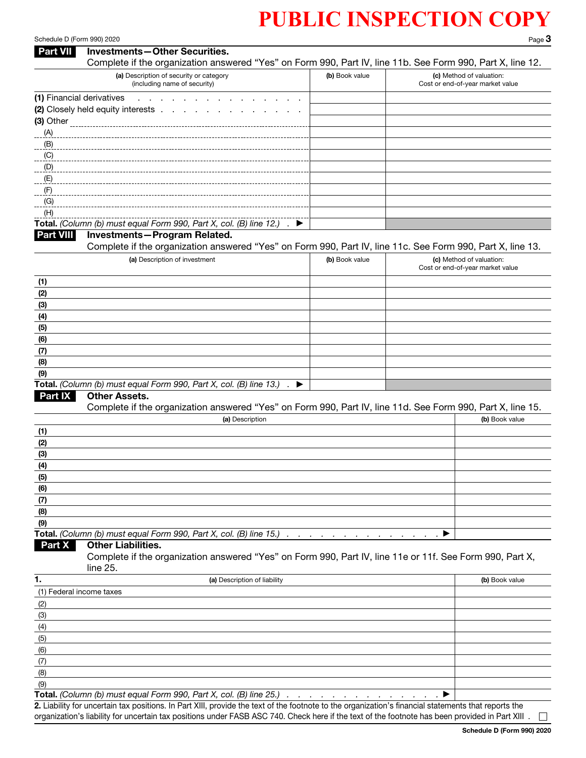| Schedule D (Form 990) 2020 | Page <b>3</b> |
|----------------------------|---------------|
|----------------------------|---------------|

| <b>Part VII</b>           | <b>Investments-Other Securities.</b><br>Complete if the organization answered "Yes" on Form 990, Part IV, line 11b. See Form 990, Part X, line 12.   |                                     |                                                              |
|---------------------------|------------------------------------------------------------------------------------------------------------------------------------------------------|-------------------------------------|--------------------------------------------------------------|
|                           | (a) Description of security or category<br>(including name of security)                                                                              | (b) Book value                      | (c) Method of valuation:<br>Cost or end-of-year market value |
| (1) Financial derivatives | the contract of the contract of the                                                                                                                  |                                     |                                                              |
|                           | (2) Closely held equity interests                                                                                                                    |                                     |                                                              |
|                           |                                                                                                                                                      |                                     |                                                              |
| (A)                       |                                                                                                                                                      |                                     |                                                              |
| (B)                       |                                                                                                                                                      |                                     |                                                              |
| (C)                       |                                                                                                                                                      |                                     |                                                              |
| (D)                       |                                                                                                                                                      |                                     |                                                              |
| (E)                       |                                                                                                                                                      |                                     |                                                              |
| (F)                       |                                                                                                                                                      |                                     |                                                              |
| (G)                       |                                                                                                                                                      |                                     |                                                              |
| (H)                       | Total. (Column (b) must equal Form 990, Part X, col. (B) line 12.) .                                                                                 |                                     |                                                              |
| <b>Part VIII</b>          | ▶<br>Investments-Program Related.                                                                                                                    |                                     |                                                              |
|                           | Complete if the organization answered "Yes" on Form 990, Part IV, line 11c. See Form 990, Part X, line 13.                                           |                                     |                                                              |
|                           | (a) Description of investment                                                                                                                        | (b) Book value                      | (c) Method of valuation:                                     |
|                           |                                                                                                                                                      |                                     | Cost or end-of-year market value                             |
| (1)                       |                                                                                                                                                      |                                     |                                                              |
| (2)                       |                                                                                                                                                      |                                     |                                                              |
| (3)                       |                                                                                                                                                      |                                     |                                                              |
| (4)                       |                                                                                                                                                      |                                     |                                                              |
| (5)                       |                                                                                                                                                      |                                     |                                                              |
| (6)                       |                                                                                                                                                      |                                     |                                                              |
| (7)                       |                                                                                                                                                      |                                     |                                                              |
| (8)                       |                                                                                                                                                      |                                     |                                                              |
| (9)                       |                                                                                                                                                      |                                     |                                                              |
| <b>Part IX</b>            | Total. (Column (b) must equal Form 990, Part X, col. (B) line 13.)<br>▶<br><b>Other Assets.</b>                                                      |                                     |                                                              |
|                           | Complete if the organization answered "Yes" on Form 990, Part IV, line 11d. See Form 990, Part X, line 15.                                           |                                     |                                                              |
|                           | (a) Description                                                                                                                                      |                                     | (b) Book value                                               |
| (1)                       |                                                                                                                                                      |                                     |                                                              |
| (2)                       |                                                                                                                                                      |                                     |                                                              |
| (3)                       |                                                                                                                                                      |                                     |                                                              |
| (4)                       |                                                                                                                                                      |                                     |                                                              |
| (5)                       |                                                                                                                                                      |                                     |                                                              |
| (6)                       |                                                                                                                                                      |                                     |                                                              |
| (7)                       |                                                                                                                                                      |                                     |                                                              |
| (8)                       |                                                                                                                                                      |                                     |                                                              |
| (9)                       |                                                                                                                                                      |                                     |                                                              |
|                           | Total. (Column (b) must equal Form 990, Part X, col. (B) line 15.)                                                                                   |                                     |                                                              |
| Part X                    | <b>Other Liabilities.</b><br>Complete if the organization answered "Yes" on Form 990, Part IV, line 11e or 11f. See Form 990, Part X,                |                                     |                                                              |
| 1.                        | line 25.<br>(a) Description of liability                                                                                                             |                                     | (b) Book value                                               |
| (1) Federal income taxes  |                                                                                                                                                      |                                     |                                                              |
| (2)                       |                                                                                                                                                      |                                     |                                                              |
| (3)                       |                                                                                                                                                      |                                     |                                                              |
| (4)                       |                                                                                                                                                      |                                     |                                                              |
| (5)                       |                                                                                                                                                      |                                     |                                                              |
| (6)                       |                                                                                                                                                      |                                     |                                                              |
| (7)                       |                                                                                                                                                      |                                     |                                                              |
| (8)                       |                                                                                                                                                      |                                     |                                                              |
| (9)                       |                                                                                                                                                      |                                     |                                                              |
|                           | Total. (Column (b) must equal Form 990, Part X, col. (B) line 25.) .                                                                                 | the contract of the contract of the |                                                              |
|                           | 2. Liability for uncertain tax positions. In Part XIII, provide the text of the footnote to the organization's financial statements that reports the |                                     |                                                              |
|                           | organization's liability for uncertain tax positions under FASB ASC 740. Check here if the text of the footnote has been provided in Part XIII.      |                                     |                                                              |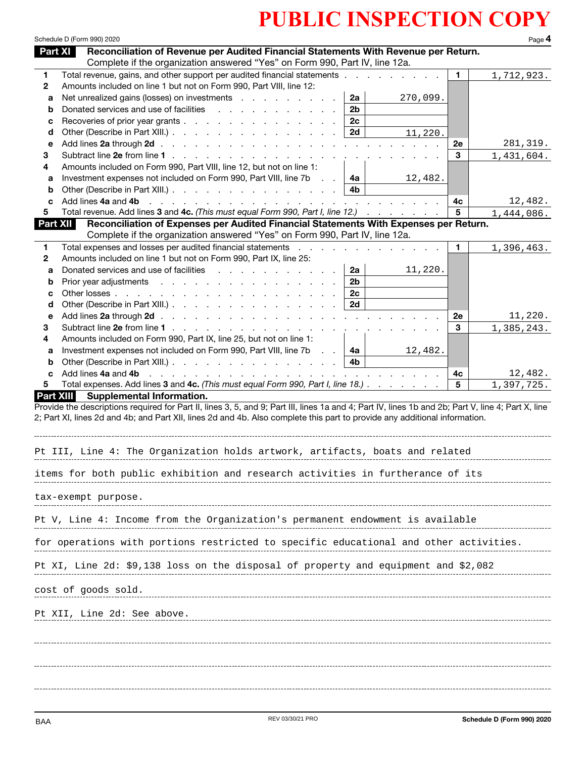|                  | Schedule D (Form 990) 2020                                                                                                                                                                                                                                                                                                                                       |    | Page 4     |
|------------------|------------------------------------------------------------------------------------------------------------------------------------------------------------------------------------------------------------------------------------------------------------------------------------------------------------------------------------------------------------------|----|------------|
| Part XI          | Reconciliation of Revenue per Audited Financial Statements With Revenue per Return.<br>Complete if the organization answered "Yes" on Form 990, Part IV, line 12a.                                                                                                                                                                                               |    |            |
|                  |                                                                                                                                                                                                                                                                                                                                                                  |    |            |
| 1                | Total revenue, gains, and other support per audited financial statements<br>Amounts included on line 1 but not on Form 990, Part VIII, line 12:                                                                                                                                                                                                                  | 1. | 1,712,923. |
| $\mathbf{2}$     |                                                                                                                                                                                                                                                                                                                                                                  |    |            |
| a                | 270,099.<br>Net unrealized gains (losses) on investments<br>2a<br>2 <sub>b</sub>                                                                                                                                                                                                                                                                                 |    |            |
| b                | Donated services and use of facilities<br>2c                                                                                                                                                                                                                                                                                                                     |    |            |
| с                | Recoveries of prior year grants                                                                                                                                                                                                                                                                                                                                  |    |            |
| d                | Other (Describe in Part XIII.)<br>2d<br>11,220.                                                                                                                                                                                                                                                                                                                  |    |            |
| е                |                                                                                                                                                                                                                                                                                                                                                                  | 2e | 281,319.   |
| 3                |                                                                                                                                                                                                                                                                                                                                                                  | 3  | 1,431,604. |
| 4                | Amounts included on Form 990, Part VIII, line 12, but not on line 1:                                                                                                                                                                                                                                                                                             |    |            |
| a                | Investment expenses not included on Form 990, Part VIII, line 7b<br>12,482.<br>4a<br>$\sim 10$ km $^{-1}$                                                                                                                                                                                                                                                        |    |            |
| b                | Other (Describe in Part XIII.)<br>4b                                                                                                                                                                                                                                                                                                                             |    |            |
| c                | Add lines 4a and 4b<br>the contract of the contract of the contract of the contract of the contract of the contract of the contract of                                                                                                                                                                                                                           | 4с | 12,482.    |
| 5                | Total revenue. Add lines 3 and 4c. (This must equal Form 990, Part I, line 12.)                                                                                                                                                                                                                                                                                  | 5  | 1,444,086. |
| <b>Part XII</b>  | Reconciliation of Expenses per Audited Financial Statements With Expenses per Return.                                                                                                                                                                                                                                                                            |    |            |
|                  | Complete if the organization answered "Yes" on Form 990, Part IV, line 12a.                                                                                                                                                                                                                                                                                      |    |            |
| 1                | Total expenses and losses per audited financial statements                                                                                                                                                                                                                                                                                                       | 1. | 1,396,463. |
| $\mathbf{2}$     | Amounts included on line 1 but not on Form 990, Part IX, line 25:                                                                                                                                                                                                                                                                                                |    |            |
| а                | Donated services and use of facilities<br>11,220.<br>2a                                                                                                                                                                                                                                                                                                          |    |            |
| b                | 2 <sub>b</sub><br>Prior year adjustments                                                                                                                                                                                                                                                                                                                         |    |            |
| с                | 2 <sub>c</sub>                                                                                                                                                                                                                                                                                                                                                   |    |            |
| d                | 2d<br>Other (Describe in Part XIII.)                                                                                                                                                                                                                                                                                                                             |    |            |
| е                |                                                                                                                                                                                                                                                                                                                                                                  | 2e | 11,220.    |
| 3                |                                                                                                                                                                                                                                                                                                                                                                  | 3  | 1,385,243. |
| 4                | Amounts included on Form 990, Part IX, line 25, but not on line 1:                                                                                                                                                                                                                                                                                               |    |            |
| a                | Investment expenses not included on Form 990, Part VIII, line 7b<br>4a<br>12,482.<br>$\sim 100$ km s $^{-1}$                                                                                                                                                                                                                                                     |    |            |
| b                | Other (Describe in Part XIII.)<br>4b                                                                                                                                                                                                                                                                                                                             |    |            |
| c                | Add lines 4a and 4b<br>the contract of the contract of the contract of the contract of the contract of the contract of the contract of                                                                                                                                                                                                                           | 4с | 12,482.    |
| 5                | Total expenses. Add lines 3 and 4c. (This must equal Form 990, Part I, line 18.)                                                                                                                                                                                                                                                                                 | 5  | 1,397,725. |
| <b>Part XIII</b> | <b>Supplemental Information.</b>                                                                                                                                                                                                                                                                                                                                 |    |            |
|                  | Provide the descriptions required for Part II, lines 3, 5, and 9; Part III, lines 1a and 4; Part IV, lines 1b and 2b; Part V, line 4; Part X, line<br>2; Part XI, lines 2d and 4b; and Part XII, lines 2d and 4b. Also complete this part to provide any additional information.<br>Pt III, Line 4: The Organization holds artwork, artifacts, boats and related |    |            |
|                  |                                                                                                                                                                                                                                                                                                                                                                  |    |            |
|                  | items for both public exhibition and research activities in furtherance of its                                                                                                                                                                                                                                                                                   |    |            |
|                  | tax-exempt purpose.                                                                                                                                                                                                                                                                                                                                              |    |            |
|                  | Pt V, Line 4: Income from the Organization's permanent endowment is available                                                                                                                                                                                                                                                                                    |    |            |
|                  | for operations with portions restricted to specific educational and other activities.                                                                                                                                                                                                                                                                            |    |            |
|                  | Pt XI, Line 2d: \$9,138 loss on the disposal of property and equipment and \$2,082                                                                                                                                                                                                                                                                               |    |            |
|                  | cost of goods sold.                                                                                                                                                                                                                                                                                                                                              |    |            |
|                  |                                                                                                                                                                                                                                                                                                                                                                  |    |            |
|                  | Pt XII, Line 2d: See above.                                                                                                                                                                                                                                                                                                                                      |    |            |
|                  |                                                                                                                                                                                                                                                                                                                                                                  |    |            |
|                  |                                                                                                                                                                                                                                                                                                                                                                  |    |            |
|                  |                                                                                                                                                                                                                                                                                                                                                                  |    |            |
|                  |                                                                                                                                                                                                                                                                                                                                                                  |    |            |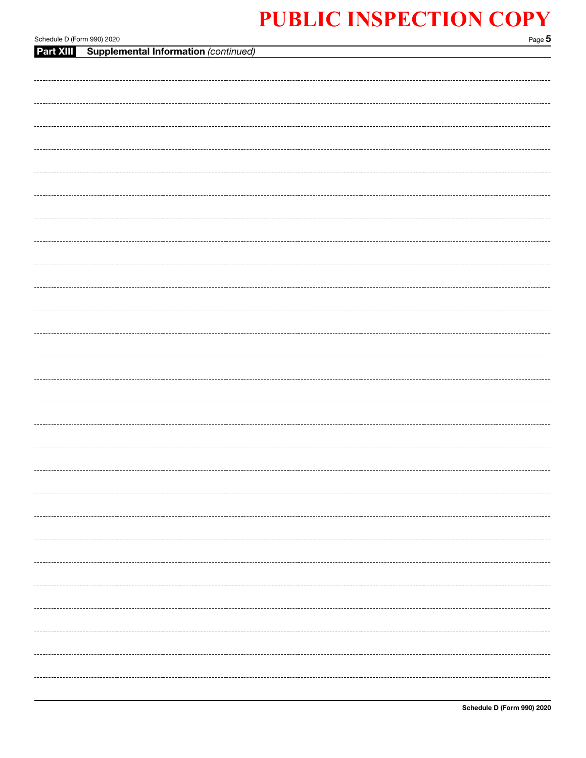| Schedule D (Form 990) 2020 |                                                | Page $5$ |
|----------------------------|------------------------------------------------|----------|
|                            | Part XIII Supplemental Information (continued) |          |
|                            |                                                |          |
|                            |                                                |          |
|                            |                                                |          |
|                            |                                                |          |
|                            |                                                |          |
|                            |                                                |          |
|                            |                                                |          |
|                            |                                                |          |
|                            |                                                |          |
|                            |                                                |          |
|                            |                                                |          |
|                            |                                                |          |
|                            |                                                |          |
|                            |                                                |          |
|                            |                                                |          |
|                            |                                                |          |
|                            |                                                |          |
|                            |                                                |          |
|                            |                                                |          |
|                            |                                                |          |
|                            |                                                |          |
|                            |                                                |          |
|                            |                                                |          |
|                            |                                                |          |
|                            |                                                |          |
|                            |                                                |          |
|                            |                                                |          |
|                            |                                                |          |
|                            |                                                |          |
|                            |                                                |          |
|                            |                                                |          |
|                            |                                                |          |
|                            |                                                |          |
|                            |                                                |          |
|                            |                                                |          |
|                            |                                                |          |
|                            |                                                |          |
|                            |                                                |          |
|                            |                                                |          |
|                            |                                                |          |
|                            |                                                |          |
|                            |                                                |          |
|                            |                                                |          |
|                            |                                                |          |
|                            |                                                |          |
|                            |                                                |          |
|                            |                                                |          |
|                            |                                                |          |
|                            |                                                |          |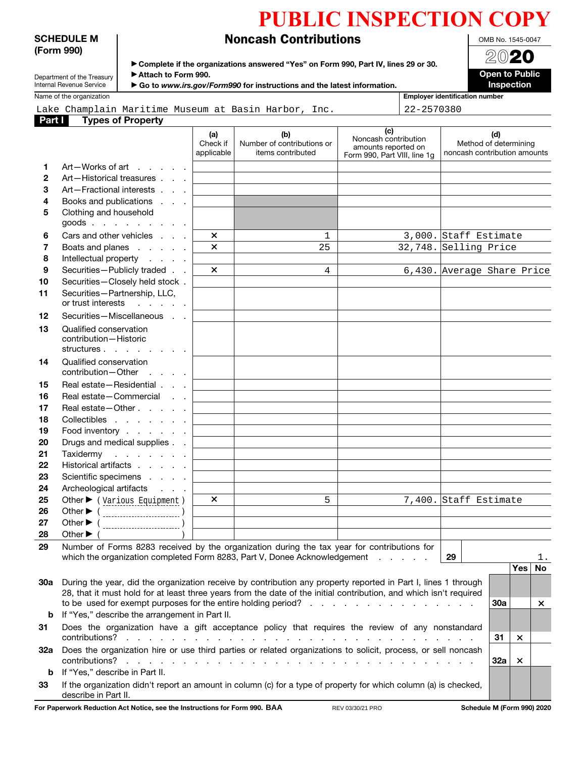|                        |                                                        |                                                                                                                           |                                                                                                                                                              |                                                                                                                                                                                                                                      | <b>PUBLIC INSPECTION COPY</b>                                                      |                                       |                                                              |            |                   |  |  |
|------------------------|--------------------------------------------------------|---------------------------------------------------------------------------------------------------------------------------|--------------------------------------------------------------------------------------------------------------------------------------------------------------|--------------------------------------------------------------------------------------------------------------------------------------------------------------------------------------------------------------------------------------|------------------------------------------------------------------------------------|---------------------------------------|--------------------------------------------------------------|------------|-------------------|--|--|
|                        | <b>SCHEDULE M</b><br>(Form 990)                        |                                                                                                                           | <b>Noncash Contributions</b>                                                                                                                                 |                                                                                                                                                                                                                                      |                                                                                    |                                       |                                                              |            | OMB No. 1545-0047 |  |  |
|                        | Department of the Treasury<br>Internal Revenue Service | Attach to Form 990.                                                                                                       | Complete if the organizations answered "Yes" on Form 990, Part IV, lines 29 or 30.<br>Go to www.irs.gov/Form990 for instructions and the latest information. |                                                                                                                                                                                                                                      |                                                                                    |                                       | 020<br><b>Open to Public</b><br>Inspection                   |            |                   |  |  |
|                        | Name of the organization                               |                                                                                                                           |                                                                                                                                                              |                                                                                                                                                                                                                                      |                                                                                    | <b>Employer identification number</b> |                                                              |            |                   |  |  |
|                        |                                                        |                                                                                                                           |                                                                                                                                                              | Lake Champlain Maritime Museum at Basin Harbor, Inc.                                                                                                                                                                                 |                                                                                    | 22-2570380                            |                                                              |            |                   |  |  |
| Part I                 |                                                        | <b>Types of Property</b>                                                                                                  |                                                                                                                                                              |                                                                                                                                                                                                                                      |                                                                                    |                                       |                                                              |            |                   |  |  |
|                        |                                                        |                                                                                                                           | (a)<br>Check if<br>applicable                                                                                                                                | (b)<br>Number of contributions or<br>items contributed                                                                                                                                                                               | (c)<br>Noncash contribution<br>amounts reported on<br>Form 990, Part VIII, line 1g |                                       | (d)<br>Method of determining<br>noncash contribution amounts |            |                   |  |  |
| 1.<br>2<br>3<br>4<br>5 | Art-Works of art<br>Clothing and household             | and the company of the company<br>Art-Historical treasures<br>Art-Fractional interests<br>Books and publications<br>goods |                                                                                                                                                              |                                                                                                                                                                                                                                      |                                                                                    |                                       |                                                              |            |                   |  |  |
| 6                      |                                                        | Cars and other vehicles                                                                                                   | ×                                                                                                                                                            | 1                                                                                                                                                                                                                                    |                                                                                    | 3,000. Staff Estimate                 |                                                              |            |                   |  |  |
| 7                      |                                                        | Boats and planes                                                                                                          | $\boldsymbol{\times}$                                                                                                                                        | 25                                                                                                                                                                                                                                   |                                                                                    | 32,748. Selling Price                 |                                                              |            |                   |  |  |
| 8                      |                                                        | Intellectual property                                                                                                     |                                                                                                                                                              |                                                                                                                                                                                                                                      |                                                                                    |                                       |                                                              |            |                   |  |  |
| 9                      |                                                        | Securities-Publicly traded                                                                                                | $\boldsymbol{\mathsf{x}}$                                                                                                                                    | 4                                                                                                                                                                                                                                    |                                                                                    | 6,430. Average Share Price            |                                                              |            |                   |  |  |
| 10                     |                                                        | Securities-Closely held stock.                                                                                            |                                                                                                                                                              |                                                                                                                                                                                                                                      |                                                                                    |                                       |                                                              |            |                   |  |  |
| 11                     |                                                        | Securities-Partnership, LLC,                                                                                              |                                                                                                                                                              |                                                                                                                                                                                                                                      |                                                                                    |                                       |                                                              |            |                   |  |  |
|                        | or trust interests                                     | and the company of the company                                                                                            |                                                                                                                                                              |                                                                                                                                                                                                                                      |                                                                                    |                                       |                                                              |            |                   |  |  |
| 12<br>13               | Qualified conservation<br>contribution-Historic        | Securities-Miscellaneous<br>structures                                                                                    |                                                                                                                                                              |                                                                                                                                                                                                                                      |                                                                                    |                                       |                                                              |            |                   |  |  |
| 14                     | Qualified conservation<br>contribution – Other         |                                                                                                                           |                                                                                                                                                              |                                                                                                                                                                                                                                      |                                                                                    |                                       |                                                              |            |                   |  |  |
| 15                     | Real estate - Residential.                             |                                                                                                                           |                                                                                                                                                              |                                                                                                                                                                                                                                      |                                                                                    |                                       |                                                              |            |                   |  |  |
| 16                     | Real estate-Commercial                                 |                                                                                                                           |                                                                                                                                                              |                                                                                                                                                                                                                                      |                                                                                    |                                       |                                                              |            |                   |  |  |
| 17                     |                                                        | Real estate $-$ Other $\ldots$                                                                                            |                                                                                                                                                              |                                                                                                                                                                                                                                      |                                                                                    |                                       |                                                              |            |                   |  |  |
| 18                     | <b>Collectibles</b>                                    | and the company of the company of                                                                                         |                                                                                                                                                              |                                                                                                                                                                                                                                      |                                                                                    |                                       |                                                              |            |                   |  |  |
| 19                     |                                                        | Food inventory                                                                                                            |                                                                                                                                                              |                                                                                                                                                                                                                                      |                                                                                    |                                       |                                                              |            |                   |  |  |
| 20                     |                                                        | Drugs and medical supplies                                                                                                |                                                                                                                                                              |                                                                                                                                                                                                                                      |                                                                                    |                                       |                                                              |            |                   |  |  |
| 21                     |                                                        | Taxidermy                                                                                                                 |                                                                                                                                                              |                                                                                                                                                                                                                                      |                                                                                    |                                       |                                                              |            |                   |  |  |
| 22                     |                                                        | Historical artifacts                                                                                                      |                                                                                                                                                              |                                                                                                                                                                                                                                      |                                                                                    |                                       |                                                              |            |                   |  |  |
| 23                     |                                                        | Scientific specimens                                                                                                      |                                                                                                                                                              |                                                                                                                                                                                                                                      |                                                                                    |                                       |                                                              |            |                   |  |  |
| 24                     |                                                        | Archeological artifacts                                                                                                   |                                                                                                                                                              |                                                                                                                                                                                                                                      |                                                                                    |                                       |                                                              |            |                   |  |  |
| 25                     |                                                        | Other $\blacktriangleright$ (Various Equipment)                                                                           | $\times$                                                                                                                                                     | 5                                                                                                                                                                                                                                    |                                                                                    | 7,400. Staff Estimate                 |                                                              |            |                   |  |  |
| 26                     |                                                        |                                                                                                                           |                                                                                                                                                              |                                                                                                                                                                                                                                      |                                                                                    |                                       |                                                              |            |                   |  |  |
| 27<br>28               | Other $\blacktriangleright$ (                          |                                                                                                                           |                                                                                                                                                              |                                                                                                                                                                                                                                      | the control of the control of the control of the control of the control of         |                                       |                                                              |            |                   |  |  |
| 29                     |                                                        |                                                                                                                           |                                                                                                                                                              | Number of Forms 8283 received by the organization during the tax year for contributions for                                                                                                                                          |                                                                                    |                                       |                                                              |            |                   |  |  |
|                        |                                                        |                                                                                                                           |                                                                                                                                                              | which the organization completed Form 8283, Part V, Donee Acknowledgement                                                                                                                                                            |                                                                                    | 29                                    |                                                              |            | ı.                |  |  |
|                        |                                                        |                                                                                                                           |                                                                                                                                                              |                                                                                                                                                                                                                                      |                                                                                    |                                       |                                                              |            | <b>Yes</b><br>No  |  |  |
| 30a                    |                                                        |                                                                                                                           |                                                                                                                                                              | During the year, did the organization receive by contribution any property reported in Part I, lines 1 through<br>28, that it must hold for at least three years from the date of the initial contribution, and which isn't required |                                                                                    |                                       |                                                              | <b>30a</b> | $\times$          |  |  |
| b                      |                                                        | If "Yes," describe the arrangement in Part II.                                                                            |                                                                                                                                                              |                                                                                                                                                                                                                                      |                                                                                    |                                       |                                                              |            |                   |  |  |
| 31                     |                                                        |                                                                                                                           |                                                                                                                                                              | Does the organization have a gift acceptance policy that requires the review of any nonstandard                                                                                                                                      |                                                                                    |                                       |                                                              | 31         | ×                 |  |  |
| 32a                    |                                                        |                                                                                                                           |                                                                                                                                                              | Does the organization hire or use third parties or related organizations to solicit, process, or sell noncash                                                                                                                        |                                                                                    |                                       |                                                              | 32a        | $\times$          |  |  |
| b                      | If "Yes," describe in Part II.                         |                                                                                                                           |                                                                                                                                                              |                                                                                                                                                                                                                                      |                                                                                    |                                       |                                                              |            |                   |  |  |
| 33                     | describe in Part II.                                   |                                                                                                                           |                                                                                                                                                              | If the organization didn't report an amount in column (c) for a type of property for which column (a) is checked,                                                                                                                    |                                                                                    |                                       |                                                              |            |                   |  |  |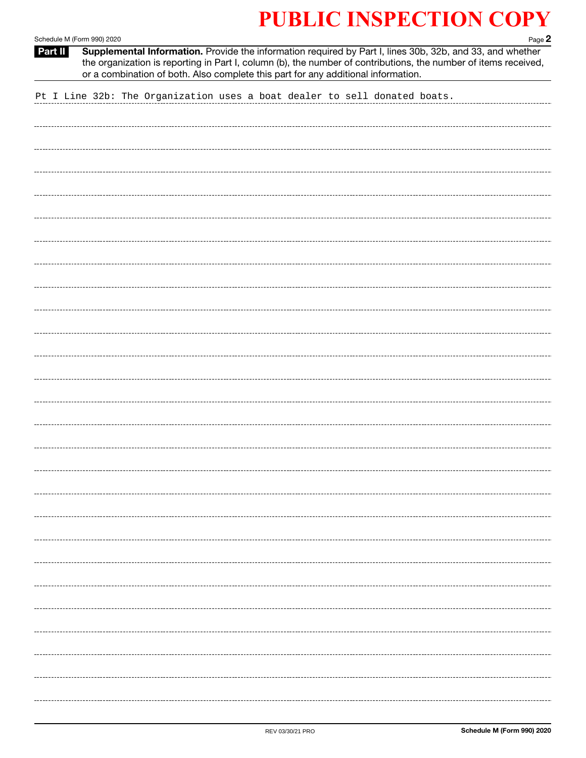Schedule M (Form 990) 2020 Page 2

**Part II** Supplemental Information. Provide the information required by Part I, lines 30b, 32b, and 33, and whether the organization is reporting in Part I, column (b), the number of contributions, the number of items received, or a combination of both. Also complete this part for any additional information.

Pt I Line 32b: The Organization uses a boat dealer to sell donated boats.